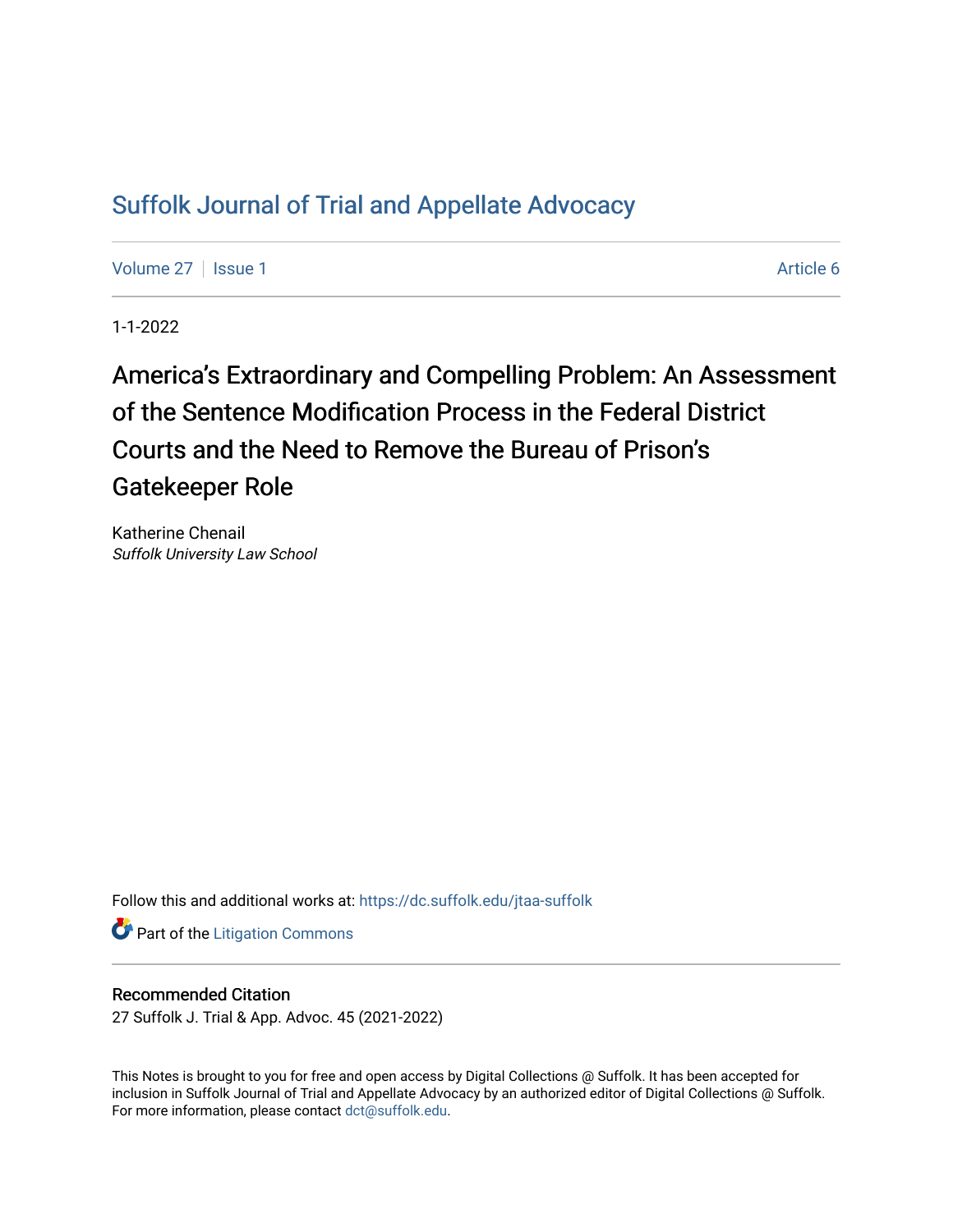# [Suffolk Journal of Trial and Appellate Advocacy](https://dc.suffolk.edu/jtaa-suffolk)

[Volume 27](https://dc.suffolk.edu/jtaa-suffolk/vol27) | [Issue 1](https://dc.suffolk.edu/jtaa-suffolk/vol27/iss1) Article 6

1-1-2022

# America's Extraordinary and Compelling Problem: An Assessment of the Sentence Modification Process in the Federal District Courts and the Need to Remove the Bureau of Prison's Gatekeeper Role

Katherine Chenail Suffolk University Law School

Follow this and additional works at: [https://dc.suffolk.edu/jtaa-suffolk](https://dc.suffolk.edu/jtaa-suffolk?utm_source=dc.suffolk.edu%2Fjtaa-suffolk%2Fvol27%2Fiss1%2F6&utm_medium=PDF&utm_campaign=PDFCoverPages) 

**Part of the [Litigation Commons](https://network.bepress.com/hgg/discipline/910?utm_source=dc.suffolk.edu%2Fjtaa-suffolk%2Fvol27%2Fiss1%2F6&utm_medium=PDF&utm_campaign=PDFCoverPages)** 

# Recommended Citation

27 Suffolk J. Trial & App. Advoc. 45 (2021-2022)

This Notes is brought to you for free and open access by Digital Collections @ Suffolk. It has been accepted for inclusion in Suffolk Journal of Trial and Appellate Advocacy by an authorized editor of Digital Collections @ Suffolk. For more information, please contact [dct@suffolk.edu](mailto:dct@suffolk.edu).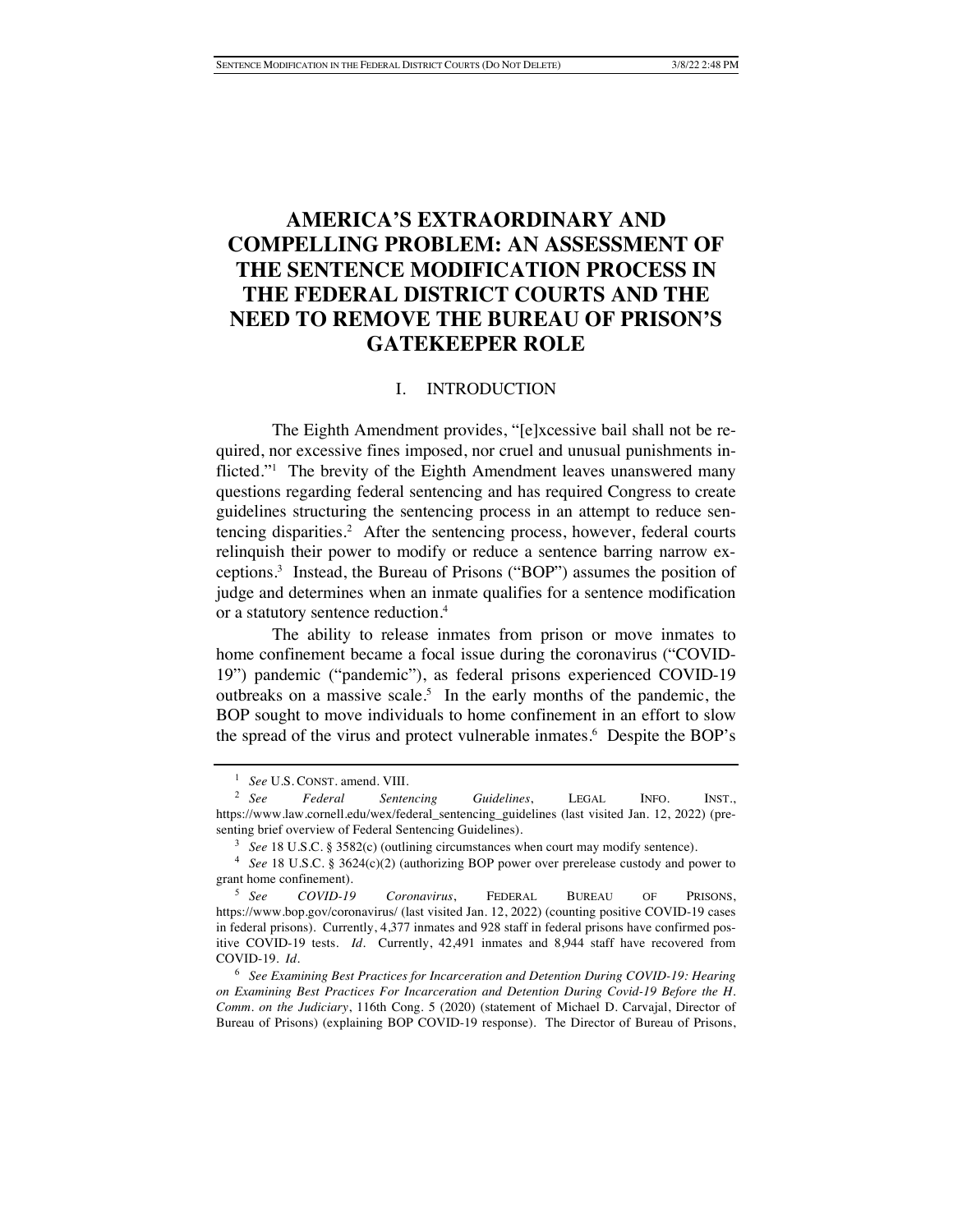# **AMERICA'S EXTRAORDINARY AND COMPELLING PROBLEM: AN ASSESSMENT OF THE SENTENCE MODIFICATION PROCESS IN THE FEDERAL DISTRICT COURTS AND THE NEED TO REMOVE THE BUREAU OF PRISON'S GATEKEEPER ROLE**

#### I. INTRODUCTION

The Eighth Amendment provides, "[e]xcessive bail shall not be required, nor excessive fines imposed, nor cruel and unusual punishments inflicted."1 The brevity of the Eighth Amendment leaves unanswered many questions regarding federal sentencing and has required Congress to create guidelines structuring the sentencing process in an attempt to reduce sentencing disparities.<sup>2</sup> After the sentencing process, however, federal courts relinquish their power to modify or reduce a sentence barring narrow exceptions.3 Instead, the Bureau of Prisons ("BOP") assumes the position of judge and determines when an inmate qualifies for a sentence modification or a statutory sentence reduction.4

The ability to release inmates from prison or move inmates to home confinement became a focal issue during the coronavirus ("COVID-19") pandemic ("pandemic"), as federal prisons experienced COVID-19 outbreaks on a massive scale.<sup>5</sup> In the early months of the pandemic, the BOP sought to move individuals to home confinement in an effort to slow the spread of the virus and protect vulnerable inmates.<sup>6</sup> Despite the BOP's

<sup>&</sup>lt;sup>1</sup> *See* U.S. CONST. amend. VIII.<br><sup>2</sup> *See Federal Senter* 

<sup>2</sup> *See Federal Sentencing Guidelines*, LEGAL INFO. INST., https://www.law.cornell.edu/wex/federal\_sentencing\_guidelines (last visited Jan. 12, 2022) (presenting brief overview of Federal Sentencing Guidelines).

<sup>3</sup> *See* 18 U.S.C. § 3582(c) (outlining circumstances when court may modify sentence).

<sup>4</sup> *See* 18 U.S.C. § 3624(c)(2) (authorizing BOP power over prerelease custody and power to grant home confinement).

<sup>5</sup> *See COVID-19 Coronavirus*, FEDERAL BUREAU OF PRISONS, https://www.bop.gov/coronavirus/ (last visited Jan. 12, 2022) (counting positive COVID-19 cases in federal prisons). Currently, 4,377 inmates and 928 staff in federal prisons have confirmed positive COVID-19 tests. *Id.* Currently, 42,491 inmates and 8,944 staff have recovered from COVID-19. *Id.*

<sup>6</sup> *See Examining Best Practices for Incarceration and Detention During COVID-19: Hearing on Examining Best Practices For Incarceration and Detention During Covid-19 Before the H. Comm. on the Judiciary*, 116th Cong. 5 (2020) (statement of Michael D. Carvajal, Director of Bureau of Prisons) (explaining BOP COVID-19 response). The Director of Bureau of Prisons,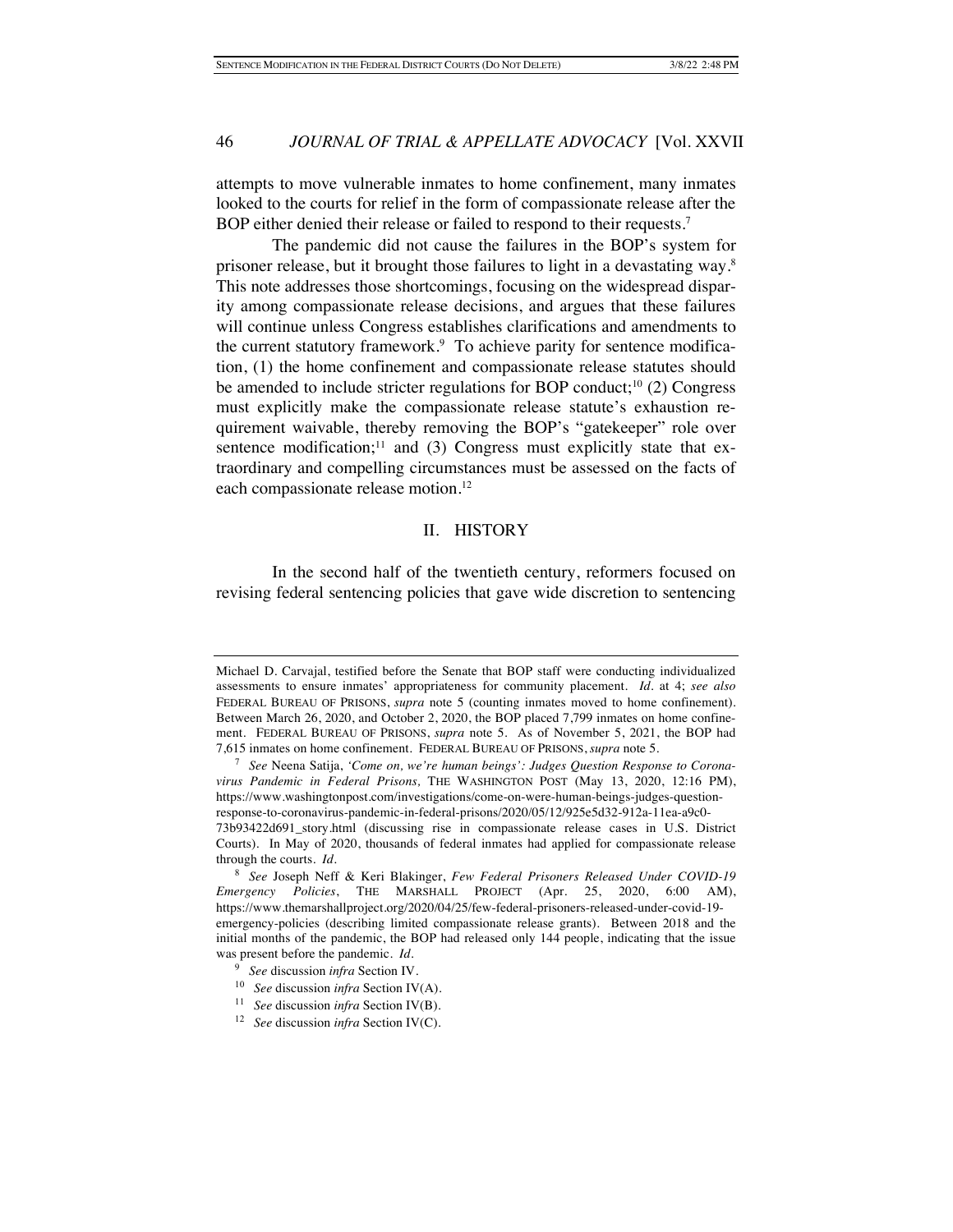attempts to move vulnerable inmates to home confinement, many inmates looked to the courts for relief in the form of compassionate release after the BOP either denied their release or failed to respond to their requests.<sup>7</sup>

The pandemic did not cause the failures in the BOP's system for prisoner release, but it brought those failures to light in a devastating way.8 This note addresses those shortcomings, focusing on the widespread disparity among compassionate release decisions, and argues that these failures will continue unless Congress establishes clarifications and amendments to the current statutory framework.<sup>9</sup> To achieve parity for sentence modification, (1) the home confinement and compassionate release statutes should be amended to include stricter regulations for BOP conduct;<sup>10</sup> (2) Congress must explicitly make the compassionate release statute's exhaustion requirement waivable, thereby removing the BOP's "gatekeeper" role over sentence modification; $11$  and (3) Congress must explicitly state that extraordinary and compelling circumstances must be assessed on the facts of each compassionate release motion.<sup>12</sup>

#### II. HISTORY

In the second half of the twentieth century, reformers focused on revising federal sentencing policies that gave wide discretion to sentencing

Michael D. Carvajal, testified before the Senate that BOP staff were conducting individualized assessments to ensure inmates' appropriateness for community placement. *Id.* at 4; *see also* FEDERAL BUREAU OF PRISONS, *supra* note 5 (counting inmates moved to home confinement). Between March 26, 2020, and October 2, 2020, the BOP placed 7,799 inmates on home confinement. FEDERAL BUREAU OF PRISONS, *supra* note 5. As of November 5, 2021, the BOP had 7,615 inmates on home confinement. FEDERAL BUREAU OF PRISONS, *supra* note 5.

<sup>7</sup> *See* Neena Satija, *'Come on, we're human beings': Judges Question Response to Coronavirus Pandemic in Federal Prisons,* THE WASHINGTON POST (May 13, 2020, 12:16 PM), https://www.washingtonpost.com/investigations/come-on-were-human-beings-judges-questionresponse-to-coronavirus-pandemic-in-federal-prisons/2020/05/12/925e5d32-912a-11ea-a9c0- 73b93422d691\_story.html (discussing rise in compassionate release cases in U.S. District Courts). In May of 2020, thousands of federal inmates had applied for compassionate release through the courts. *Id.*

<sup>8</sup> *See* Joseph Neff & Keri Blakinger, *Few Federal Prisoners Released Under COVID-19 Emergency Policies*, THE MARSHALL PROJECT (Apr. 25, 2020, 6:00 AM), https://www.themarshallproject.org/2020/04/25/few-federal-prisoners-released-under-covid-19 emergency-policies (describing limited compassionate release grants). Between 2018 and the initial months of the pandemic, the BOP had released only 144 people, indicating that the issue was present before the pandemic. *Id.*

<sup>9</sup> *See* discussion *infra* Section IV.

<sup>10</sup> *See* discussion *infra* Section IV(A).

<sup>11</sup> *See* discussion *infra* Section IV(B).

<sup>12</sup> *See* discussion *infra* Section IV(C).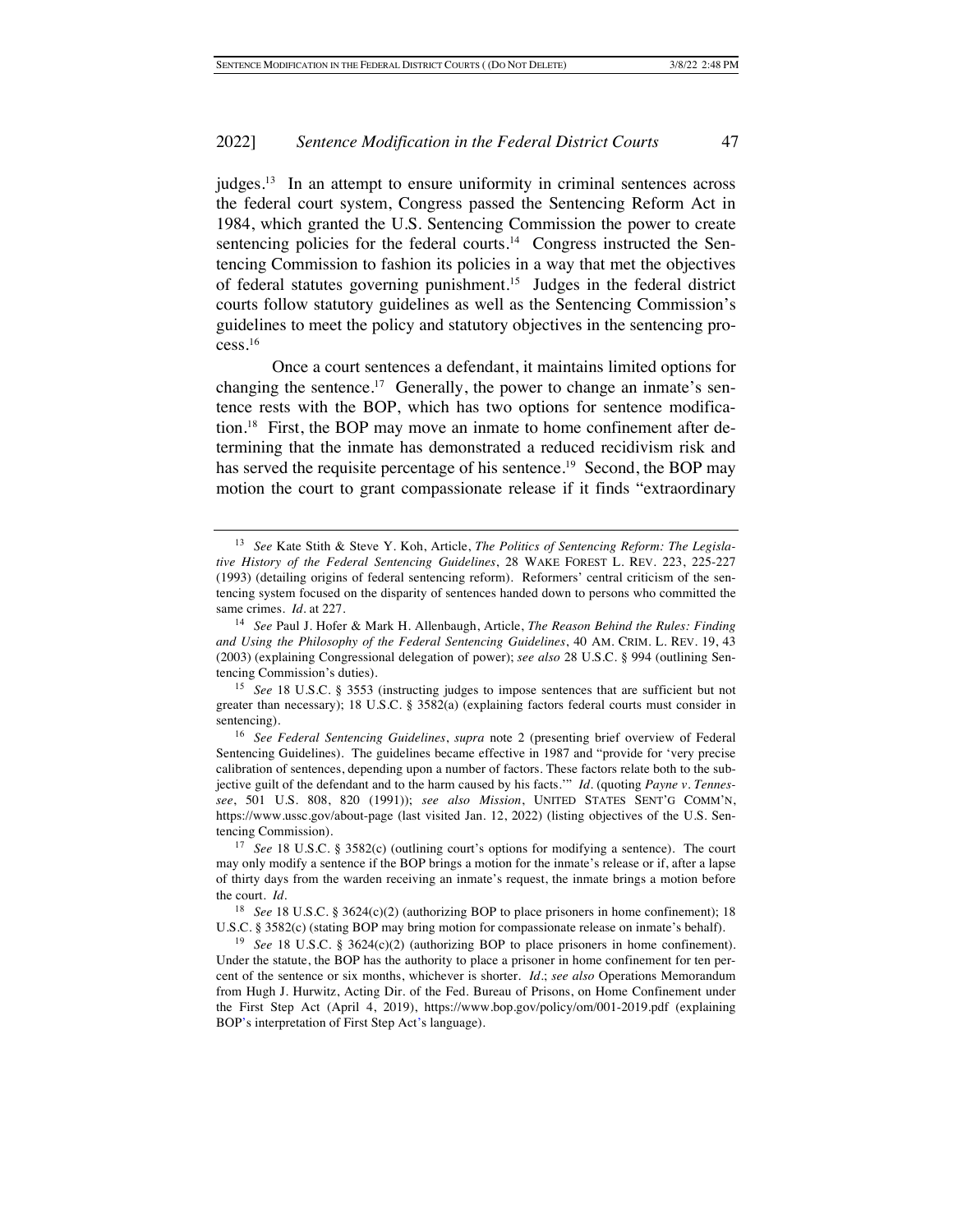judges.13 In an attempt to ensure uniformity in criminal sentences across the federal court system, Congress passed the Sentencing Reform Act in 1984, which granted the U.S. Sentencing Commission the power to create sentencing policies for the federal courts.<sup>14</sup> Congress instructed the Sentencing Commission to fashion its policies in a way that met the objectives of federal statutes governing punishment.15 Judges in the federal district courts follow statutory guidelines as well as the Sentencing Commission's guidelines to meet the policy and statutory objectives in the sentencing process.16

Once a court sentences a defendant, it maintains limited options for changing the sentence.<sup>17</sup> Generally, the power to change an inmate's sentence rests with the BOP, which has two options for sentence modification.18 First, the BOP may move an inmate to home confinement after determining that the inmate has demonstrated a reduced recidivism risk and has served the requisite percentage of his sentence.<sup>19</sup> Second, the BOP may motion the court to grant compassionate release if it finds "extraordinary

<sup>13</sup> *See* Kate Stith & Steve Y. Koh, Article, *The Politics of Sentencing Reform: The Legislative History of the Federal Sentencing Guidelines*, 28 WAKE FOREST L. REV. 223, 225-227 (1993) (detailing origins of federal sentencing reform). Reformers' central criticism of the sentencing system focused on the disparity of sentences handed down to persons who committed the same crimes. *Id.* at 227.

<sup>14</sup> *See* Paul J. Hofer & Mark H. Allenbaugh, Article, *The Reason Behind the Rules: Finding and Using the Philosophy of the Federal Sentencing Guidelines*, 40 AM. CRIM. L. REV. 19, 43 (2003) (explaining Congressional delegation of power); *see also* 28 U.S.C. § 994 (outlining Sentencing Commission's duties).

<sup>15</sup> *See* 18 U.S.C. § 3553 (instructing judges to impose sentences that are sufficient but not greater than necessary); 18 U.S.C. § 3582(a) (explaining factors federal courts must consider in sentencing).

<sup>16</sup> *See Federal Sentencing Guidelines*, *supra* note 2 (presenting brief overview of Federal Sentencing Guidelines). The guidelines became effective in 1987 and "provide for 'very precise calibration of sentences, depending upon a number of factors. These factors relate both to the subjective guilt of the defendant and to the harm caused by his facts.'" *Id.* (quoting *Payne v. Tennessee*, 501 U.S. 808, 820 (1991)); *see also Mission*, UNITED STATES SENT'G COMM'N, https://www.ussc.gov/about-page (last visited Jan. 12, 2022) (listing objectives of the U.S. Sentencing Commission).

<sup>&</sup>lt;sup>17</sup> *See* 18 U.S.C. § 3582(c) (outlining court's options for modifying a sentence). The court may only modify a sentence if the BOP brings a motion for the inmate's release or if, after a lapse of thirty days from the warden receiving an inmate's request, the inmate brings a motion before the court. *Id.*

<sup>&</sup>lt;sup>18</sup> *See* 18 U.S.C. § 3624(c)(2) (authorizing BOP to place prisoners in home confinement); 18 U.S.C. § 3582(c) (stating BOP may bring motion for compassionate release on inmate's behalf).

<sup>19</sup> *See* 18 U.S.C. § 3624(c)(2) (authorizing BOP to place prisoners in home confinement). Under the statute, the BOP has the authority to place a prisoner in home confinement for ten percent of the sentence or six months, whichever is shorter. *Id.*; *see also* Operations Memorandum from Hugh J. Hurwitz, Acting Dir. of the Fed. Bureau of Prisons, on Home Confinement under the First Step Act (April 4, 2019), https://www.bop.gov/policy/om/001-2019.pdf (explaining BOP's interpretation of First Step Act's language).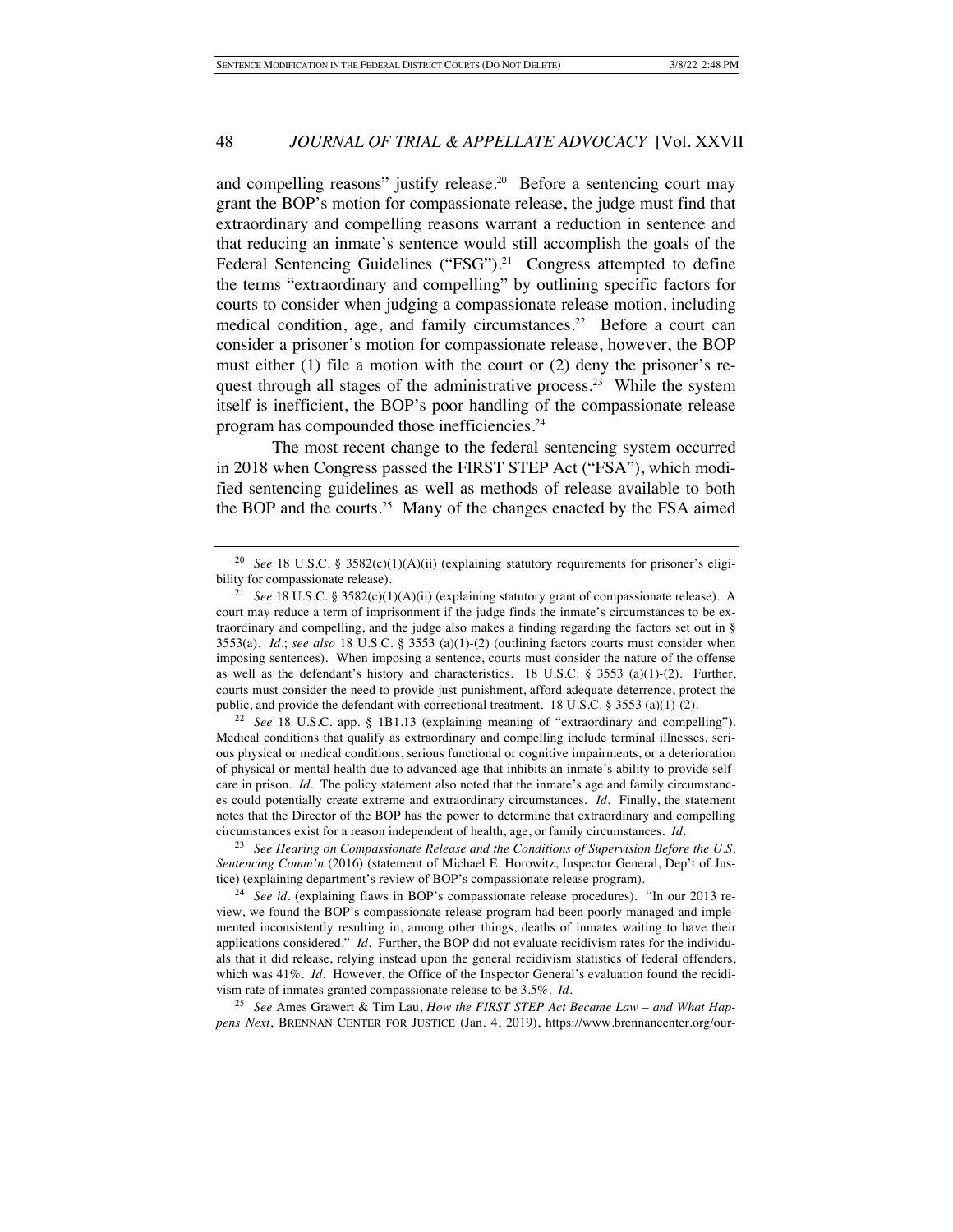and compelling reasons" justify release.<sup>20</sup> Before a sentencing court may grant the BOP's motion for compassionate release, the judge must find that extraordinary and compelling reasons warrant a reduction in sentence and that reducing an inmate's sentence would still accomplish the goals of the Federal Sentencing Guidelines ("FSG").<sup>21</sup> Congress attempted to define the terms "extraordinary and compelling" by outlining specific factors for courts to consider when judging a compassionate release motion, including medical condition, age, and family circumstances.<sup>22</sup> Before a court can consider a prisoner's motion for compassionate release, however, the BOP must either (1) file a motion with the court or (2) deny the prisoner's request through all stages of the administrative process. 23 While the system itself is inefficient, the BOP's poor handling of the compassionate release program has compounded those inefficiencies.24

The most recent change to the federal sentencing system occurred in 2018 when Congress passed the FIRST STEP Act ("FSA"), which modified sentencing guidelines as well as methods of release available to both the BOP and the courts.<sup>25</sup> Many of the changes enacted by the FSA aimed

<sup>22</sup> *See* 18 U.S.C. app. § 1B1.13 (explaining meaning of "extraordinary and compelling"). Medical conditions that qualify as extraordinary and compelling include terminal illnesses, serious physical or medical conditions, serious functional or cognitive impairments, or a deterioration of physical or mental health due to advanced age that inhibits an inmate's ability to provide selfcare in prison. *Id.* The policy statement also noted that the inmate's age and family circumstances could potentially create extreme and extraordinary circumstances. *Id.* Finally, the statement notes that the Director of the BOP has the power to determine that extraordinary and compelling circumstances exist for a reason independent of health, age, or family circumstances. *Id.*

<sup>23</sup> *See Hearing on Compassionate Release and the Conditions of Supervision Before the U.S. Sentencing Comm'n* (2016) (statement of Michael E. Horowitz, Inspector General, Dep't of Justice) (explaining department's review of BOP's compassionate release program).

<sup>24</sup> *See id.* (explaining flaws in BOP's compassionate release procedures). "In our 2013 review, we found the BOP's compassionate release program had been poorly managed and implemented inconsistently resulting in, among other things, deaths of inmates waiting to have their applications considered." *Id.* Further, the BOP did not evaluate recidivism rates for the individuals that it did release, relying instead upon the general recidivism statistics of federal offenders, which was 41%. *Id.* However, the Office of the Inspector General's evaluation found the recidivism rate of inmates granted compassionate release to be 3.5%. *Id.*

<sup>25</sup> *See* Ames Grawert & Tim Lau, *How the FIRST STEP Act Became Law – and What Happens Next*, BRENNAN CENTER FOR JUSTICE (Jan. 4, 2019), https://www.brennancenter.org/our-

<sup>20</sup> *See* 18 U.S.C. § 3582(c)(1)(A)(ii) (explaining statutory requirements for prisoner's eligibility for compassionate release).

<sup>&</sup>lt;sup>21</sup> *See* 18 U.S.C. § 3582(c)(1)(A)(ii) (explaining statutory grant of compassionate release). A court may reduce a term of imprisonment if the judge finds the inmate's circumstances to be extraordinary and compelling, and the judge also makes a finding regarding the factors set out in § 3553(a). *Id.*; *see also* 18 U.S.C. § 3553 (a)(1)-(2) (outlining factors courts must consider when imposing sentences). When imposing a sentence, courts must consider the nature of the offense as well as the defendant's history and characteristics. 18 U.S.C. § 3553 (a)(1)-(2). Further, courts must consider the need to provide just punishment, afford adequate deterrence, protect the public, and provide the defendant with correctional treatment. 18 U.S.C. § 3553 (a)(1)-(2).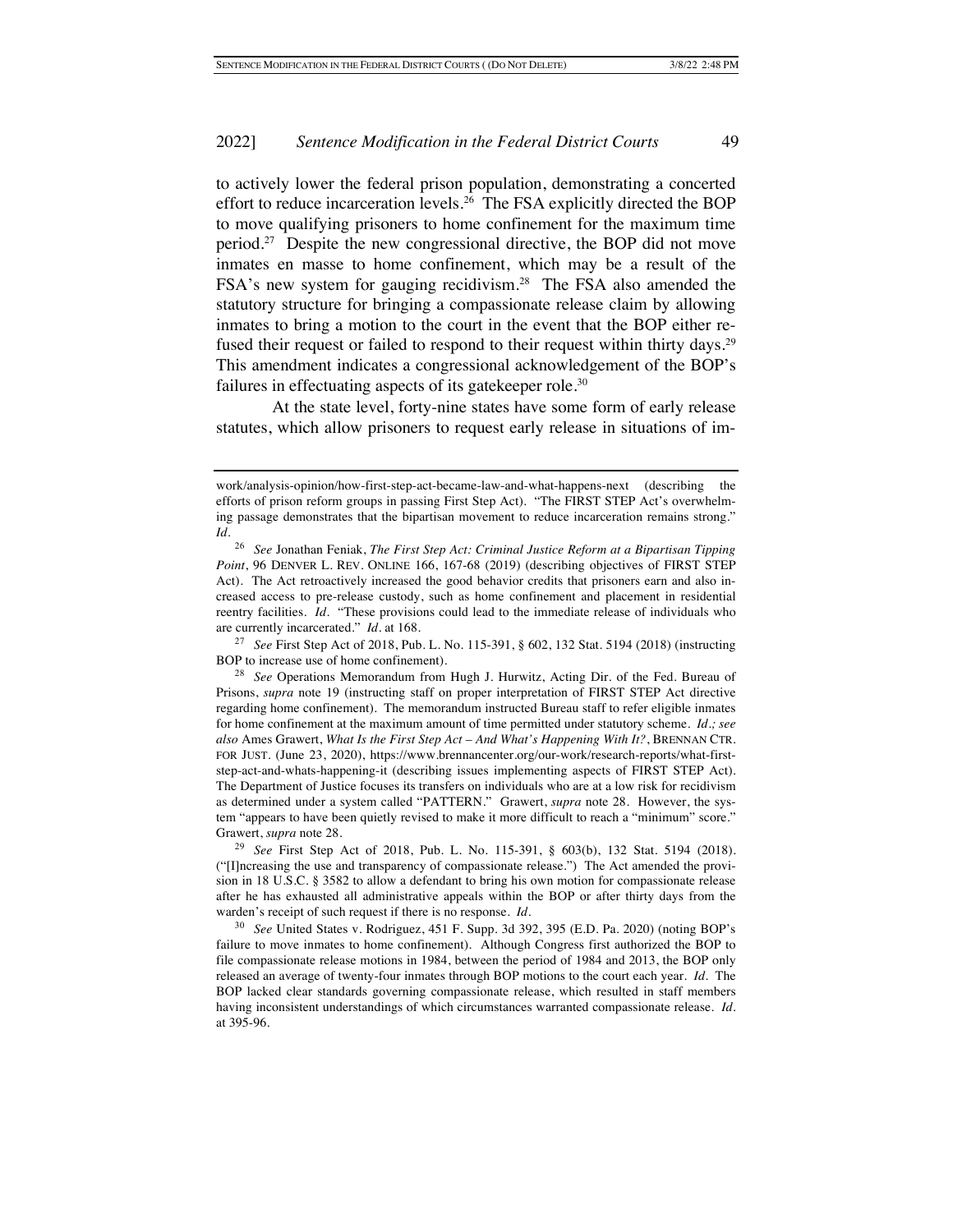to actively lower the federal prison population, demonstrating a concerted effort to reduce incarceration levels.26 The FSA explicitly directed the BOP to move qualifying prisoners to home confinement for the maximum time period.27 Despite the new congressional directive, the BOP did not move inmates en masse to home confinement, which may be a result of the FSA's new system for gauging recidivism.<sup>28</sup> The FSA also amended the statutory structure for bringing a compassionate release claim by allowing inmates to bring a motion to the court in the event that the BOP either refused their request or failed to respond to their request within thirty days.<sup>29</sup> This amendment indicates a congressional acknowledgement of the BOP's failures in effectuating aspects of its gatekeeper role.<sup>30</sup>

At the state level, forty-nine states have some form of early release statutes, which allow prisoners to request early release in situations of im-

<sup>27</sup> *See* First Step Act of 2018, Pub. L. No. 115-391, § 602, 132 Stat. 5194 (2018) (instructing BOP to increase use of home confinement).

work/analysis-opinion/how-first-step-act-became-law-and-what-happens-next (describing the efforts of prison reform groups in passing First Step Act). "The FIRST STEP Act's overwhelming passage demonstrates that the bipartisan movement to reduce incarceration remains strong." *Id.*

<sup>26</sup> *See* Jonathan Feniak, *The First Step Act: Criminal Justice Reform at a Bipartisan Tipping Point*, 96 DENVER L. REV. ONLINE 166, 167-68 (2019) (describing objectives of FIRST STEP Act). The Act retroactively increased the good behavior credits that prisoners earn and also increased access to pre-release custody, such as home confinement and placement in residential reentry facilities. *Id.* "These provisions could lead to the immediate release of individuals who are currently incarcerated." *Id.* at 168.

<sup>28</sup> *See* Operations Memorandum from Hugh J. Hurwitz, Acting Dir. of the Fed. Bureau of Prisons, *supra* note 19 (instructing staff on proper interpretation of FIRST STEP Act directive regarding home confinement). The memorandum instructed Bureau staff to refer eligible inmates for home confinement at the maximum amount of time permitted under statutory scheme. *Id.; see also* Ames Grawert, *What Is the First Step Act – And What's Happening With It?*, BRENNAN CTR. FOR JUST. (June 23, 2020), https://www.brennancenter.org/our-work/research-reports/what-firststep-act-and-whats-happening-it (describing issues implementing aspects of FIRST STEP Act). The Department of Justice focuses its transfers on individuals who are at a low risk for recidivism as determined under a system called "PATTERN." Grawert, *supra* note 28. However, the system "appears to have been quietly revised to make it more difficult to reach a "minimum" score." Grawert, *supra* note 28.

<sup>29</sup> *See* First Step Act of 2018, Pub. L. No. 115-391, § 603(b), 132 Stat. 5194 (2018). ("[I]ncreasing the use and transparency of compassionate release.") The Act amended the provision in 18 U.S.C. § 3582 to allow a defendant to bring his own motion for compassionate release after he has exhausted all administrative appeals within the BOP or after thirty days from the warden's receipt of such request if there is no response. *Id.*

<sup>30</sup> *See* United States v. Rodriguez, 451 F. Supp. 3d 392, 395 (E.D. Pa. 2020) (noting BOP's failure to move inmates to home confinement). Although Congress first authorized the BOP to file compassionate release motions in 1984, between the period of 1984 and 2013, the BOP only released an average of twenty-four inmates through BOP motions to the court each year. *Id.* The BOP lacked clear standards governing compassionate release, which resulted in staff members having inconsistent understandings of which circumstances warranted compassionate release. *Id.* at 395-96.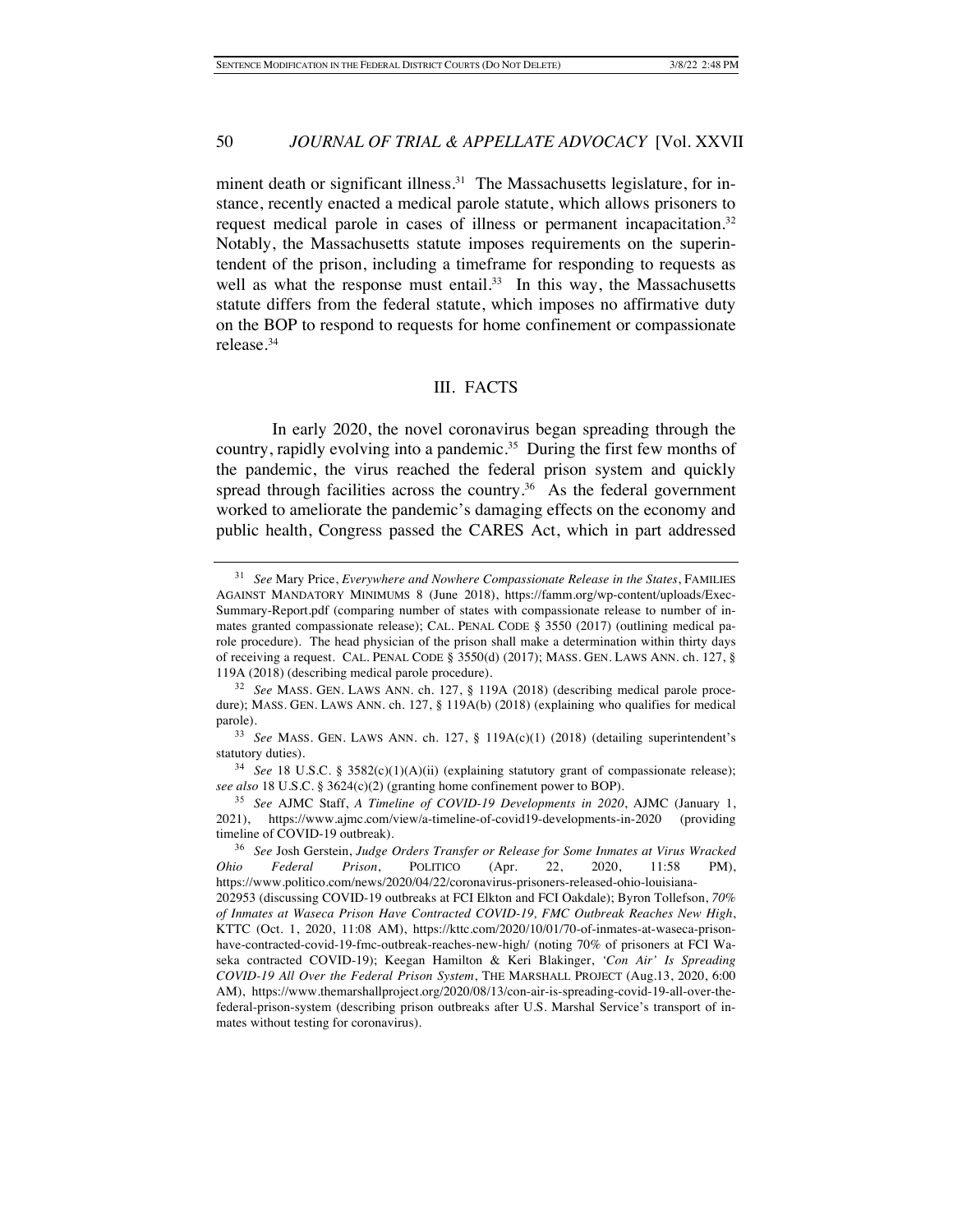minent death or significant illness.<sup>31</sup> The Massachusetts legislature, for instance, recently enacted a medical parole statute, which allows prisoners to request medical parole in cases of illness or permanent incapacitation.<sup>32</sup> Notably, the Massachusetts statute imposes requirements on the superintendent of the prison, including a timeframe for responding to requests as well as what the response must entail. $33$  In this way, the Massachusetts statute differs from the federal statute, which imposes no affirmative duty on the BOP to respond to requests for home confinement or compassionate release.34

#### III. FACTS

In early 2020, the novel coronavirus began spreading through the country, rapidly evolving into a pandemic.<sup>35</sup> During the first few months of the pandemic, the virus reached the federal prison system and quickly spread through facilities across the country. $36$  As the federal government worked to ameliorate the pandemic's damaging effects on the economy and public health, Congress passed the CARES Act, which in part addressed

<sup>31</sup> *See* Mary Price, *Everywhere and Nowhere Compassionate Release in the States*, FAMILIES AGAINST MANDATORY MINIMUMS 8 (June 2018), https://famm.org/wp-content/uploads/Exec-Summary-Report.pdf (comparing number of states with compassionate release to number of inmates granted compassionate release); CAL. PENAL CODE § 3550 (2017) (outlining medical parole procedure). The head physician of the prison shall make a determination within thirty days of receiving a request. CAL. PENAL CODE § 3550(d) (2017); MASS. GEN. LAWS ANN. ch. 127, § 119A (2018) (describing medical parole procedure).

<sup>32</sup> *See* MASS. GEN. LAWS ANN. ch. 127, § 119A (2018) (describing medical parole procedure); MASS. GEN. LAWS ANN. ch. 127, § 119A(b) (2018) (explaining who qualifies for medical parole).

<sup>33</sup> *See* MASS. GEN. LAWS ANN. ch. 127, § 119A(c)(1) (2018) (detailing superintendent's statutory duties).

<sup>34</sup> *See* 18 U.S.C. § 3582(c)(1)(A)(ii) (explaining statutory grant of compassionate release); *see also* 18 U.S.C. § 3624(c)(2) (granting home confinement power to BOP).

<sup>35</sup> *See* AJMC Staff, *A Timeline of COVID-19 Developments in 2020*, AJMC (January 1, 2021), https://www.ajmc.com/view/a-timeline-of-covid19-developments-in-2020 (providing timeline of COVID-19 outbreak).

<sup>36</sup> *See* Josh Gerstein, *Judge Orders Transfer or Release for Some Inmates at Virus Wracked Ohio Federal Prison*, POLITICO (Apr. 22, 2020, 11:58 PM), https://www.politico.com/news/2020/04/22/coronavirus-prisoners-released-ohio-louisiana-

<sup>202953 (</sup>discussing COVID-19 outbreaks at FCI Elkton and FCI Oakdale); Byron Tollefson, *70% of Inmates at Waseca Prison Have Contracted COVID-19, FMC Outbreak Reaches New High*, KTTC (Oct. 1, 2020, 11:08 AM), https://kttc.com/2020/10/01/70-of-inmates-at-waseca-prisonhave-contracted-covid-19-fmc-outbreak-reaches-new-high/ (noting 70% of prisoners at FCI Waseka contracted COVID-19); Keegan Hamilton & Keri Blakinger, *'Con Air' Is Spreading COVID-19 All Over the Federal Prison System*, THE MARSHALL PROJECT (Aug.13, 2020, 6:00 AM), https://www.themarshallproject.org/2020/08/13/con-air-is-spreading-covid-19-all-over-thefederal-prison-system (describing prison outbreaks after U.S. Marshal Service's transport of inmates without testing for coronavirus).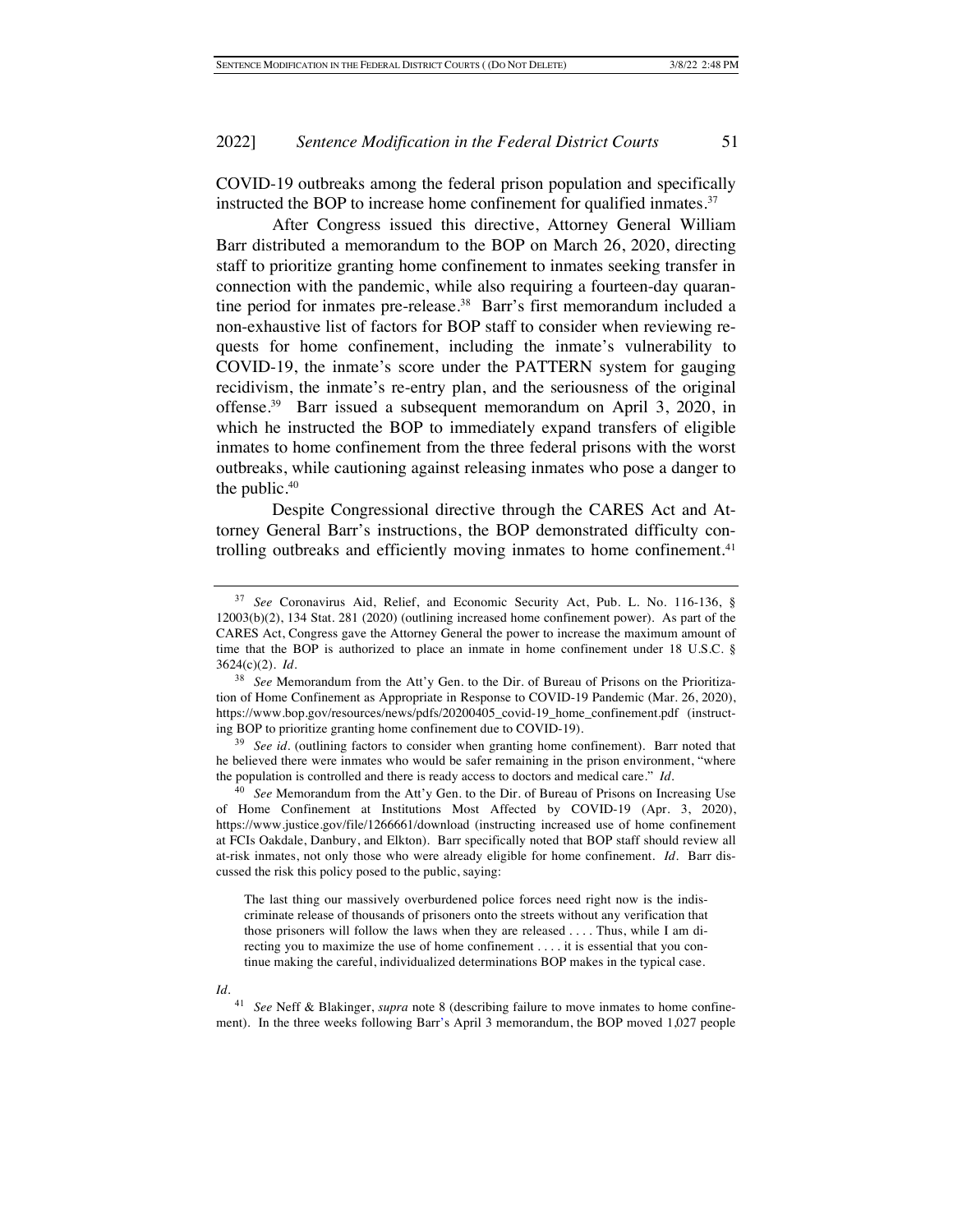COVID-19 outbreaks among the federal prison population and specifically instructed the BOP to increase home confinement for qualified inmates.<sup>37</sup>

After Congress issued this directive, Attorney General William Barr distributed a memorandum to the BOP on March 26, 2020, directing staff to prioritize granting home confinement to inmates seeking transfer in connection with the pandemic, while also requiring a fourteen-day quarantine period for inmates pre-release.<sup>38</sup> Barr's first memorandum included a non-exhaustive list of factors for BOP staff to consider when reviewing requests for home confinement, including the inmate's vulnerability to COVID-19, the inmate's score under the PATTERN system for gauging recidivism, the inmate's re-entry plan, and the seriousness of the original offense.39 Barr issued a subsequent memorandum on April 3, 2020, in which he instructed the BOP to immediately expand transfers of eligible inmates to home confinement from the three federal prisons with the worst outbreaks, while cautioning against releasing inmates who pose a danger to the public.<sup>40</sup>

Despite Congressional directive through the CARES Act and Attorney General Barr's instructions, the BOP demonstrated difficulty controlling outbreaks and efficiently moving inmates to home confinement. $41$ 

The last thing our massively overburdened police forces need right now is the indiscriminate release of thousands of prisoners onto the streets without any verification that those prisoners will follow the laws when they are released . . . . Thus, while I am directing you to maximize the use of home confinement . . . . it is essential that you continue making the careful, individualized determinations BOP makes in the typical case.

#### *Id.*

<sup>37</sup> *See* Coronavirus Aid, Relief, and Economic Security Act, Pub. L. No. 116-136, § 12003(b)(2), 134 Stat. 281 (2020) (outlining increased home confinement power). As part of the CARES Act, Congress gave the Attorney General the power to increase the maximum amount of time that the BOP is authorized to place an inmate in home confinement under 18 U.S.C. § 3624(c)(2). *Id.*

<sup>38</sup> *See* Memorandum from the Att'y Gen. to the Dir. of Bureau of Prisons on the Prioritization of Home Confinement as Appropriate in Response to COVID-19 Pandemic (Mar. 26, 2020), https://www.bop.gov/resources/news/pdfs/20200405\_covid-19\_home\_confinement.pdf (instructing BOP to prioritize granting home confinement due to COVID-19).

<sup>&</sup>lt;sup>39</sup> See id. (outlining factors to consider when granting home confinement). Barr noted that he believed there were inmates who would be safer remaining in the prison environment, "where the population is controlled and there is ready access to doctors and medical care." *Id.*

<sup>40</sup> *See* Memorandum from the Att'y Gen. to the Dir. of Bureau of Prisons on Increasing Use of Home Confinement at Institutions Most Affected by COVID-19 (Apr. 3, 2020), https://www.justice.gov/file/1266661/download (instructing increased use of home confinement at FCIs Oakdale, Danbury, and Elkton). Barr specifically noted that BOP staff should review all at-risk inmates, not only those who were already eligible for home confinement. *Id.* Barr discussed the risk this policy posed to the public, saying:

<sup>41</sup> *See* Neff & Blakinger, *supra* note 8 (describing failure to move inmates to home confinement). In the three weeks following Barr's April 3 memorandum, the BOP moved 1,027 people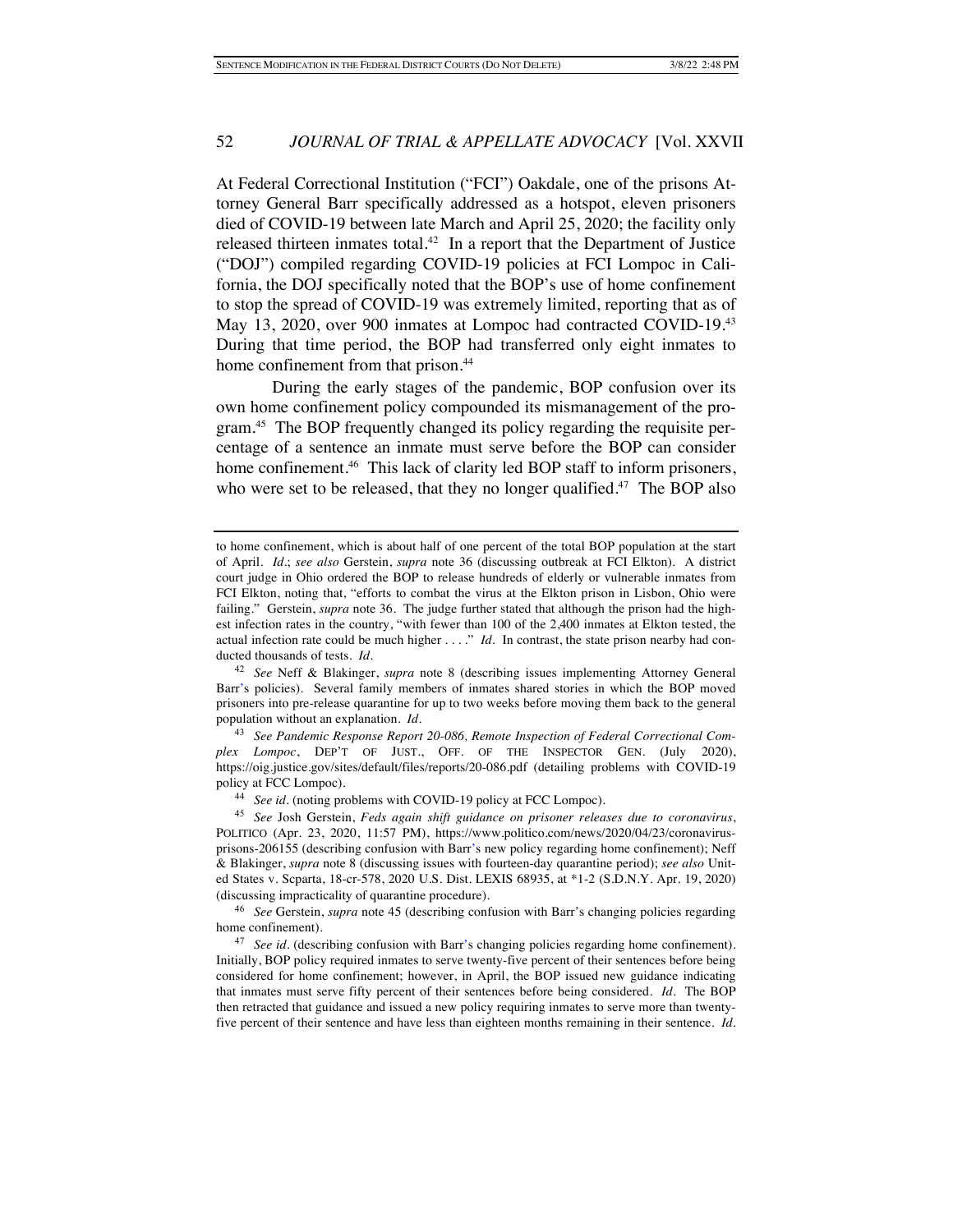At Federal Correctional Institution ("FCI") Oakdale, one of the prisons Attorney General Barr specifically addressed as a hotspot, eleven prisoners died of COVID-19 between late March and April 25, 2020; the facility only released thirteen inmates total.<sup>42</sup> In a report that the Department of Justice ("DOJ") compiled regarding COVID-19 policies at FCI Lompoc in California, the DOJ specifically noted that the BOP's use of home confinement to stop the spread of COVID-19 was extremely limited, reporting that as of May 13, 2020, over 900 inmates at Lompoc had contracted COVID-19.43 During that time period, the BOP had transferred only eight inmates to home confinement from that prison.<sup>44</sup>

During the early stages of the pandemic, BOP confusion over its own home confinement policy compounded its mismanagement of the program.45 The BOP frequently changed its policy regarding the requisite percentage of a sentence an inmate must serve before the BOP can consider home confinement.<sup>46</sup> This lack of clarity led BOP staff to inform prisoners, who were set to be released, that they no longer qualified.<sup>47</sup> The BOP also

<sup>42</sup> *See* Neff & Blakinger, *supra* note 8 (describing issues implementing Attorney General Barr's policies). Several family members of inmates shared stories in which the BOP moved prisoners into pre-release quarantine for up to two weeks before moving them back to the general population without an explanation. *Id.*

<sup>43</sup> *See Pandemic Response Report 20-086, Remote Inspection of Federal Correctional Complex Lompoc*, DEP'T OF JUST., OFF. OF THE INSPECTOR GEN. (July 2020), https://oig.justice.gov/sites/default/files/reports/20-086.pdf (detailing problems with COVID-19 policy at FCC Lompoc).

<sup>44</sup> *See id.* (noting problems with COVID-19 policy at FCC Lompoc).

<sup>45</sup> *See* Josh Gerstein, *Feds again shift guidance on prisoner releases due to coronavirus*, POLITICO (Apr. 23, 2020, 11:57 PM), https://www.politico.com/news/2020/04/23/coronavirusprisons-206155 (describing confusion with Barr's new policy regarding home confinement); Neff & Blakinger, *supra* note 8 (discussing issues with fourteen-day quarantine period); *see also* United States v. Scparta, 18-cr-578, 2020 U.S. Dist. LEXIS 68935, at \*1-2 (S.D.N.Y. Apr. 19, 2020) (discussing impracticality of quarantine procedure).

<sup>46</sup> *See* Gerstein, *supra* note 45 (describing confusion with Barr's changing policies regarding home confinement).

<sup>47</sup> *See id.* (describing confusion with Barr's changing policies regarding home confinement). Initially, BOP policy required inmates to serve twenty-five percent of their sentences before being considered for home confinement; however, in April, the BOP issued new guidance indicating that inmates must serve fifty percent of their sentences before being considered. *Id.* The BOP then retracted that guidance and issued a new policy requiring inmates to serve more than twentyfive percent of their sentence and have less than eighteen months remaining in their sentence. *Id.*

to home confinement, which is about half of one percent of the total BOP population at the start of April. *Id.*; *see also* Gerstein, *supra* note 36 (discussing outbreak at FCI Elkton). A district court judge in Ohio ordered the BOP to release hundreds of elderly or vulnerable inmates from FCI Elkton, noting that, "efforts to combat the virus at the Elkton prison in Lisbon, Ohio were failing." Gerstein, *supra* note 36. The judge further stated that although the prison had the highest infection rates in the country, "with fewer than 100 of the 2,400 inmates at Elkton tested, the actual infection rate could be much higher . . . ." *Id.* In contrast, the state prison nearby had conducted thousands of tests. *Id.*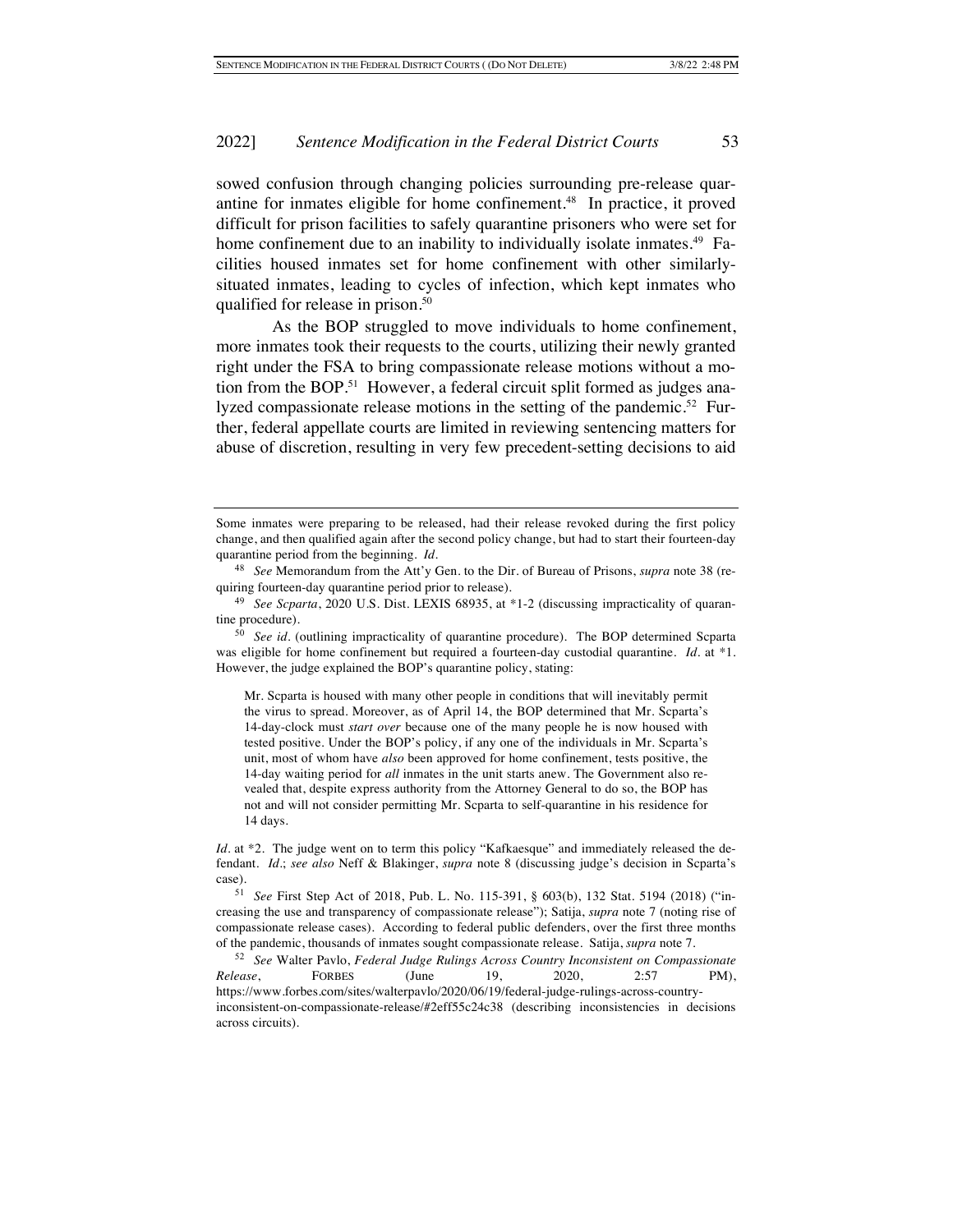sowed confusion through changing policies surrounding pre-release quarantine for inmates eligible for home confinement.<sup>48</sup> In practice, it proved difficult for prison facilities to safely quarantine prisoners who were set for home confinement due to an inability to individually isolate inmates.<sup>49</sup> Facilities housed inmates set for home confinement with other similarlysituated inmates, leading to cycles of infection, which kept inmates who qualified for release in prison.<sup>50</sup>

As the BOP struggled to move individuals to home confinement, more inmates took their requests to the courts, utilizing their newly granted right under the FSA to bring compassionate release motions without a motion from the BOP.<sup>51</sup> However, a federal circuit split formed as judges analyzed compassionate release motions in the setting of the pandemic.<sup>52</sup> Further, federal appellate courts are limited in reviewing sentencing matters for abuse of discretion, resulting in very few precedent-setting decisions to aid

Some inmates were preparing to be released, had their release revoked during the first policy change, and then qualified again after the second policy change, but had to start their fourteen-day quarantine period from the beginning. *Id.*

<sup>48</sup> *See* Memorandum from the Att'y Gen. to the Dir. of Bureau of Prisons, *supra* note 38 (requiring fourteen-day quarantine period prior to release).

<sup>49</sup> *See Scparta*, 2020 U.S. Dist. LEXIS 68935, at \*1-2 (discussing impracticality of quarantine procedure).

<sup>50</sup> *See id.* (outlining impracticality of quarantine procedure). The BOP determined Scparta was eligible for home confinement but required a fourteen-day custodial quarantine. *Id.* at \*1. However, the judge explained the BOP's quarantine policy, stating:

Mr. Scparta is housed with many other people in conditions that will inevitably permit the virus to spread. Moreover, as of April 14, the BOP determined that Mr. Scparta's 14-day-clock must *start over* because one of the many people he is now housed with tested positive. Under the BOP's policy, if any one of the individuals in Mr. Scparta's unit, most of whom have *also* been approved for home confinement, tests positive, the 14-day waiting period for *all* inmates in the unit starts anew. The Government also revealed that, despite express authority from the Attorney General to do so, the BOP has not and will not consider permitting Mr. Scparta to self-quarantine in his residence for 14 days.

*Id.* at \*2. The judge went on to term this policy "Kafkaesque" and immediately released the defendant. *Id.*; *see also* Neff & Blakinger, *supra* note 8 (discussing judge's decision in Scparta's case).

<sup>51</sup> *See* First Step Act of 2018, Pub. L. No. 115-391, § 603(b), 132 Stat. 5194 (2018) ("increasing the use and transparency of compassionate release"); Satija, *supra* note 7 (noting rise of compassionate release cases). According to federal public defenders, over the first three months of the pandemic, thousands of inmates sought compassionate release. Satija, *supra* note 7.

<sup>52</sup> *See* Walter Pavlo, *Federal Judge Rulings Across Country Inconsistent on Compassionate Release*, FORBES (June 19, 2020, 2:57 PM), https://www.forbes.com/sites/walterpavlo/2020/06/19/federal-judge-rulings-across-countryinconsistent-on-compassionate-release/#2eff55c24c38 (describing inconsistencies in decisions across circuits).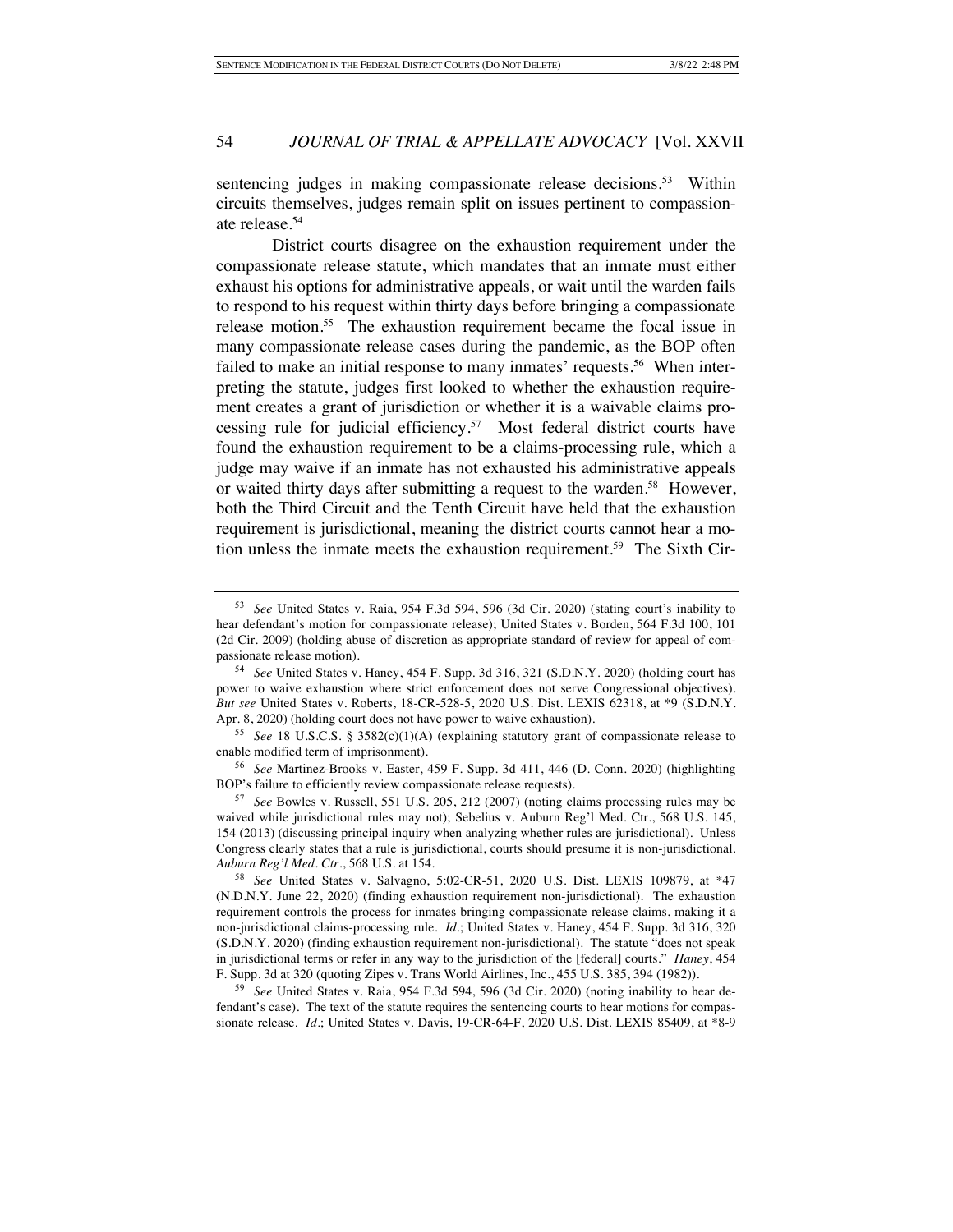sentencing judges in making compassionate release decisions.<sup>53</sup> Within circuits themselves, judges remain split on issues pertinent to compassionate release.54

District courts disagree on the exhaustion requirement under the compassionate release statute, which mandates that an inmate must either exhaust his options for administrative appeals, or wait until the warden fails to respond to his request within thirty days before bringing a compassionate release motion.<sup>55</sup> The exhaustion requirement became the focal issue in many compassionate release cases during the pandemic, as the BOP often failed to make an initial response to many inmates' requests.<sup>56</sup> When interpreting the statute, judges first looked to whether the exhaustion requirement creates a grant of jurisdiction or whether it is a waivable claims processing rule for judicial efficiency.<sup>57</sup> Most federal district courts have found the exhaustion requirement to be a claims-processing rule, which a judge may waive if an inmate has not exhausted his administrative appeals or waited thirty days after submitting a request to the warden.<sup>58</sup> However, both the Third Circuit and the Tenth Circuit have held that the exhaustion requirement is jurisdictional, meaning the district courts cannot hear a motion unless the inmate meets the exhaustion requirement.59 The Sixth Cir-

<sup>53</sup> *See* United States v. Raia, 954 F.3d 594, 596 (3d Cir. 2020) (stating court's inability to hear defendant's motion for compassionate release); United States v. Borden, 564 F.3d 100, 101 (2d Cir. 2009) (holding abuse of discretion as appropriate standard of review for appeal of compassionate release motion).

<sup>54</sup> *See* United States v. Haney, 454 F. Supp. 3d 316, 321 (S.D.N.Y. 2020) (holding court has power to waive exhaustion where strict enforcement does not serve Congressional objectives). *But see* United States v. Roberts, 18-CR-528-5, 2020 U.S. Dist. LEXIS 62318, at \*9 (S.D.N.Y. Apr. 8, 2020) (holding court does not have power to waive exhaustion).

<sup>55</sup> *See* 18 U.S.C.S. § 3582(c)(1)(A) (explaining statutory grant of compassionate release to enable modified term of imprisonment).

<sup>56</sup> *See* Martinez-Brooks v. Easter, 459 F. Supp. 3d 411, 446 (D. Conn. 2020) (highlighting BOP's failure to efficiently review compassionate release requests).

<sup>57</sup> *See* Bowles v. Russell, 551 U.S. 205, 212 (2007) (noting claims processing rules may be waived while jurisdictional rules may not); Sebelius v. Auburn Reg'l Med. Ctr., 568 U.S. 145, 154 (2013) (discussing principal inquiry when analyzing whether rules are jurisdictional). Unless Congress clearly states that a rule is jurisdictional, courts should presume it is non-jurisdictional. *Auburn Reg'l Med. Ctr.*, 568 U.S. at 154.

<sup>58</sup> *See* United States v. Salvagno, 5:02-CR-51, 2020 U.S. Dist. LEXIS 109879, at \*47 (N.D.N.Y. June 22, 2020) (finding exhaustion requirement non-jurisdictional). The exhaustion requirement controls the process for inmates bringing compassionate release claims, making it a non-jurisdictional claims-processing rule. *Id.*; United States v. Haney, 454 F. Supp. 3d 316, 320 (S.D.N.Y. 2020) (finding exhaustion requirement non-jurisdictional). The statute "does not speak in jurisdictional terms or refer in any way to the jurisdiction of the [federal] courts." *Haney*, 454 F. Supp. 3d at 320 (quoting Zipes v. Trans World Airlines, Inc., 455 U.S. 385, 394 (1982)).

<sup>59</sup> *See* United States v. Raia, 954 F.3d 594, 596 (3d Cir. 2020) (noting inability to hear defendant's case). The text of the statute requires the sentencing courts to hear motions for compassionate release. *Id.*; United States v. Davis, 19-CR-64-F, 2020 U.S. Dist. LEXIS 85409, at \*8-9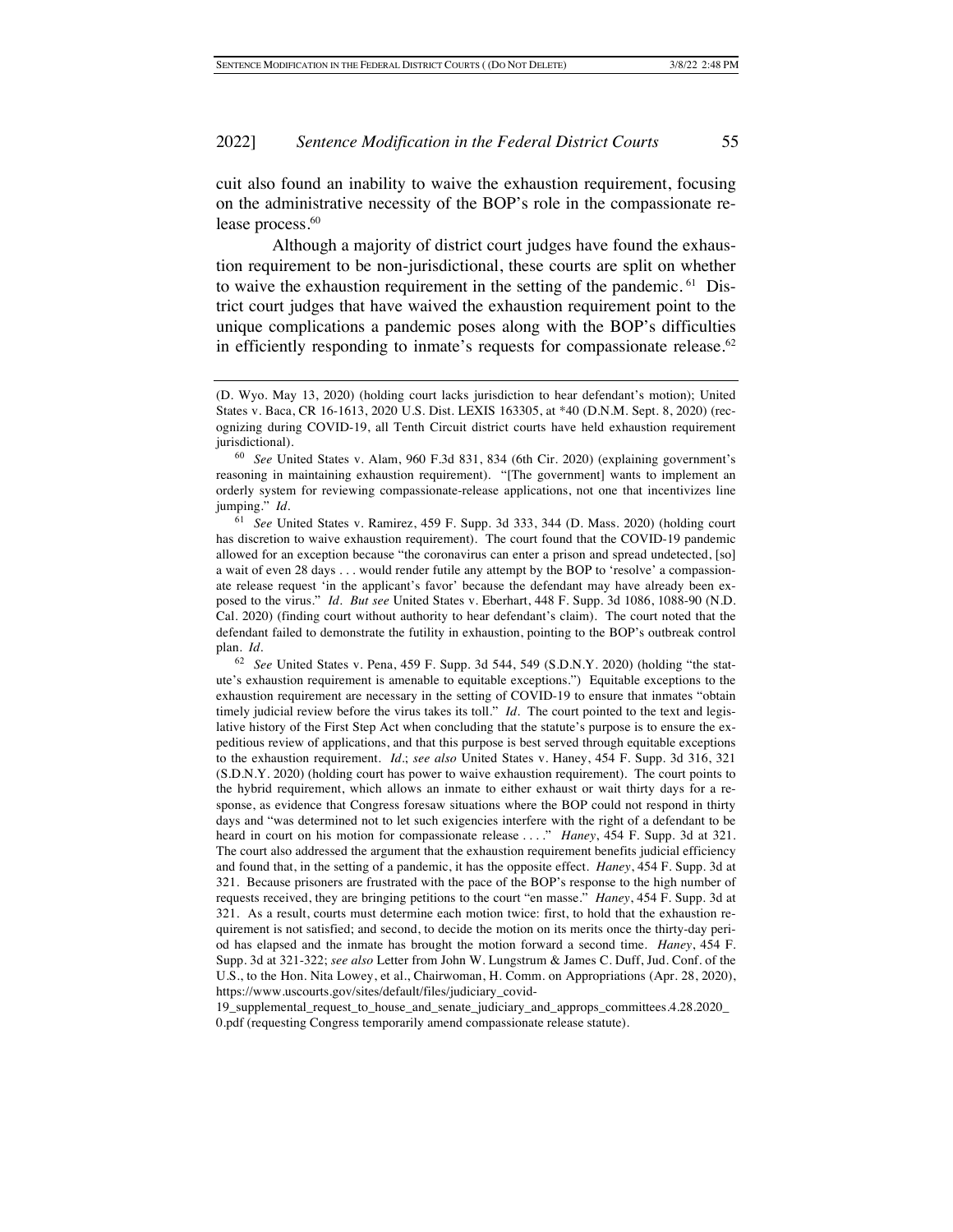cuit also found an inability to waive the exhaustion requirement, focusing on the administrative necessity of the BOP's role in the compassionate release process.<sup>60</sup>

Although a majority of district court judges have found the exhaustion requirement to be non-jurisdictional, these courts are split on whether to waive the exhaustion requirement in the setting of the pandemic. <sup>61</sup> District court judges that have waived the exhaustion requirement point to the unique complications a pandemic poses along with the BOP's difficulties in efficiently responding to inmate's requests for compassionate release. $62$ 

19\_supplemental\_request\_to\_house\_and\_senate\_judiciary\_and\_approps\_committees.4.28.2020\_ 0.pdf (requesting Congress temporarily amend compassionate release statute).

<sup>(</sup>D. Wyo. May 13, 2020) (holding court lacks jurisdiction to hear defendant's motion); United States v. Baca, CR 16-1613, 2020 U.S. Dist. LEXIS 163305, at \*40 (D.N.M. Sept. 8, 2020) (recognizing during COVID-19, all Tenth Circuit district courts have held exhaustion requirement jurisdictional).

<sup>60</sup> *See* United States v. Alam, 960 F.3d 831, 834 (6th Cir. 2020) (explaining government's reasoning in maintaining exhaustion requirement). "[The government] wants to implement an orderly system for reviewing compassionate-release applications, not one that incentivizes line jumping." *Id.*

<sup>61</sup> *See* United States v. Ramirez, 459 F. Supp. 3d 333, 344 (D. Mass. 2020) (holding court has discretion to waive exhaustion requirement). The court found that the COVID-19 pandemic allowed for an exception because "the coronavirus can enter a prison and spread undetected, [so] a wait of even 28 days . . . would render futile any attempt by the BOP to 'resolve' a compassionate release request 'in the applicant's favor' because the defendant may have already been exposed to the virus." *Id. But see* United States v. Eberhart, 448 F. Supp. 3d 1086, 1088-90 (N.D. Cal. 2020) (finding court without authority to hear defendant's claim). The court noted that the defendant failed to demonstrate the futility in exhaustion, pointing to the BOP's outbreak control plan. *Id.*

<sup>62</sup> *See* United States v. Pena, 459 F. Supp. 3d 544, 549 (S.D.N.Y. 2020) (holding "the statute's exhaustion requirement is amenable to equitable exceptions.") Equitable exceptions to the exhaustion requirement are necessary in the setting of COVID-19 to ensure that inmates "obtain timely judicial review before the virus takes its toll." *Id.* The court pointed to the text and legislative history of the First Step Act when concluding that the statute's purpose is to ensure the expeditious review of applications, and that this purpose is best served through equitable exceptions to the exhaustion requirement. *Id.*; *see also* United States v. Haney, 454 F. Supp. 3d 316, 321 (S.D.N.Y. 2020) (holding court has power to waive exhaustion requirement). The court points to the hybrid requirement, which allows an inmate to either exhaust or wait thirty days for a response, as evidence that Congress foresaw situations where the BOP could not respond in thirty days and "was determined not to let such exigencies interfere with the right of a defendant to be heard in court on his motion for compassionate release . . . ." *Haney*, 454 F. Supp. 3d at 321*.*  The court also addressed the argument that the exhaustion requirement benefits judicial efficiency and found that, in the setting of a pandemic, it has the opposite effect. *Haney*, 454 F. Supp. 3d at 321. Because prisoners are frustrated with the pace of the BOP's response to the high number of requests received, they are bringing petitions to the court "en masse." *Haney*, 454 F. Supp. 3d at 321. As a result, courts must determine each motion twice: first, to hold that the exhaustion requirement is not satisfied; and second, to decide the motion on its merits once the thirty-day period has elapsed and the inmate has brought the motion forward a second time. *Haney*, 454 F. Supp. 3d at 321-322; *see also* Letter from John W. Lungstrum & James C. Duff, Jud. Conf. of the U.S., to the Hon. Nita Lowey, et al., Chairwoman, H. Comm. on Appropriations (Apr. 28, 2020), https://www.uscourts.gov/sites/default/files/judiciary\_covid-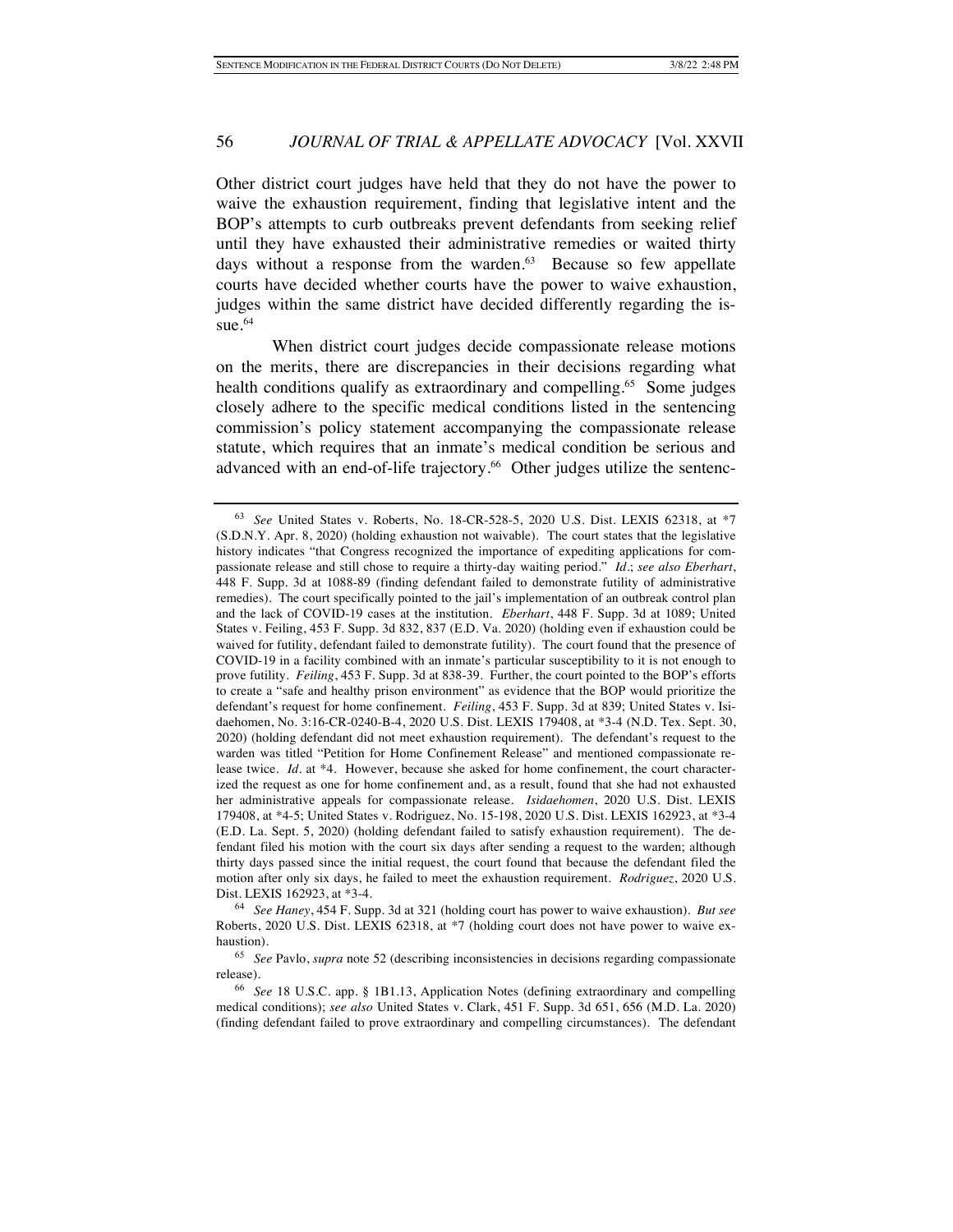Other district court judges have held that they do not have the power to waive the exhaustion requirement, finding that legislative intent and the BOP's attempts to curb outbreaks prevent defendants from seeking relief until they have exhausted their administrative remedies or waited thirty days without a response from the warden.<sup>63</sup> Because so few appellate courts have decided whether courts have the power to waive exhaustion, judges within the same district have decided differently regarding the issue. $64$ 

When district court judges decide compassionate release motions on the merits, there are discrepancies in their decisions regarding what health conditions qualify as extraordinary and compelling.<sup>65</sup> Some judges closely adhere to the specific medical conditions listed in the sentencing commission's policy statement accompanying the compassionate release statute, which requires that an inmate's medical condition be serious and advanced with an end-of-life trajectory.<sup>66</sup> Other judges utilize the sentenc-

<sup>64</sup> *See Haney*, 454 F. Supp. 3d at 321 (holding court has power to waive exhaustion). *But see* Roberts, 2020 U.S. Dist. LEXIS 62318, at \*7 (holding court does not have power to waive exhaustion).

<sup>63</sup> *See* United States v. Roberts, No. 18-CR-528-5, 2020 U.S. Dist. LEXIS 62318, at \*7 (S.D.N.Y. Apr. 8, 2020) (holding exhaustion not waivable).The court states that the legislative history indicates "that Congress recognized the importance of expediting applications for compassionate release and still chose to require a thirty-day waiting period." *Id.*; *see also Eberhart*, 448 F. Supp. 3d at 1088-89 (finding defendant failed to demonstrate futility of administrative remedies). The court specifically pointed to the jail's implementation of an outbreak control plan and the lack of COVID-19 cases at the institution. *Eberhart*, 448 F. Supp. 3d at 1089; United States v. Feiling, 453 F. Supp. 3d 832, 837 (E.D. Va. 2020) (holding even if exhaustion could be waived for futility, defendant failed to demonstrate futility). The court found that the presence of COVID-19 in a facility combined with an inmate's particular susceptibility to it is not enough to prove futility. *Feiling*, 453 F. Supp. 3d at 838-39. Further, the court pointed to the BOP's efforts to create a "safe and healthy prison environment" as evidence that the BOP would prioritize the defendant's request for home confinement. *Feiling*, 453 F. Supp. 3d at 839; United States v. Isidaehomen, No. 3:16-CR-0240-B-4, 2020 U.S. Dist. LEXIS 179408, at \*3-4 (N.D. Tex. Sept. 30, 2020) (holding defendant did not meet exhaustion requirement). The defendant's request to the warden was titled "Petition for Home Confinement Release" and mentioned compassionate release twice. *Id.* at \*4. However, because she asked for home confinement, the court characterized the request as one for home confinement and, as a result, found that she had not exhausted her administrative appeals for compassionate release. *Isidaehomen*, 2020 U.S. Dist. LEXIS 179408, at \*4-5; United States v. Rodriguez, No. 15-198, 2020 U.S. Dist. LEXIS 162923, at \*3-4 (E.D. La. Sept. 5, 2020) (holding defendant failed to satisfy exhaustion requirement). The defendant filed his motion with the court six days after sending a request to the warden; although thirty days passed since the initial request, the court found that because the defendant filed the motion after only six days, he failed to meet the exhaustion requirement. *Rodriguez*, 2020 U.S. Dist. LEXIS 162923, at \*3-4.

<sup>65</sup> *See* Pavlo, *supra* note 52 (describing inconsistencies in decisions regarding compassionate release).

<sup>66</sup> *See* 18 U.S.C. app. § 1B1.13, Application Notes (defining extraordinary and compelling medical conditions); *see also* United States v. Clark, 451 F. Supp. 3d 651, 656 (M.D. La. 2020) (finding defendant failed to prove extraordinary and compelling circumstances). The defendant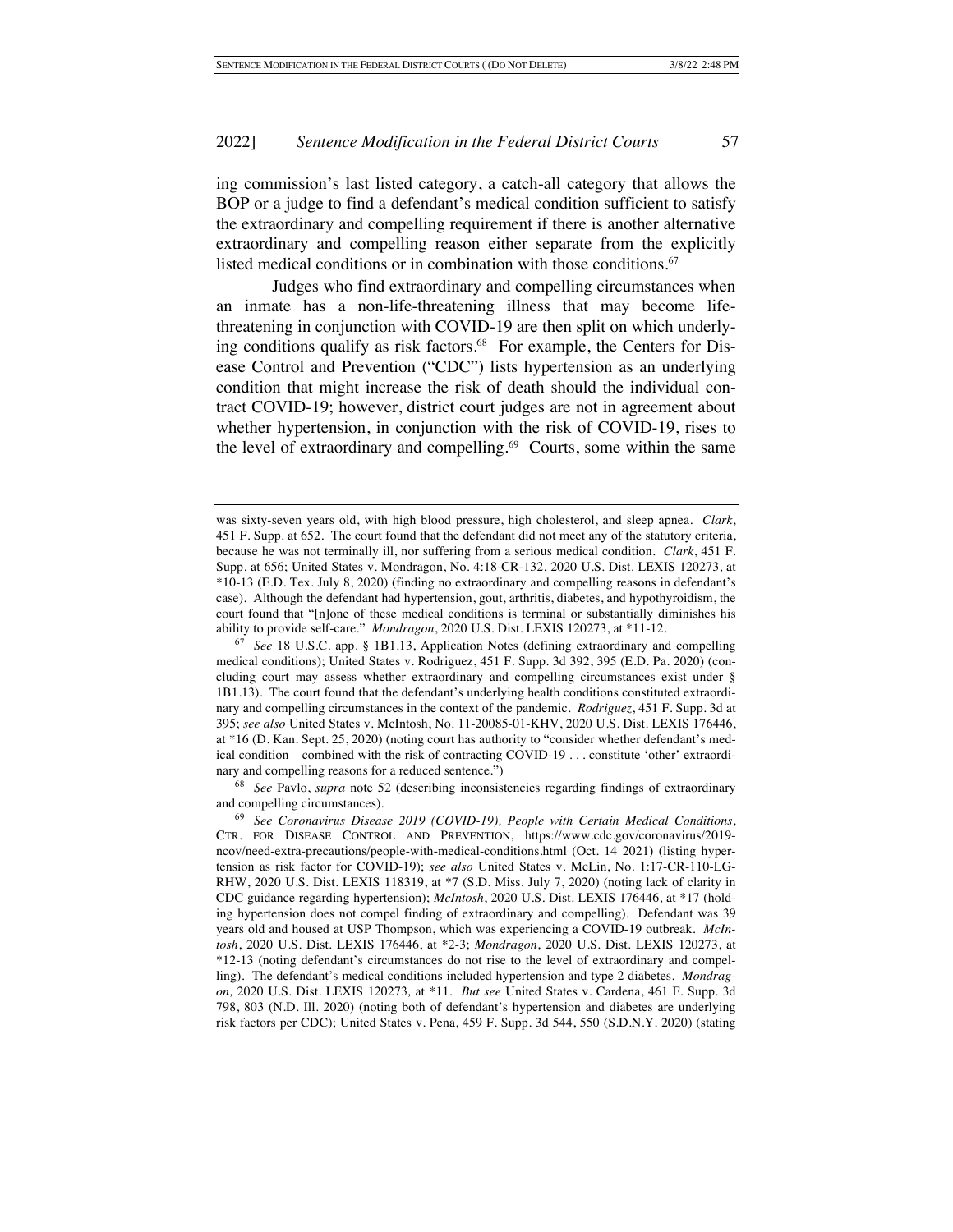ing commission's last listed category, a catch-all category that allows the BOP or a judge to find a defendant's medical condition sufficient to satisfy the extraordinary and compelling requirement if there is another alternative extraordinary and compelling reason either separate from the explicitly listed medical conditions or in combination with those conditions.<sup>67</sup>

Judges who find extraordinary and compelling circumstances when an inmate has a non-life-threatening illness that may become lifethreatening in conjunction with COVID-19 are then split on which underlying conditions qualify as risk factors.<sup>68</sup> For example, the Centers for Disease Control and Prevention ("CDC") lists hypertension as an underlying condition that might increase the risk of death should the individual contract COVID-19; however, district court judges are not in agreement about whether hypertension, in conjunction with the risk of COVID-19, rises to the level of extraordinary and compelling. $69$  Courts, some within the same

<sup>68</sup> *See* Pavlo, *supra* note 52 (describing inconsistencies regarding findings of extraordinary and compelling circumstances).

was sixty-seven years old, with high blood pressure, high cholesterol, and sleep apnea. *Clark*, 451 F. Supp. at 652. The court found that the defendant did not meet any of the statutory criteria, because he was not terminally ill, nor suffering from a serious medical condition. *Clark*, 451 F. Supp. at 656; United States v. Mondragon, No. 4:18-CR-132, 2020 U.S. Dist. LEXIS 120273, at \*10-13 (E.D. Tex. July 8, 2020) (finding no extraordinary and compelling reasons in defendant's case). Although the defendant had hypertension, gout, arthritis, diabetes, and hypothyroidism, the court found that "[n]one of these medical conditions is terminal or substantially diminishes his ability to provide self-care." *Mondragon*, 2020 U.S. Dist. LEXIS 120273, at \*11-12.

<sup>67</sup> *See* 18 U.S.C. app. § 1B1.13, Application Notes (defining extraordinary and compelling medical conditions); United States v. Rodriguez, 451 F. Supp. 3d 392, 395 (E.D. Pa. 2020) (concluding court may assess whether extraordinary and compelling circumstances exist under § 1B1.13). The court found that the defendant's underlying health conditions constituted extraordinary and compelling circumstances in the context of the pandemic. *Rodriguez*, 451 F. Supp. 3d at 395; *see also* United States v. McIntosh, No. 11-20085-01-KHV, 2020 U.S. Dist. LEXIS 176446, at \*16 (D. Kan. Sept. 25, 2020) (noting court has authority to "consider whether defendant's medical condition—combined with the risk of contracting COVID-19 . . . constitute 'other' extraordinary and compelling reasons for a reduced sentence.")

<sup>69</sup> *See Coronavirus Disease 2019 (COVID-19), People with Certain Medical Conditions*, CTR. FOR DISEASE CONTROL AND PREVENTION, https://www.cdc.gov/coronavirus/2019 ncov/need-extra-precautions/people-with-medical-conditions.html (Oct. 14 2021) (listing hypertension as risk factor for COVID-19); *see also* United States v. McLin, No. 1:17-CR-110-LG-RHW, 2020 U.S. Dist. LEXIS 118319, at \*7 (S.D. Miss. July 7, 2020) (noting lack of clarity in CDC guidance regarding hypertension); *McIntosh*, 2020 U.S. Dist. LEXIS 176446, at \*17 (holding hypertension does not compel finding of extraordinary and compelling). Defendant was 39 years old and housed at USP Thompson, which was experiencing a COVID-19 outbreak. *McIntosh*, 2020 U.S. Dist. LEXIS 176446, at \*2-3; *Mondragon*, 2020 U.S. Dist. LEXIS 120273, at \*12-13 (noting defendant's circumstances do not rise to the level of extraordinary and compelling). The defendant's medical conditions included hypertension and type 2 diabetes. *Mondragon,* 2020 U.S. Dist. LEXIS 120273*,* at \*11. *But see* United States v. Cardena, 461 F. Supp. 3d 798, 803 (N.D. Ill. 2020) (noting both of defendant's hypertension and diabetes are underlying risk factors per CDC); United States v. Pena, 459 F. Supp. 3d 544, 550 (S.D.N.Y. 2020) (stating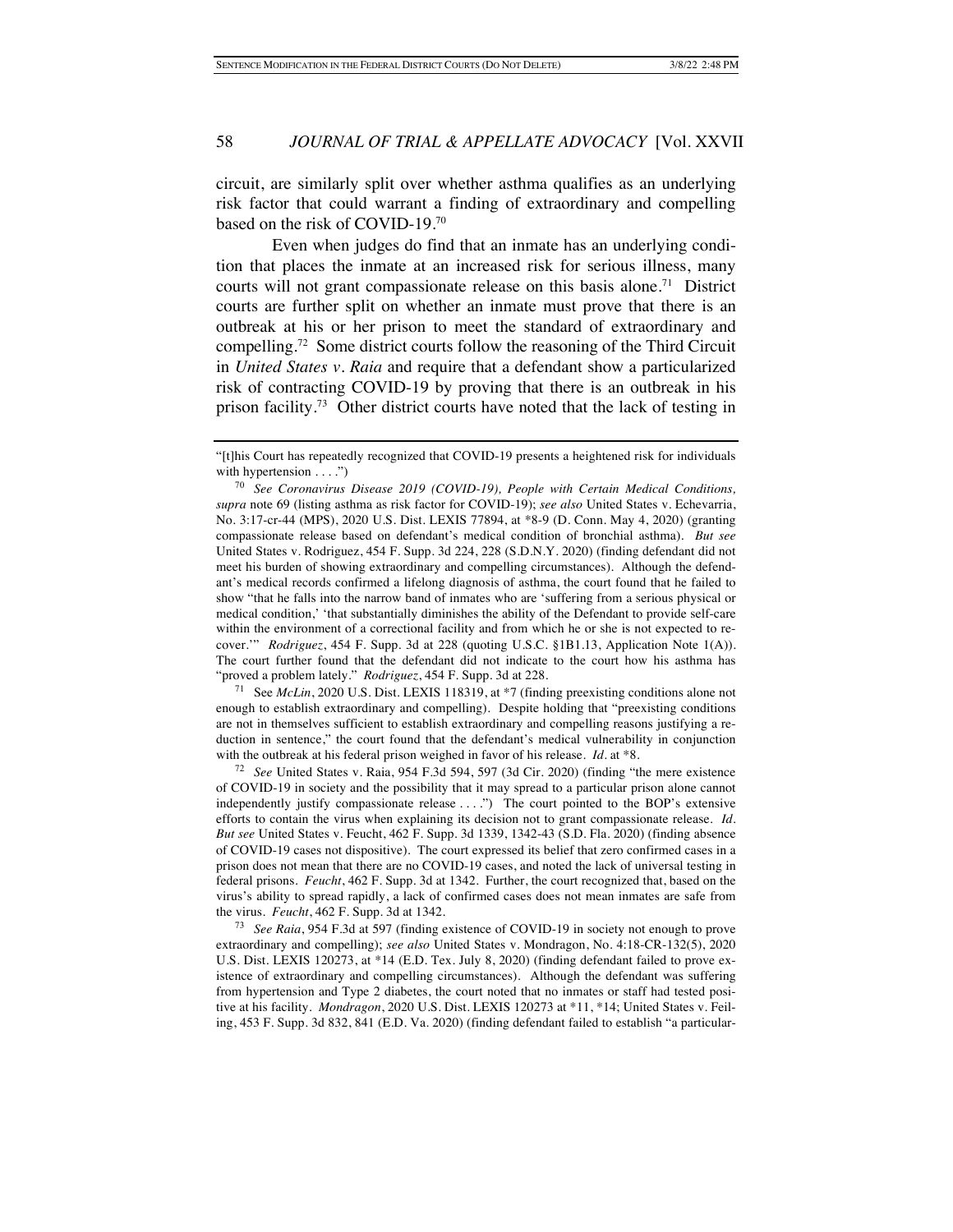circuit, are similarly split over whether asthma qualifies as an underlying risk factor that could warrant a finding of extraordinary and compelling based on the risk of COVID-19.70

Even when judges do find that an inmate has an underlying condition that places the inmate at an increased risk for serious illness, many courts will not grant compassionate release on this basis alone.<sup>71</sup> District courts are further split on whether an inmate must prove that there is an outbreak at his or her prison to meet the standard of extraordinary and compelling.72 Some district courts follow the reasoning of the Third Circuit in *United States v. Raia* and require that a defendant show a particularized risk of contracting COVID-19 by proving that there is an outbreak in his prison facility.73 Other district courts have noted that the lack of testing in

<sup>71</sup> See *McLin*, 2020 U.S. Dist. LEXIS 118319, at \*7 (finding preexisting conditions alone not enough to establish extraordinary and compelling). Despite holding that "preexisting conditions are not in themselves sufficient to establish extraordinary and compelling reasons justifying a reduction in sentence," the court found that the defendant's medical vulnerability in conjunction with the outbreak at his federal prison weighed in favor of his release. *Id.* at \*8.

<sup>72</sup> *See* United States v. Raia, 954 F.3d 594, 597 (3d Cir. 2020) (finding "the mere existence of COVID-19 in society and the possibility that it may spread to a particular prison alone cannot independently justify compassionate release . . . .") The court pointed to the BOP's extensive efforts to contain the virus when explaining its decision not to grant compassionate release. *Id. But see* United States v. Feucht, 462 F. Supp. 3d 1339, 1342-43 (S.D. Fla. 2020) (finding absence of COVID-19 cases not dispositive). The court expressed its belief that zero confirmed cases in a prison does not mean that there are no COVID-19 cases, and noted the lack of universal testing in federal prisons. *Feucht*, 462 F. Supp. 3d at 1342. Further, the court recognized that, based on the virus's ability to spread rapidly, a lack of confirmed cases does not mean inmates are safe from the virus. *Feucht*, 462 F. Supp. 3d at 1342.

<sup>73</sup> *See Raia*, 954 F.3d at 597 (finding existence of COVID-19 in society not enough to prove extraordinary and compelling); *see also* United States v. Mondragon, No. 4:18-CR-132(5), 2020 U.S. Dist. LEXIS 120273, at \*14 (E.D. Tex. July 8, 2020) (finding defendant failed to prove existence of extraordinary and compelling circumstances). Although the defendant was suffering from hypertension and Type 2 diabetes, the court noted that no inmates or staff had tested positive at his facility. *Mondragon*, 2020 U.S. Dist. LEXIS 120273 at \*11, \*14; United States v. Feiling, 453 F. Supp. 3d 832, 841 (E.D. Va. 2020) (finding defendant failed to establish "a particular-

<sup>&</sup>quot;[t]his Court has repeatedly recognized that COVID-19 presents a heightened risk for individuals with hypertension . . . .")

<sup>70</sup> *See Coronavirus Disease 2019 (COVID-19), People with Certain Medical Conditions, supra* note 69 (listing asthma as risk factor for COVID-19); *see also* United States v. Echevarria, No. 3:17-cr-44 (MPS), 2020 U.S. Dist. LEXIS 77894, at \*8-9 (D. Conn. May 4, 2020) (granting compassionate release based on defendant's medical condition of bronchial asthma). *But see* United States v. Rodriguez, 454 F. Supp. 3d 224, 228 (S.D.N.Y. 2020) (finding defendant did not meet his burden of showing extraordinary and compelling circumstances). Although the defendant's medical records confirmed a lifelong diagnosis of asthma, the court found that he failed to show "that he falls into the narrow band of inmates who are 'suffering from a serious physical or medical condition,' 'that substantially diminishes the ability of the Defendant to provide self-care within the environment of a correctional facility and from which he or she is not expected to recover.'" *Rodriguez*, 454 F. Supp. 3d at 228 (quoting U.S.C. §1B1.13, Application Note 1(A)). The court further found that the defendant did not indicate to the court how his asthma has "proved a problem lately." *Rodriguez*, 454 F. Supp. 3d at 228.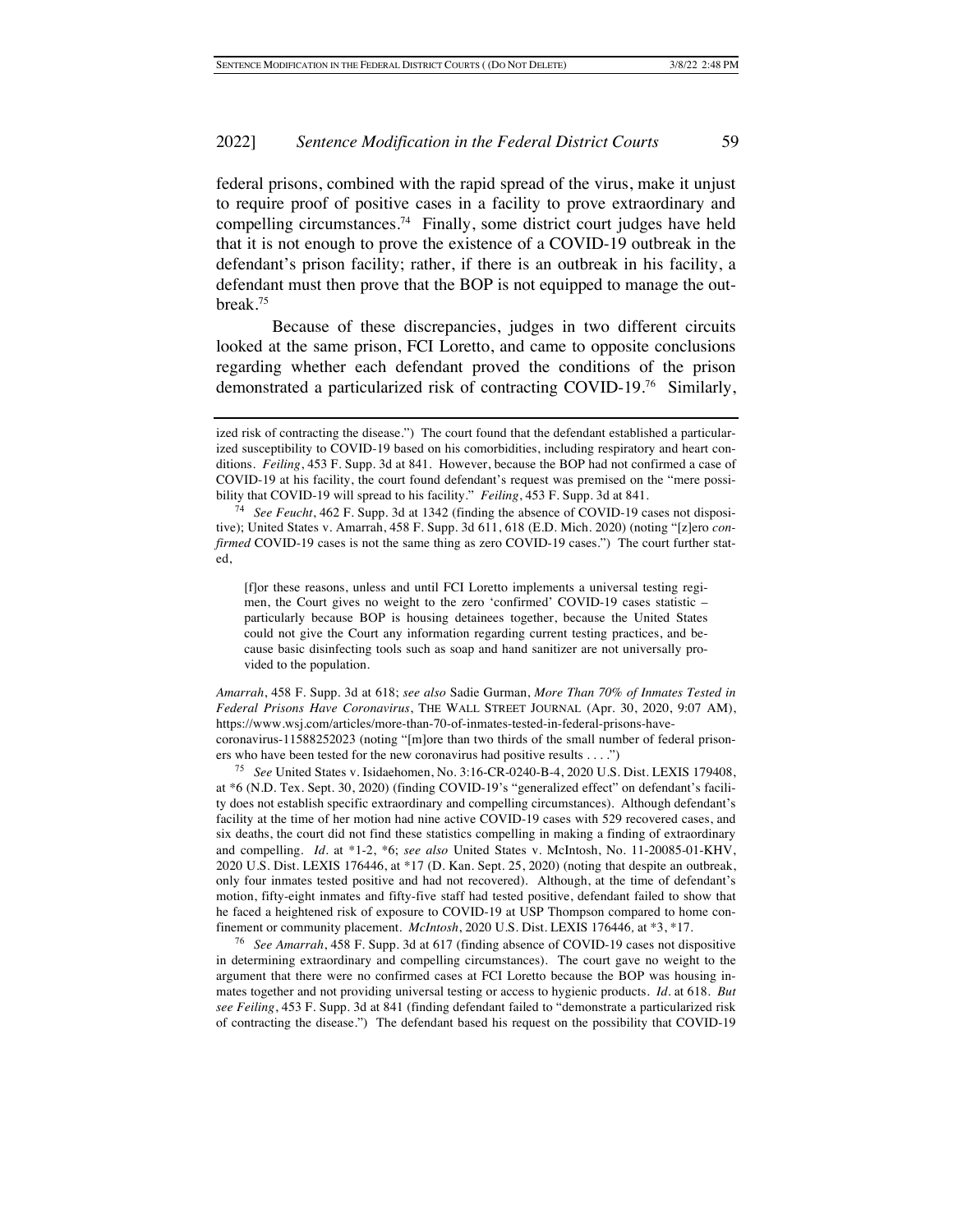federal prisons, combined with the rapid spread of the virus, make it unjust to require proof of positive cases in a facility to prove extraordinary and compelling circumstances.<sup>74</sup> Finally, some district court judges have held that it is not enough to prove the existence of a COVID-19 outbreak in the defendant's prison facility; rather, if there is an outbreak in his facility, a defendant must then prove that the BOP is not equipped to manage the outbreak.75

Because of these discrepancies, judges in two different circuits looked at the same prison, FCI Loretto, and came to opposite conclusions regarding whether each defendant proved the conditions of the prison demonstrated a particularized risk of contracting COVID-19.76 Similarly,

[f]or these reasons, unless and until FCI Loretto implements a universal testing regimen, the Court gives no weight to the zero 'confirmed' COVID-19 cases statistic – particularly because BOP is housing detainees together, because the United States could not give the Court any information regarding current testing practices, and because basic disinfecting tools such as soap and hand sanitizer are not universally provided to the population.

*Amarrah*, 458 F. Supp. 3d at 618; *see also* Sadie Gurman, *More Than 70% of Inmates Tested in Federal Prisons Have Coronavirus*, THE WALL STREET JOURNAL (Apr. 30, 2020, 9:07 AM), https://www.wsj.com/articles/more-than-70-of-inmates-tested-in-federal-prisons-havecoronavirus-11588252023 (noting "[m]ore than two thirds of the small number of federal prisoners who have been tested for the new coronavirus had positive results . . . .")

<sup>75</sup> *See* United States v. Isidaehomen, No. 3:16-CR-0240-B-4, 2020 U.S. Dist. LEXIS 179408, at \*6 (N.D. Tex. Sept. 30, 2020) (finding COVID-19's "generalized effect" on defendant's facility does not establish specific extraordinary and compelling circumstances). Although defendant's facility at the time of her motion had nine active COVID-19 cases with 529 recovered cases, and six deaths, the court did not find these statistics compelling in making a finding of extraordinary and compelling. *Id.* at \*1-2, \*6; *see also* United States v. McIntosh, No. 11-20085-01-KHV, 2020 U.S. Dist. LEXIS 176446, at \*17 (D. Kan. Sept. 25, 2020) (noting that despite an outbreak, only four inmates tested positive and had not recovered). Although, at the time of defendant's motion, fifty-eight inmates and fifty-five staff had tested positive, defendant failed to show that he faced a heightened risk of exposure to COVID-19 at USP Thompson compared to home confinement or community placement. *McIntosh*, 2020 U.S. Dist. LEXIS 176446*,* at \*3, \*17.

<sup>76</sup> *See Amarrah*, 458 F. Supp. 3d at 617 (finding absence of COVID-19 cases not dispositive in determining extraordinary and compelling circumstances). The court gave no weight to the argument that there were no confirmed cases at FCI Loretto because the BOP was housing inmates together and not providing universal testing or access to hygienic products. *Id.* at 618. *But see Feiling*, 453 F. Supp. 3d at 841 (finding defendant failed to "demonstrate a particularized risk of contracting the disease.") The defendant based his request on the possibility that COVID-19

ized risk of contracting the disease.") The court found that the defendant established a particularized susceptibility to COVID-19 based on his comorbidities, including respiratory and heart conditions. *Feiling*, 453 F. Supp. 3d at 841. However, because the BOP had not confirmed a case of COVID-19 at his facility, the court found defendant's request was premised on the "mere possibility that COVID-19 will spread to his facility." *Feiling*, 453 F. Supp. 3d at 841.

<sup>74</sup> *See Feucht*, 462 F. Supp. 3d at 1342 (finding the absence of COVID-19 cases not dispositive); United States v. Amarrah, 458 F. Supp. 3d 611, 618 (E.D. Mich. 2020) (noting "[z]ero *confirmed* COVID-19 cases is not the same thing as zero COVID-19 cases.") The court further stated,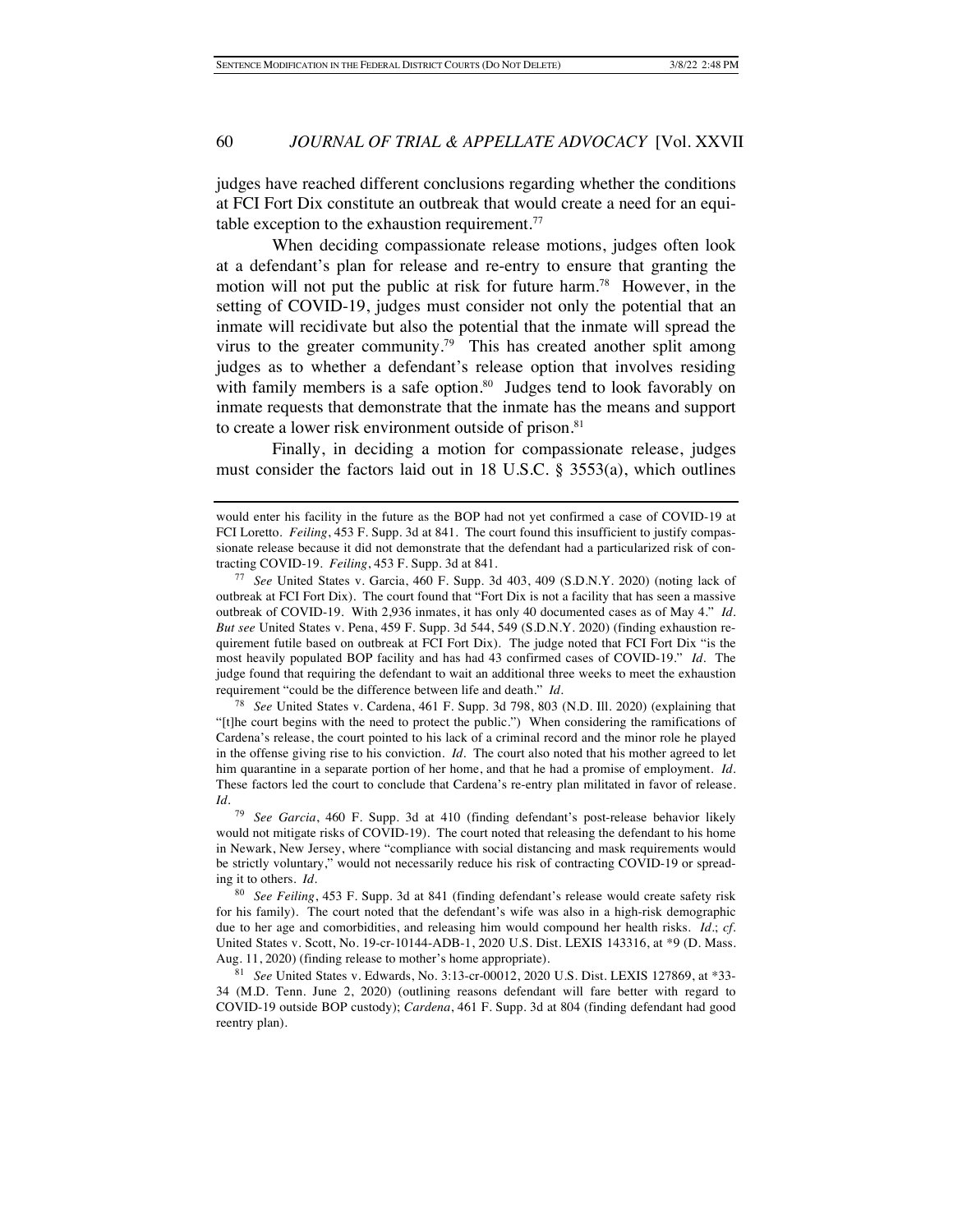judges have reached different conclusions regarding whether the conditions at FCI Fort Dix constitute an outbreak that would create a need for an equitable exception to the exhaustion requirement.<sup>77</sup>

When deciding compassionate release motions, judges often look at a defendant's plan for release and re-entry to ensure that granting the motion will not put the public at risk for future harm.<sup>78</sup> However, in the setting of COVID-19, judges must consider not only the potential that an inmate will recidivate but also the potential that the inmate will spread the virus to the greater community.<sup>79</sup> This has created another split among judges as to whether a defendant's release option that involves residing with family members is a safe option.<sup>80</sup> Judges tend to look favorably on inmate requests that demonstrate that the inmate has the means and support to create a lower risk environment outside of prison.<sup>81</sup>

Finally, in deciding a motion for compassionate release, judges must consider the factors laid out in 18 U.S.C. § 3553(a), which outlines

<sup>78</sup> *See* United States v. Cardena, 461 F. Supp. 3d 798, 803 (N.D. Ill. 2020) (explaining that "[t]he court begins with the need to protect the public.") When considering the ramifications of Cardena's release, the court pointed to his lack of a criminal record and the minor role he played in the offense giving rise to his conviction. *Id.* The court also noted that his mother agreed to let him quarantine in a separate portion of her home, and that he had a promise of employment. *Id.* These factors led the court to conclude that Cardena's re-entry plan militated in favor of release. *Id.*

<sup>79</sup> *See Garcia*, 460 F. Supp. 3d at 410 (finding defendant's post-release behavior likely would not mitigate risks of COVID-19). The court noted that releasing the defendant to his home in Newark, New Jersey, where "compliance with social distancing and mask requirements would be strictly voluntary," would not necessarily reduce his risk of contracting COVID-19 or spreading it to others. *Id.*

<sup>80</sup> *See Feiling*, 453 F. Supp. 3d at 841 (finding defendant's release would create safety risk for his family). The court noted that the defendant's wife was also in a high-risk demographic due to her age and comorbidities, and releasing him would compound her health risks. *Id.*; *cf.* United States v. Scott, No. 19-cr-10144-ADB-1, 2020 U.S. Dist. LEXIS 143316, at \*9 (D. Mass. Aug. 11, 2020) (finding release to mother's home appropriate).

<sup>81</sup> *See* United States v. Edwards, No. 3:13-cr-00012, 2020 U.S. Dist. LEXIS 127869, at \*33- 34 (M.D. Tenn. June 2, 2020) (outlining reasons defendant will fare better with regard to COVID-19 outside BOP custody); *Cardena*, 461 F. Supp. 3d at 804 (finding defendant had good reentry plan).

would enter his facility in the future as the BOP had not yet confirmed a case of COVID-19 at FCI Loretto. *Feiling*, 453 F. Supp. 3d at 841. The court found this insufficient to justify compassionate release because it did not demonstrate that the defendant had a particularized risk of contracting COVID-19. *Feiling*, 453 F. Supp. 3d at 841.

<sup>77</sup> *See* United States v. Garcia, 460 F. Supp. 3d 403, 409 (S.D.N.Y. 2020) (noting lack of outbreak at FCI Fort Dix). The court found that "Fort Dix is not a facility that has seen a massive outbreak of COVID-19. With 2,936 inmates, it has only 40 documented cases as of May 4." *Id. But see* United States v. Pena, 459 F. Supp. 3d 544, 549 (S.D.N.Y. 2020) (finding exhaustion requirement futile based on outbreak at FCI Fort Dix). The judge noted that FCI Fort Dix "is the most heavily populated BOP facility and has had 43 confirmed cases of COVID-19." *Id.* The judge found that requiring the defendant to wait an additional three weeks to meet the exhaustion requirement "could be the difference between life and death." *Id.*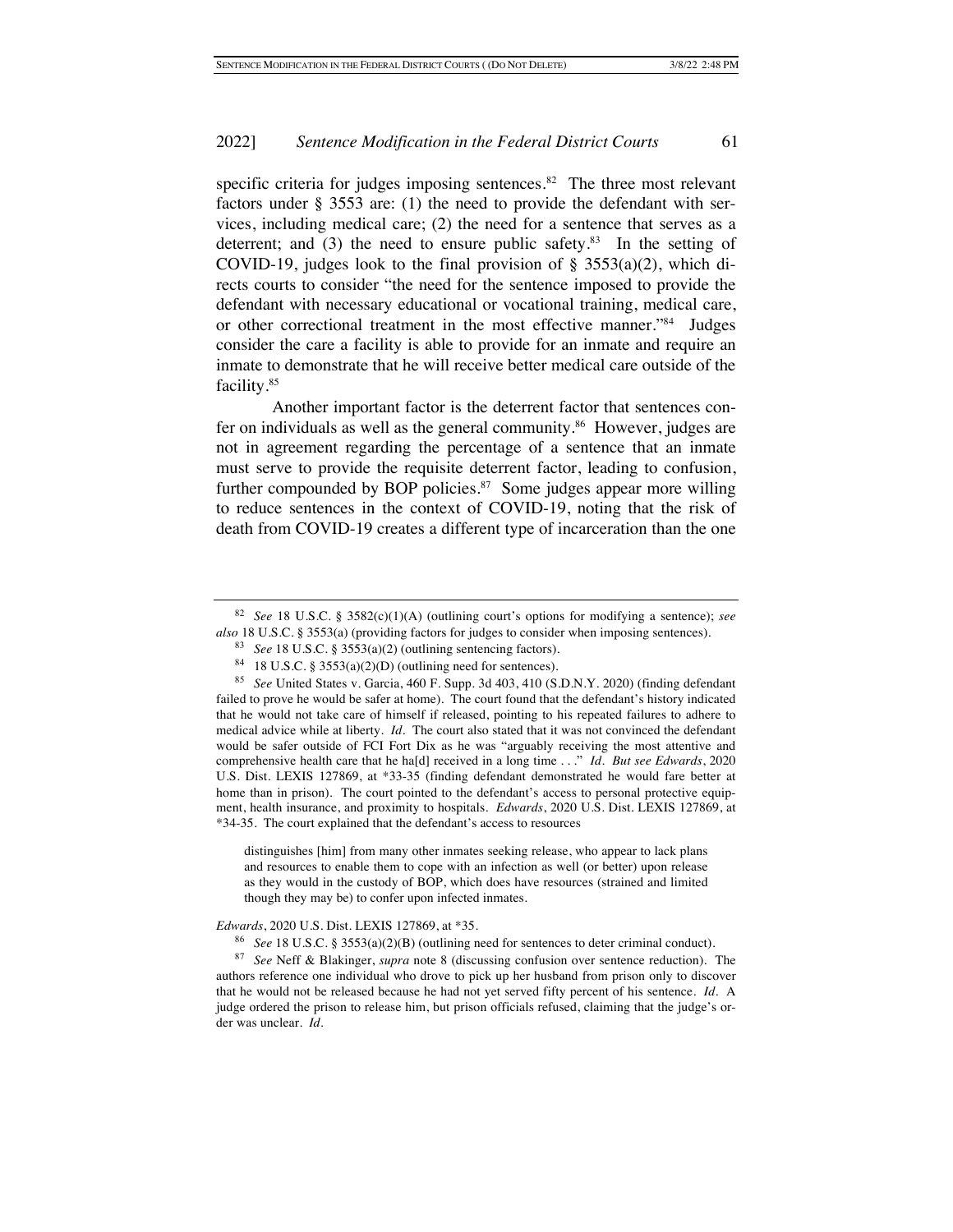specific criteria for judges imposing sentences. $82$  The three most relevant factors under § 3553 are: (1) the need to provide the defendant with services, including medical care; (2) the need for a sentence that serves as a deterrent; and  $(3)$  the need to ensure public safety.<sup>83</sup> In the setting of COVID-19, judges look to the final provision of  $\S$  3553(a)(2), which directs courts to consider "the need for the sentence imposed to provide the defendant with necessary educational or vocational training, medical care, or other correctional treatment in the most effective manner."84 Judges consider the care a facility is able to provide for an inmate and require an inmate to demonstrate that he will receive better medical care outside of the facility.85

Another important factor is the deterrent factor that sentences confer on individuals as well as the general community.<sup>86</sup> However, judges are not in agreement regarding the percentage of a sentence that an inmate must serve to provide the requisite deterrent factor, leading to confusion, further compounded by BOP policies.<sup>87</sup> Some judges appear more willing to reduce sentences in the context of COVID-19, noting that the risk of death from COVID-19 creates a different type of incarceration than the one

distinguishes [him] from many other inmates seeking release, who appear to lack plans and resources to enable them to cope with an infection as well (or better) upon release as they would in the custody of BOP, which does have resources (strained and limited though they may be) to confer upon infected inmates.

#### *Edwards*, 2020 U.S. Dist. LEXIS 127869, at \*35.

<sup>82</sup> *See* 18 U.S.C. § 3582(c)(1)(A) (outlining court's options for modifying a sentence); *see also* 18 U.S.C. § 3553(a) (providing factors for judges to consider when imposing sentences).

<sup>83</sup> *See* 18 U.S.C. § 3553(a)(2) (outlining sentencing factors).

<sup>&</sup>lt;sup>84</sup> 18 U.S.C. § 3553(a)(2)(D) (outlining need for sentences).

<sup>85</sup> *See* United States v. Garcia, 460 F. Supp. 3d 403, 410 (S.D.N.Y. 2020) (finding defendant failed to prove he would be safer at home). The court found that the defendant's history indicated that he would not take care of himself if released, pointing to his repeated failures to adhere to medical advice while at liberty. *Id.* The court also stated that it was not convinced the defendant would be safer outside of FCI Fort Dix as he was "arguably receiving the most attentive and comprehensive health care that he ha[d] received in a long time . . ." *Id. But see Edwards*, 2020 U.S. Dist. LEXIS 127869, at \*33-35 (finding defendant demonstrated he would fare better at home than in prison). The court pointed to the defendant's access to personal protective equipment, health insurance, and proximity to hospitals. *Edwards*, 2020 U.S. Dist. LEXIS 127869, at \*34-35. The court explained that the defendant's access to resources

<sup>86</sup> *See* 18 U.S.C. § 3553(a)(2)(B) (outlining need for sentences to deter criminal conduct).

<sup>87</sup> *See* Neff & Blakinger, *supra* note 8 (discussing confusion over sentence reduction). The authors reference one individual who drove to pick up her husband from prison only to discover that he would not be released because he had not yet served fifty percent of his sentence. *Id.* A judge ordered the prison to release him, but prison officials refused, claiming that the judge's order was unclear. *Id.*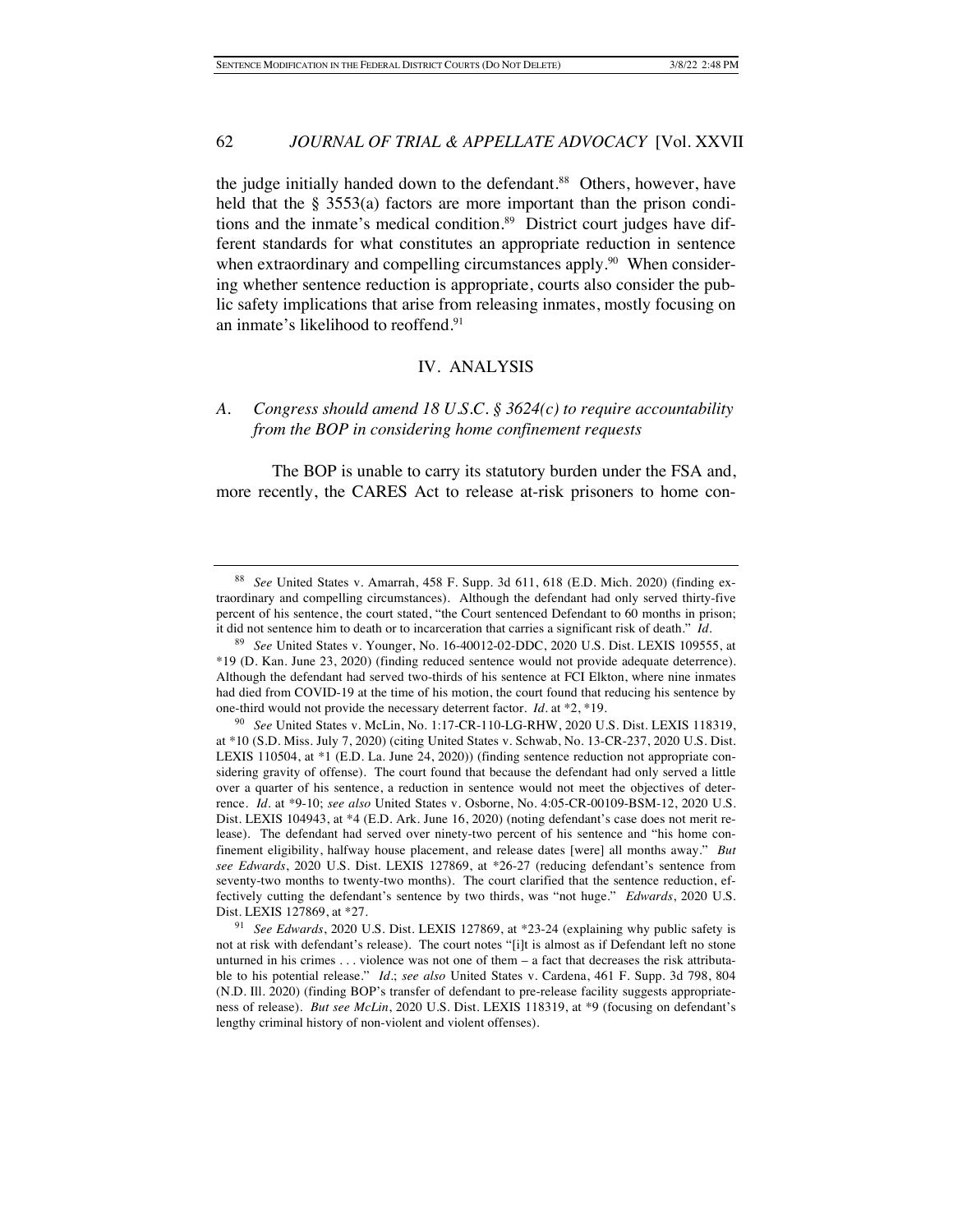the judge initially handed down to the defendant.<sup>88</sup> Others, however, have held that the  $\S$  3553(a) factors are more important than the prison conditions and the inmate's medical condition.<sup>89</sup> District court judges have different standards for what constitutes an appropriate reduction in sentence when extraordinary and compelling circumstances apply.<sup>90</sup> When considering whether sentence reduction is appropriate, courts also consider the public safety implications that arise from releasing inmates, mostly focusing on an inmate's likelihood to reoffend.91

#### IV. ANALYSIS

# *A. Congress should amend 18 U.S.C. § 3624(c) to require accountability from the BOP in considering home confinement requests*

The BOP is unable to carry its statutory burden under the FSA and, more recently, the CARES Act to release at-risk prisoners to home con-

<sup>88</sup> *See* United States v. Amarrah, 458 F. Supp. 3d 611, 618 (E.D. Mich. 2020) (finding extraordinary and compelling circumstances). Although the defendant had only served thirty-five percent of his sentence, the court stated, "the Court sentenced Defendant to 60 months in prison; it did not sentence him to death or to incarceration that carries a significant risk of death." *Id.*

<sup>89</sup> *See* United States v. Younger, No. 16-40012-02-DDC, 2020 U.S. Dist. LEXIS 109555, at \*19 (D. Kan. June 23, 2020) (finding reduced sentence would not provide adequate deterrence). Although the defendant had served two-thirds of his sentence at FCI Elkton, where nine inmates had died from COVID-19 at the time of his motion, the court found that reducing his sentence by one-third would not provide the necessary deterrent factor. *Id.* at \*2, \*19.

<sup>90</sup> *See* United States v. McLin, No. 1:17-CR-110-LG-RHW, 2020 U.S. Dist. LEXIS 118319, at \*10 (S.D. Miss. July 7, 2020) (citing United States v. Schwab, No. 13-CR-237, 2020 U.S. Dist. LEXIS 110504, at \*1 (E.D. La. June 24, 2020)) (finding sentence reduction not appropriate considering gravity of offense). The court found that because the defendant had only served a little over a quarter of his sentence, a reduction in sentence would not meet the objectives of deterrence. *Id.* at \*9-10; *see also* United States v. Osborne, No. 4:05-CR-00109-BSM-12, 2020 U.S. Dist. LEXIS 104943, at \*4 (E.D. Ark. June 16, 2020) (noting defendant's case does not merit release). The defendant had served over ninety-two percent of his sentence and "his home confinement eligibility, halfway house placement, and release dates [were] all months away." *But see Edwards*, 2020 U.S. Dist. LEXIS 127869, at \*26-27 (reducing defendant's sentence from seventy-two months to twenty-two months). The court clarified that the sentence reduction, effectively cutting the defendant's sentence by two thirds, was "not huge." *Edwards*, 2020 U.S. Dist. LEXIS 127869, at \*27.

<sup>91</sup> *See Edwards*, 2020 U.S. Dist. LEXIS 127869, at \*23-24 (explaining why public safety is not at risk with defendant's release). The court notes "[i]t is almost as if Defendant left no stone unturned in his crimes . . . violence was not one of them – a fact that decreases the risk attributable to his potential release." *Id.*; *see also* United States v. Cardena, 461 F. Supp. 3d 798, 804 (N.D. Ill. 2020) (finding BOP's transfer of defendant to pre-release facility suggests appropriateness of release). *But see McLin*, 2020 U.S. Dist. LEXIS 118319, at \*9 (focusing on defendant's lengthy criminal history of non-violent and violent offenses).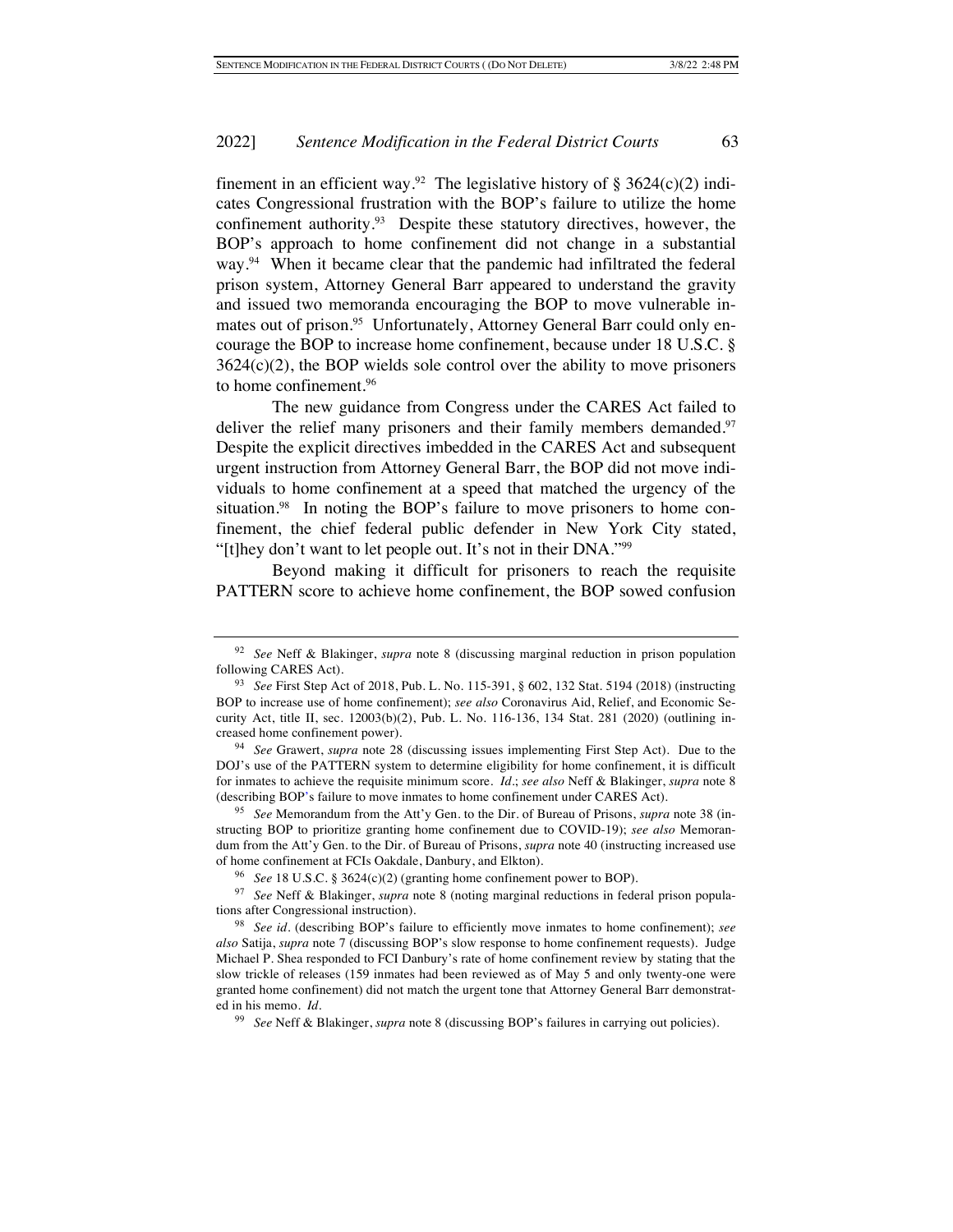finement in an efficient way.<sup>92</sup> The legislative history of § 3624(c)(2) indicates Congressional frustration with the BOP's failure to utilize the home confinement authority.<sup>93</sup> Despite these statutory directives, however, the BOP's approach to home confinement did not change in a substantial way.<sup>94</sup> When it became clear that the pandemic had infiltrated the federal prison system, Attorney General Barr appeared to understand the gravity and issued two memoranda encouraging the BOP to move vulnerable inmates out of prison.<sup>95</sup> Unfortunately, Attorney General Barr could only encourage the BOP to increase home confinement, because under 18 U.S.C. §  $3624(c)(2)$ , the BOP wields sole control over the ability to move prisoners to home confinement.96

The new guidance from Congress under the CARES Act failed to deliver the relief many prisoners and their family members demanded.<sup>97</sup> Despite the explicit directives imbedded in the CARES Act and subsequent urgent instruction from Attorney General Barr, the BOP did not move individuals to home confinement at a speed that matched the urgency of the situation.<sup>98</sup> In noting the BOP's failure to move prisoners to home confinement, the chief federal public defender in New York City stated, "[t]hey don't want to let people out. It's not in their DNA."99

Beyond making it difficult for prisoners to reach the requisite PATTERN score to achieve home confinement, the BOP sowed confusion

<sup>92</sup> *See* Neff & Blakinger, *supra* note 8 (discussing marginal reduction in prison population following CARES Act).

<sup>93</sup> *See* First Step Act of 2018, Pub. L. No. 115-391, § 602, 132 Stat. 5194 (2018) (instructing BOP to increase use of home confinement); *see also* Coronavirus Aid, Relief, and Economic Security Act, title II, sec. 12003(b)(2), Pub. L. No. 116-136, 134 Stat. 281 (2020) (outlining increased home confinement power).

<sup>94</sup> *See* Grawert, *supra* note 28 (discussing issues implementing First Step Act). Due to the DOJ's use of the PATTERN system to determine eligibility for home confinement, it is difficult for inmates to achieve the requisite minimum score. *Id.*; *see also* Neff & Blakinger, *supra* note 8 (describing BOP's failure to move inmates to home confinement under CARES Act).

<sup>95</sup> *See* Memorandum from the Att'y Gen. to the Dir. of Bureau of Prisons, *supra* note 38 (instructing BOP to prioritize granting home confinement due to COVID-19); *see also* Memorandum from the Att'y Gen. to the Dir. of Bureau of Prisons, *supra* note 40 (instructing increased use of home confinement at FCIs Oakdale, Danbury, and Elkton).

<sup>96</sup> *See* 18 U.S.C. § 3624(c)(2) (granting home confinement power to BOP).

<sup>97</sup> *See* Neff & Blakinger, *supra* note 8 (noting marginal reductions in federal prison populations after Congressional instruction).

<sup>98</sup> *See id.* (describing BOP's failure to efficiently move inmates to home confinement); *see also* Satija, *supra* note 7 (discussing BOP's slow response to home confinement requests). Judge Michael P. Shea responded to FCI Danbury's rate of home confinement review by stating that the slow trickle of releases (159 inmates had been reviewed as of May 5 and only twenty-one were granted home confinement) did not match the urgent tone that Attorney General Barr demonstrated in his memo. *Id.* 

<sup>99</sup> *See* Neff & Blakinger, *supra* note 8 (discussing BOP's failures in carrying out policies).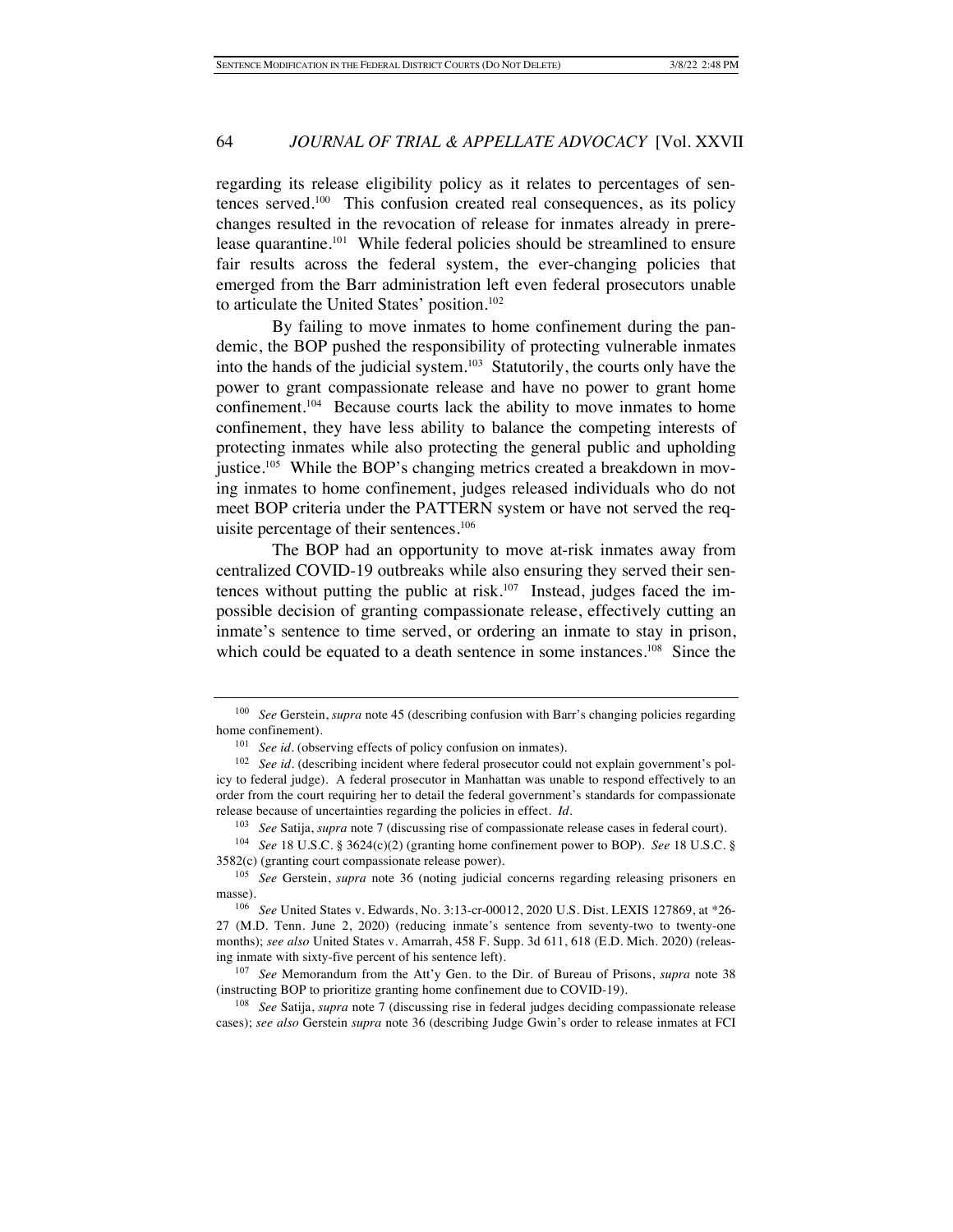regarding its release eligibility policy as it relates to percentages of sentences served.100 This confusion created real consequences, as its policy changes resulted in the revocation of release for inmates already in prerelease quarantine.<sup>101</sup> While federal policies should be streamlined to ensure fair results across the federal system, the ever-changing policies that emerged from the Barr administration left even federal prosecutors unable to articulate the United States' position.<sup>102</sup>

By failing to move inmates to home confinement during the pandemic, the BOP pushed the responsibility of protecting vulnerable inmates into the hands of the judicial system.103 Statutorily, the courts only have the power to grant compassionate release and have no power to grant home confinement.104 Because courts lack the ability to move inmates to home confinement, they have less ability to balance the competing interests of protecting inmates while also protecting the general public and upholding justice.105 While the BOP's changing metrics created a breakdown in moving inmates to home confinement, judges released individuals who do not meet BOP criteria under the PATTERN system or have not served the requisite percentage of their sentences.106

The BOP had an opportunity to move at-risk inmates away from centralized COVID-19 outbreaks while also ensuring they served their sentences without putting the public at risk. $107$  Instead, judges faced the impossible decision of granting compassionate release, effectively cutting an inmate's sentence to time served, or ordering an inmate to stay in prison, which could be equated to a death sentence in some instances.<sup>108</sup> Since the

<sup>103</sup> *See* Satija, *supra* note 7 (discussing rise of compassionate release cases in federal court).

<sup>104</sup> *See* 18 U.S.C. § 3624(c)(2) (granting home confinement power to BOP). *See* 18 U.S.C. § 3582(c) (granting court compassionate release power).

<sup>107</sup> *See* Memorandum from the Att'y Gen. to the Dir. of Bureau of Prisons, *supra* note 38 (instructing BOP to prioritize granting home confinement due to COVID-19).

<sup>108</sup> *See* Satija, *supra* note 7 (discussing rise in federal judges deciding compassionate release cases); *see also* Gerstein *supra* note 36 (describing Judge Gwin's order to release inmates at FCI

<sup>100</sup> *See* Gerstein, *supra* note 45 (describing confusion with Barr's changing policies regarding home confinement).

<sup>&</sup>lt;sup>101</sup> *See id.* (observing effects of policy confusion on inmates).

<sup>&</sup>lt;sup>102</sup> *See id.* (describing incident where federal prosecutor could not explain government's policy to federal judge). A federal prosecutor in Manhattan was unable to respond effectively to an order from the court requiring her to detail the federal government's standards for compassionate release because of uncertainties regarding the policies in effect. *Id.*

<sup>105</sup> *See* Gerstein, *supra* note 36 (noting judicial concerns regarding releasing prisoners en masse).

<sup>106</sup> *See* United States v. Edwards, No. 3:13-cr-00012, 2020 U.S. Dist. LEXIS 127869, at \*26- 27 (M.D. Tenn. June 2, 2020) (reducing inmate's sentence from seventy-two to twenty-one months); *see also* United States v. Amarrah, 458 F. Supp. 3d 611, 618 (E.D. Mich. 2020) (releasing inmate with sixty-five percent of his sentence left).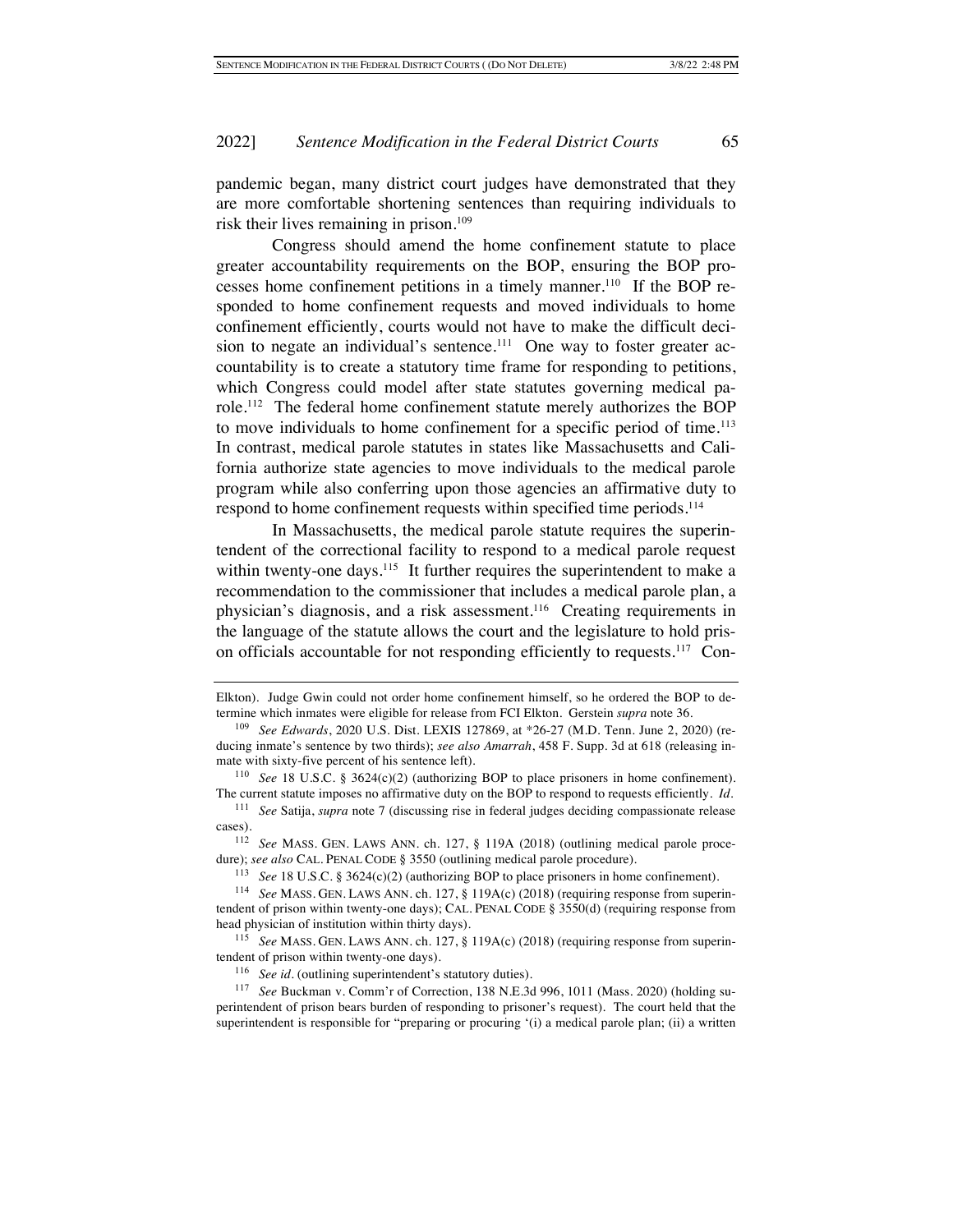pandemic began, many district court judges have demonstrated that they are more comfortable shortening sentences than requiring individuals to risk their lives remaining in prison.<sup>109</sup>

Congress should amend the home confinement statute to place greater accountability requirements on the BOP, ensuring the BOP processes home confinement petitions in a timely manner.<sup>110</sup> If the BOP responded to home confinement requests and moved individuals to home confinement efficiently, courts would not have to make the difficult decision to negate an individual's sentence.<sup>111</sup> One way to foster greater accountability is to create a statutory time frame for responding to petitions, which Congress could model after state statutes governing medical parole.112 The federal home confinement statute merely authorizes the BOP to move individuals to home confinement for a specific period of time.<sup>113</sup> In contrast, medical parole statutes in states like Massachusetts and California authorize state agencies to move individuals to the medical parole program while also conferring upon those agencies an affirmative duty to respond to home confinement requests within specified time periods.<sup>114</sup>

In Massachusetts, the medical parole statute requires the superintendent of the correctional facility to respond to a medical parole request within twenty-one days.<sup>115</sup> It further requires the superintendent to make a recommendation to the commissioner that includes a medical parole plan, a physician's diagnosis, and a risk assessment.116 Creating requirements in the language of the statute allows the court and the legislature to hold prison officials accountable for not responding efficiently to requests.117 Con-

Elkton). Judge Gwin could not order home confinement himself, so he ordered the BOP to determine which inmates were eligible for release from FCI Elkton. Gerstein *supra* note 36.

<sup>109</sup> *See Edwards*, 2020 U.S. Dist. LEXIS 127869, at \*26-27 (M.D. Tenn. June 2, 2020) (reducing inmate's sentence by two thirds); *see also Amarrah*, 458 F. Supp. 3d at 618 (releasing inmate with sixty-five percent of his sentence left).

<sup>110</sup> *See* 18 U.S.C. § 3624(c)(2) (authorizing BOP to place prisoners in home confinement). The current statute imposes no affirmative duty on the BOP to respond to requests efficiently. *Id.*

<sup>111</sup> *See* Satija, *supra* note 7 (discussing rise in federal judges deciding compassionate release cases).

<sup>112</sup> *See* MASS. GEN. LAWS ANN. ch. 127, § 119A (2018) (outlining medical parole procedure); *see also* CAL. PENAL CODE § 3550 (outlining medical parole procedure).

<sup>113</sup> *See* 18 U.S.C. § 3624(c)(2) (authorizing BOP to place prisoners in home confinement).

<sup>114</sup> *See* MASS. GEN. LAWS ANN. ch. 127, § 119A(c) (2018) (requiring response from superintendent of prison within twenty-one days); CAL. PENAL CODE § 3550(d) (requiring response from head physician of institution within thirty days).

<sup>115</sup> *See* MASS. GEN. LAWS ANN. ch. 127, § 119A(c) (2018) (requiring response from superintendent of prison within twenty-one days).

<sup>116</sup> *See id.* (outlining superintendent's statutory duties).

<sup>117</sup> *See* Buckman v. Comm'r of Correction, 138 N.E.3d 996, 1011 (Mass. 2020) (holding superintendent of prison bears burden of responding to prisoner's request). The court held that the superintendent is responsible for "preparing or procuring '(i) a medical parole plan; (ii) a written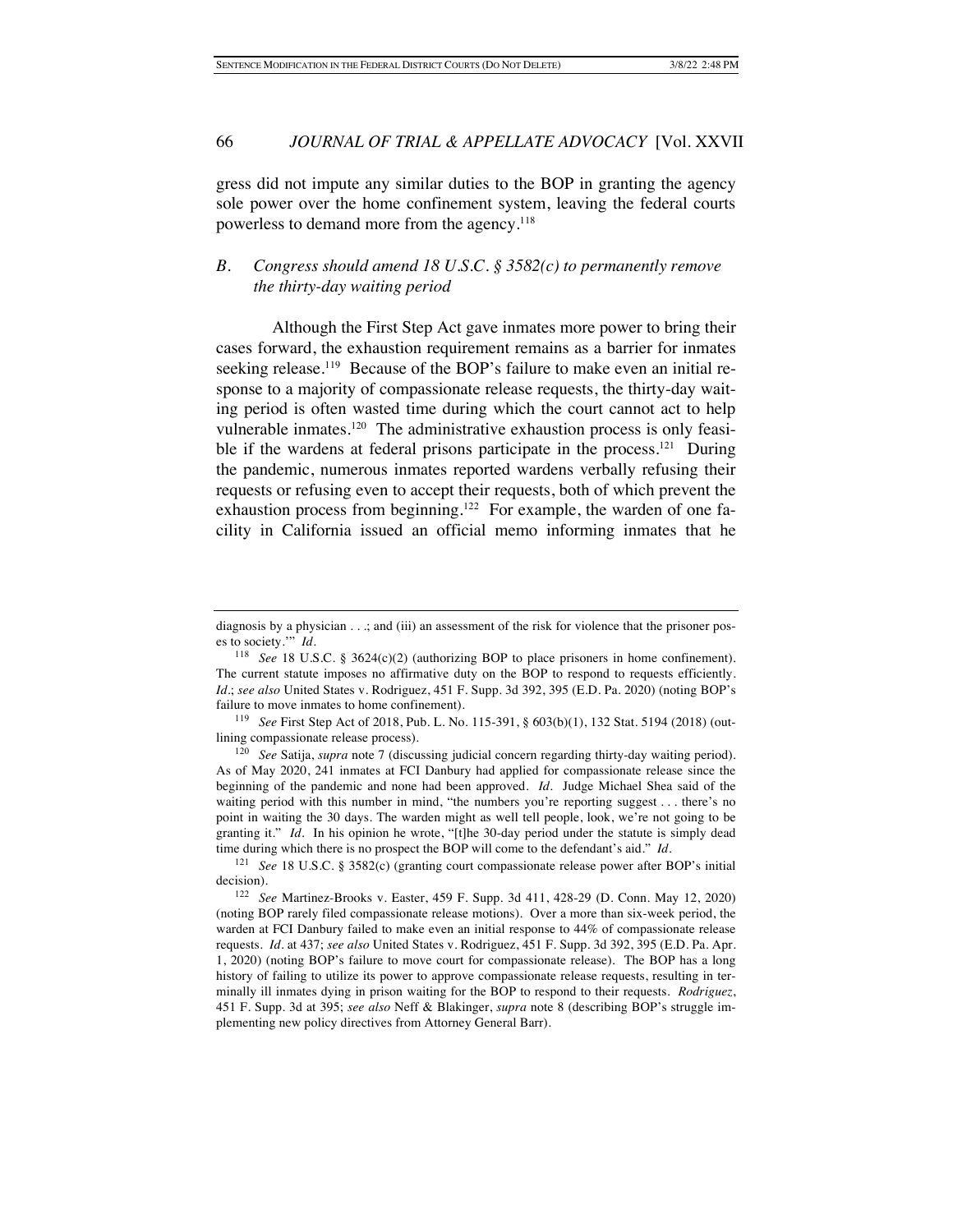gress did not impute any similar duties to the BOP in granting the agency sole power over the home confinement system, leaving the federal courts powerless to demand more from the agency.<sup>118</sup>

# *B. Congress should amend 18 U.S.C. § 3582(c) to permanently remove the thirty-day waiting period*

Although the First Step Act gave inmates more power to bring their cases forward, the exhaustion requirement remains as a barrier for inmates seeking release.<sup>119</sup> Because of the BOP's failure to make even an initial response to a majority of compassionate release requests, the thirty-day waiting period is often wasted time during which the court cannot act to help vulnerable inmates.<sup>120</sup> The administrative exhaustion process is only feasible if the wardens at federal prisons participate in the process.<sup>121</sup> During the pandemic, numerous inmates reported wardens verbally refusing their requests or refusing even to accept their requests, both of which prevent the exhaustion process from beginning.<sup>122</sup> For example, the warden of one facility in California issued an official memo informing inmates that he

diagnosis by a physician . . .; and (iii) an assessment of the risk for violence that the prisoner poses to society.'" *Id.*

<sup>&</sup>lt;sup>118</sup> *See* 18 U.S.C. § 3624(c)(2) (authorizing BOP to place prisoners in home confinement). The current statute imposes no affirmative duty on the BOP to respond to requests efficiently. *Id.*; *see also* United States v. Rodriguez, 451 F. Supp. 3d 392, 395 (E.D. Pa. 2020) (noting BOP's failure to move inmates to home confinement).

<sup>119</sup> *See* First Step Act of 2018, Pub. L. No. 115-391, § 603(b)(1), 132 Stat. 5194 (2018) (outlining compassionate release process).

<sup>120</sup> *See* Satija, *supra* note 7 (discussing judicial concern regarding thirty-day waiting period). As of May 2020, 241 inmates at FCI Danbury had applied for compassionate release since the beginning of the pandemic and none had been approved. *Id.* Judge Michael Shea said of the waiting period with this number in mind, "the numbers you're reporting suggest . . . there's no point in waiting the 30 days. The warden might as well tell people, look, we're not going to be granting it." *Id.* In his opinion he wrote, "[t]he 30-day period under the statute is simply dead time during which there is no prospect the BOP will come to the defendant's aid." *Id.* 

<sup>121</sup> *See* 18 U.S.C. § 3582(c) (granting court compassionate release power after BOP's initial decision).

<sup>122</sup> *See* Martinez-Brooks v. Easter, 459 F. Supp. 3d 411, 428-29 (D. Conn. May 12, 2020) (noting BOP rarely filed compassionate release motions). Over a more than six-week period, the warden at FCI Danbury failed to make even an initial response to 44% of compassionate release requests. *Id.* at 437; *see also* United States v. Rodriguez, 451 F. Supp. 3d 392, 395 (E.D. Pa. Apr. 1, 2020) (noting BOP's failure to move court for compassionate release). The BOP has a long history of failing to utilize its power to approve compassionate release requests, resulting in terminally ill inmates dying in prison waiting for the BOP to respond to their requests. *Rodriguez*, 451 F. Supp. 3d at 395; *see also* Neff & Blakinger, *supra* note 8 (describing BOP's struggle implementing new policy directives from Attorney General Barr).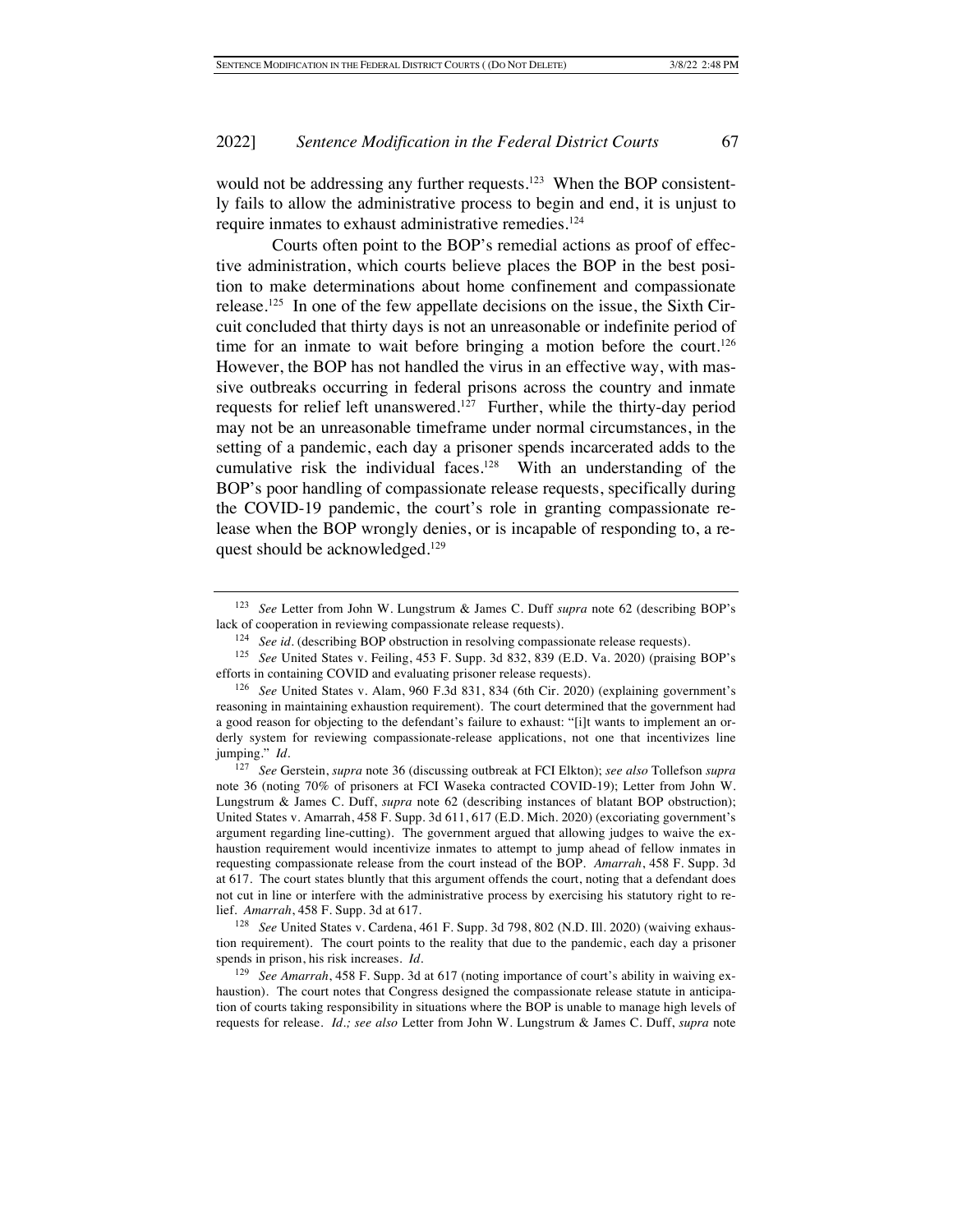would not be addressing any further requests.<sup>123</sup> When the BOP consistently fails to allow the administrative process to begin and end, it is unjust to require inmates to exhaust administrative remedies.<sup>124</sup>

Courts often point to the BOP's remedial actions as proof of effective administration, which courts believe places the BOP in the best position to make determinations about home confinement and compassionate release.125 In one of the few appellate decisions on the issue, the Sixth Circuit concluded that thirty days is not an unreasonable or indefinite period of time for an inmate to wait before bringing a motion before the court.<sup>126</sup> However, the BOP has not handled the virus in an effective way, with massive outbreaks occurring in federal prisons across the country and inmate requests for relief left unanswered.<sup>127</sup> Further, while the thirty-day period may not be an unreasonable timeframe under normal circumstances, in the setting of a pandemic, each day a prisoner spends incarcerated adds to the cumulative risk the individual faces.<sup>128</sup> With an understanding of the BOP's poor handling of compassionate release requests, specifically during the COVID-19 pandemic, the court's role in granting compassionate release when the BOP wrongly denies, or is incapable of responding to, a request should be acknowledged.<sup>129</sup>

<sup>123</sup> *See* Letter from John W. Lungstrum & James C. Duff *supra* note 62 (describing BOP's lack of cooperation in reviewing compassionate release requests).

<sup>&</sup>lt;sup>124</sup> *See id.* (describing BOP obstruction in resolving compassionate release requests).

<sup>125</sup> *See* United States v. Feiling, 453 F. Supp. 3d 832, 839 (E.D. Va. 2020) (praising BOP's efforts in containing COVID and evaluating prisoner release requests).

<sup>126</sup> *See* United States v. Alam, 960 F.3d 831, 834 (6th Cir. 2020) (explaining government's reasoning in maintaining exhaustion requirement). The court determined that the government had a good reason for objecting to the defendant's failure to exhaust: "[i]t wants to implement an orderly system for reviewing compassionate-release applications, not one that incentivizes line jumping." *Id.*

<sup>127</sup> *See* Gerstein, *supra* note 36 (discussing outbreak at FCI Elkton); *see also* Tollefson *supra*  note 36 (noting 70% of prisoners at FCI Waseka contracted COVID-19); Letter from John W. Lungstrum & James C. Duff, *supra* note 62 (describing instances of blatant BOP obstruction); United States v. Amarrah, 458 F. Supp. 3d 611, 617 (E.D. Mich. 2020) (excoriating government's argument regarding line-cutting). The government argued that allowing judges to waive the exhaustion requirement would incentivize inmates to attempt to jump ahead of fellow inmates in requesting compassionate release from the court instead of the BOP. *Amarrah*, 458 F. Supp. 3d at 617. The court states bluntly that this argument offends the court, noting that a defendant does not cut in line or interfere with the administrative process by exercising his statutory right to relief. *Amarrah*, 458 F. Supp. 3d at 617.

<sup>&</sup>lt;sup>128</sup> See United States v. Cardena, 461 F. Supp. 3d 798, 802 (N.D. Ill. 2020) (waiving exhaustion requirement). The court points to the reality that due to the pandemic, each day a prisoner spends in prison, his risk increases. *Id.*

<sup>129</sup> *See Amarrah*, 458 F. Supp. 3d at 617 (noting importance of court's ability in waiving exhaustion). The court notes that Congress designed the compassionate release statute in anticipation of courts taking responsibility in situations where the BOP is unable to manage high levels of requests for release. *Id.; see also* Letter from John W. Lungstrum & James C. Duff, *supra* note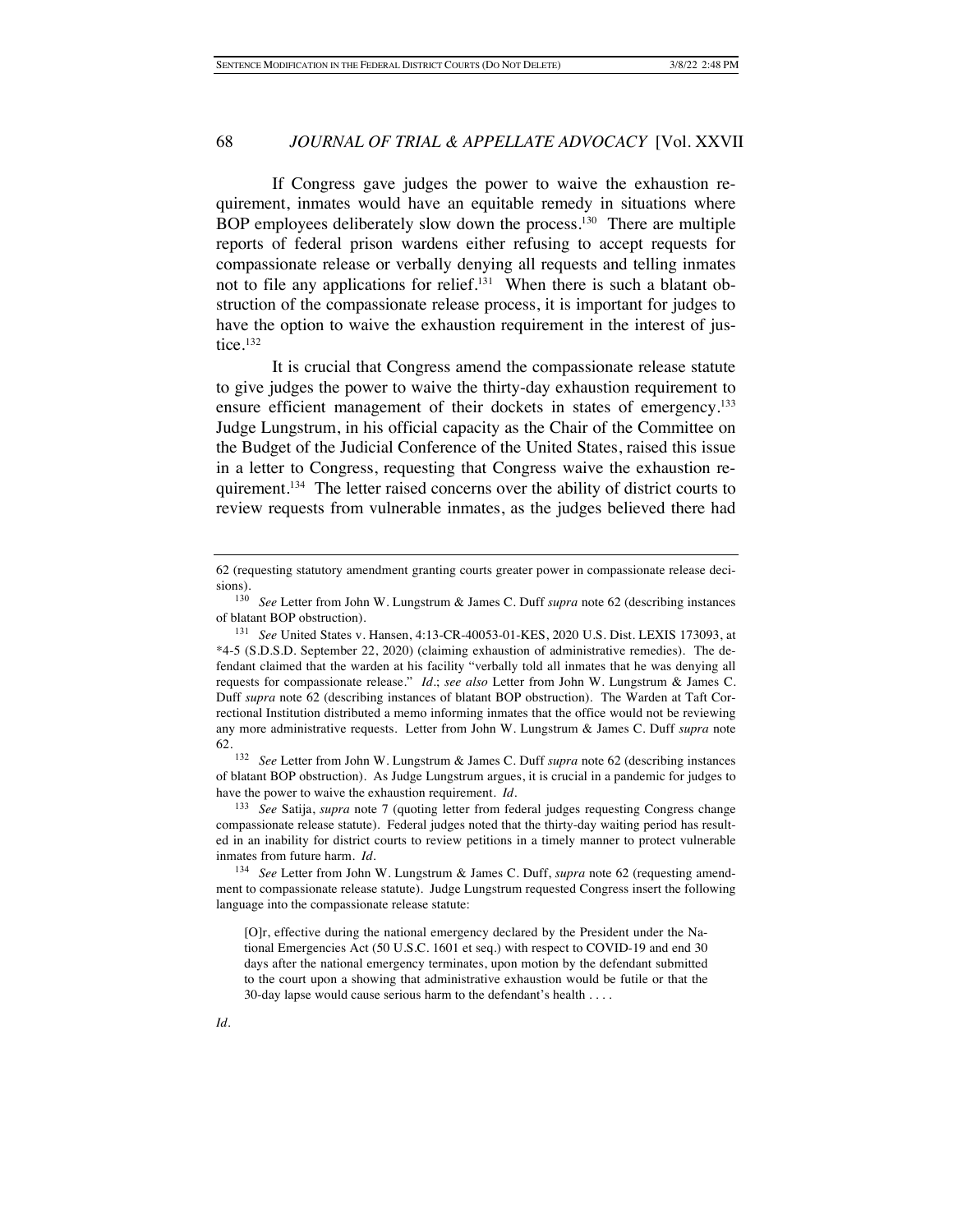If Congress gave judges the power to waive the exhaustion requirement, inmates would have an equitable remedy in situations where BOP employees deliberately slow down the process.<sup>130</sup> There are multiple reports of federal prison wardens either refusing to accept requests for compassionate release or verbally denying all requests and telling inmates not to file any applications for relief.<sup>131</sup> When there is such a blatant obstruction of the compassionate release process, it is important for judges to have the option to waive the exhaustion requirement in the interest of justice.<sup>132</sup>

It is crucial that Congress amend the compassionate release statute to give judges the power to waive the thirty-day exhaustion requirement to ensure efficient management of their dockets in states of emergency.<sup>133</sup> Judge Lungstrum, in his official capacity as the Chair of the Committee on the Budget of the Judicial Conference of the United States, raised this issue in a letter to Congress, requesting that Congress waive the exhaustion requirement.<sup>134</sup> The letter raised concerns over the ability of district courts to review requests from vulnerable inmates, as the judges believed there had

<sup>132</sup> *See* Letter from John W. Lungstrum & James C. Duff *supra* note 62 (describing instances of blatant BOP obstruction). As Judge Lungstrum argues, it is crucial in a pandemic for judges to have the power to waive the exhaustion requirement. *Id.*

<sup>133</sup> *See* Satija, *supra* note 7 (quoting letter from federal judges requesting Congress change compassionate release statute). Federal judges noted that the thirty-day waiting period has resulted in an inability for district courts to review petitions in a timely manner to protect vulnerable inmates from future harm. *Id.*

<sup>62 (</sup>requesting statutory amendment granting courts greater power in compassionate release deci $sions$ ).<br> $130$ 

<sup>130</sup> *See* Letter from John W. Lungstrum & James C. Duff *supra* note 62 (describing instances of blatant BOP obstruction).

<sup>131</sup> *See* United States v. Hansen, 4:13-CR-40053-01-KES, 2020 U.S. Dist. LEXIS 173093, at \*4-5 (S.D.S.D. September 22, 2020) (claiming exhaustion of administrative remedies). The defendant claimed that the warden at his facility "verbally told all inmates that he was denying all requests for compassionate release." *Id.*; *see also* Letter from John W. Lungstrum & James C. Duff *supra* note 62 (describing instances of blatant BOP obstruction). The Warden at Taft Correctional Institution distributed a memo informing inmates that the office would not be reviewing any more administrative requests. Letter from John W. Lungstrum & James C. Duff *supra* note 62.

<sup>134</sup> *See* Letter from John W. Lungstrum & James C. Duff, *supra* note 62 (requesting amendment to compassionate release statute). Judge Lungstrum requested Congress insert the following language into the compassionate release statute:

<sup>[</sup>O]r, effective during the national emergency declared by the President under the National Emergencies Act (50 U.S.C. 1601 et seq.) with respect to COVID-19 and end 30 days after the national emergency terminates, upon motion by the defendant submitted to the court upon a showing that administrative exhaustion would be futile or that the 30-day lapse would cause serious harm to the defendant's health . . . .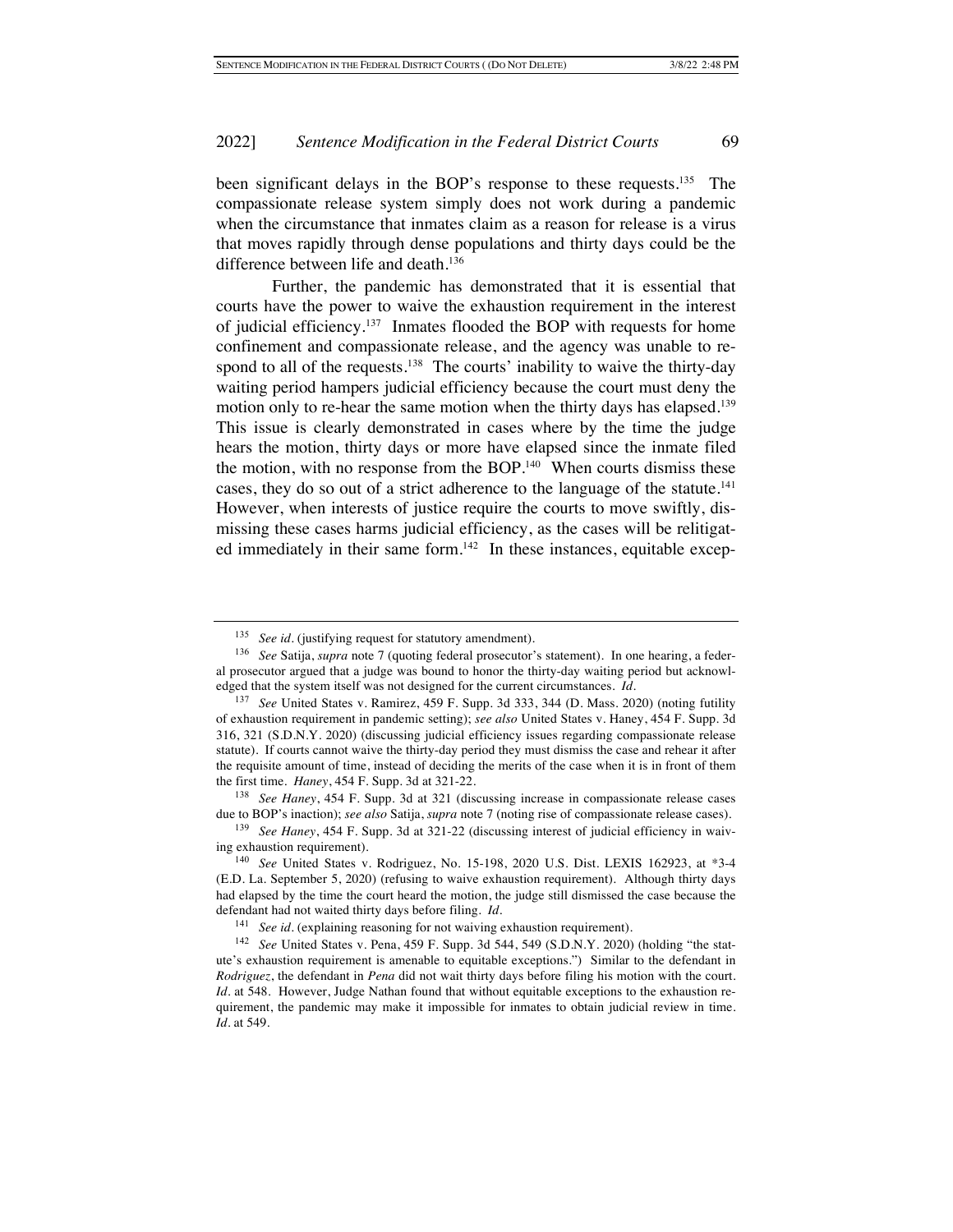been significant delays in the BOP's response to these requests.<sup>135</sup> The compassionate release system simply does not work during a pandemic when the circumstance that inmates claim as a reason for release is a virus that moves rapidly through dense populations and thirty days could be the difference between life and death.<sup>136</sup>

Further, the pandemic has demonstrated that it is essential that courts have the power to waive the exhaustion requirement in the interest of judicial efficiency.137 Inmates flooded the BOP with requests for home confinement and compassionate release, and the agency was unable to respond to all of the requests.<sup>138</sup> The courts' inability to waive the thirty-day waiting period hampers judicial efficiency because the court must deny the motion only to re-hear the same motion when the thirty days has elapsed.<sup>139</sup> This issue is clearly demonstrated in cases where by the time the judge hears the motion, thirty days or more have elapsed since the inmate filed the motion, with no response from the BOP. $140$  When courts dismiss these cases, they do so out of a strict adherence to the language of the statute.<sup>141</sup> However, when interests of justice require the courts to move swiftly, dismissing these cases harms judicial efficiency, as the cases will be relitigated immediately in their same form.<sup>142</sup> In these instances, equitable excep-

<sup>138</sup> *See Haney*, 454 F. Supp. 3d at 321 (discussing increase in compassionate release cases due to BOP's inaction); *see also* Satija, *supra* note 7 (noting rise of compassionate release cases).

<sup>&</sup>lt;sup>135</sup> See id. (justifying request for statutory amendment).

<sup>136</sup> *See* Satija, *supra* note 7 (quoting federal prosecutor's statement). In one hearing, a federal prosecutor argued that a judge was bound to honor the thirty-day waiting period but acknowledged that the system itself was not designed for the current circumstances. *Id.*

<sup>137</sup> *See* United States v. Ramirez, 459 F. Supp. 3d 333, 344 (D. Mass. 2020) (noting futility of exhaustion requirement in pandemic setting); *see also* United States v. Haney, 454 F. Supp. 3d 316, 321 (S.D.N.Y. 2020) (discussing judicial efficiency issues regarding compassionate release statute). If courts cannot waive the thirty-day period they must dismiss the case and rehear it after the requisite amount of time, instead of deciding the merits of the case when it is in front of them the first time. *Haney*, 454 F. Supp. 3d at 321-22.

<sup>139</sup> *See Haney*, 454 F. Supp. 3d at 321-22 (discussing interest of judicial efficiency in waiving exhaustion requirement).

<sup>140</sup> *See* United States v. Rodriguez, No. 15-198, 2020 U.S. Dist. LEXIS 162923, at \*3-4 (E.D. La. September 5, 2020) (refusing to waive exhaustion requirement). Although thirty days had elapsed by the time the court heard the motion, the judge still dismissed the case because the defendant had not waited thirty days before filing. *Id.*

<sup>&</sup>lt;sup>141</sup> *See id.* (explaining reasoning for not waiving exhaustion requirement).

<sup>142</sup> *See* United States v. Pena, 459 F. Supp. 3d 544, 549 (S.D.N.Y. 2020) (holding "the statute's exhaustion requirement is amenable to equitable exceptions.") Similar to the defendant in *Rodriguez*, the defendant in *Pena* did not wait thirty days before filing his motion with the court. *Id.* at 548. However, Judge Nathan found that without equitable exceptions to the exhaustion requirement, the pandemic may make it impossible for inmates to obtain judicial review in time. *Id.* at 549.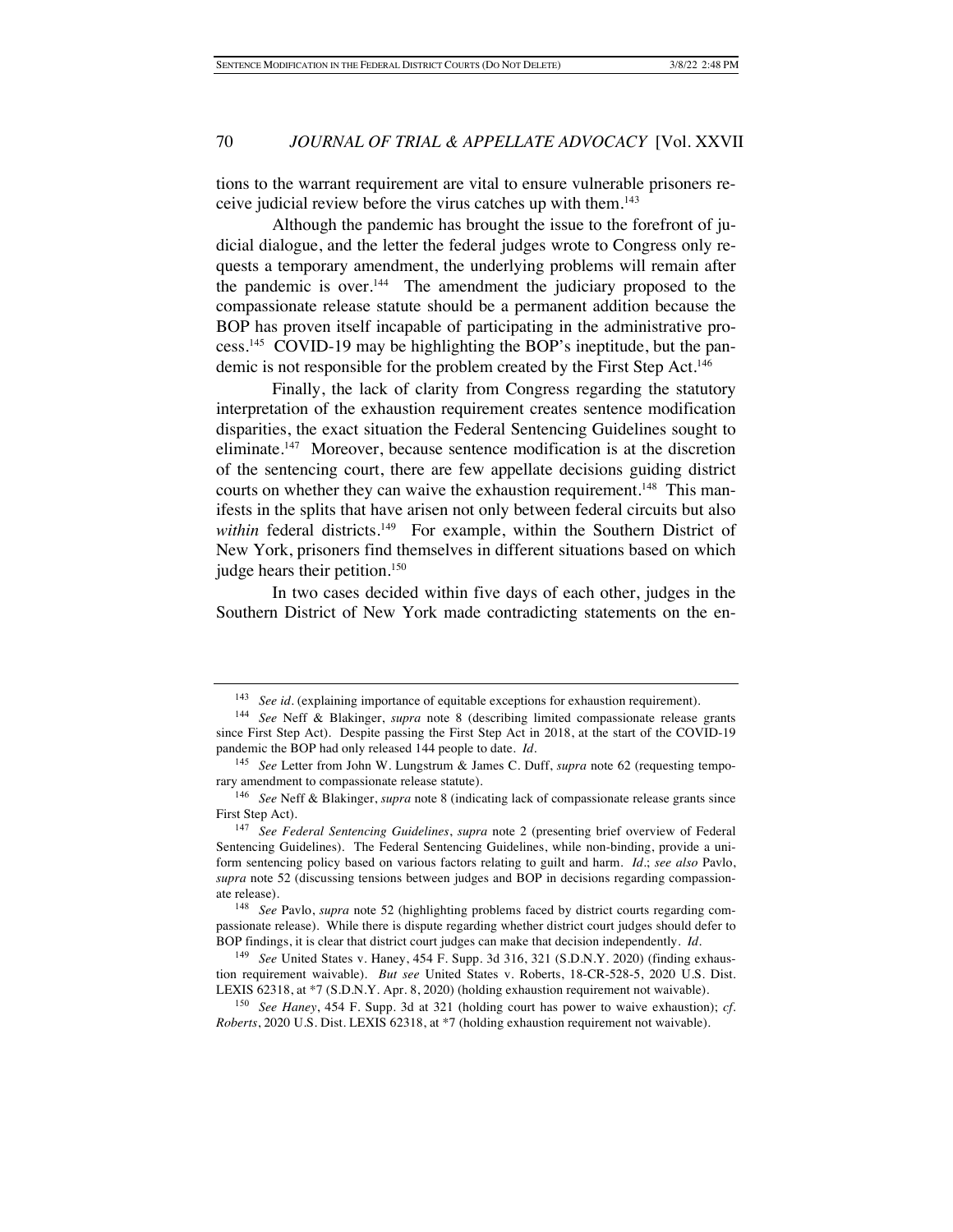tions to the warrant requirement are vital to ensure vulnerable prisoners receive judicial review before the virus catches up with them.143

Although the pandemic has brought the issue to the forefront of judicial dialogue, and the letter the federal judges wrote to Congress only requests a temporary amendment, the underlying problems will remain after the pandemic is over. $144$  The amendment the judiciary proposed to the compassionate release statute should be a permanent addition because the BOP has proven itself incapable of participating in the administrative process.145 COVID-19 may be highlighting the BOP's ineptitude, but the pandemic is not responsible for the problem created by the First Step Act.<sup>146</sup>

Finally, the lack of clarity from Congress regarding the statutory interpretation of the exhaustion requirement creates sentence modification disparities, the exact situation the Federal Sentencing Guidelines sought to eliminate.147 Moreover, because sentence modification is at the discretion of the sentencing court, there are few appellate decisions guiding district courts on whether they can waive the exhaustion requirement.<sup>148</sup> This manifests in the splits that have arisen not only between federal circuits but also within federal districts.<sup>149</sup> For example, within the Southern District of New York, prisoners find themselves in different situations based on which judge hears their petition.<sup>150</sup>

In two cases decided within five days of each other, judges in the Southern District of New York made contradicting statements on the en-

<sup>&</sup>lt;sup>143</sup> *See id.* (explaining importance of equitable exceptions for exhaustion requirement).

<sup>144</sup> *See* Neff & Blakinger, *supra* note 8 (describing limited compassionate release grants since First Step Act). Despite passing the First Step Act in 2018, at the start of the COVID-19 pandemic the BOP had only released 144 people to date. *Id.*

<sup>145</sup> *See* Letter from John W. Lungstrum & James C. Duff, *supra* note 62 (requesting temporary amendment to compassionate release statute).

<sup>146</sup> *See* Neff & Blakinger, *supra* note 8 (indicating lack of compassionate release grants since First Step Act).

<sup>147</sup> *See Federal Sentencing Guidelines*, *supra* note 2 (presenting brief overview of Federal Sentencing Guidelines). The Federal Sentencing Guidelines, while non-binding, provide a uniform sentencing policy based on various factors relating to guilt and harm. *Id.*; *see also* Pavlo, *supra* note 52 (discussing tensions between judges and BOP in decisions regarding compassionate release).

<sup>148</sup> *See* Pavlo, *supra* note 52 (highlighting problems faced by district courts regarding compassionate release). While there is dispute regarding whether district court judges should defer to BOP findings, it is clear that district court judges can make that decision independently. *Id.*

<sup>149</sup> *See* United States v. Haney, 454 F. Supp. 3d 316, 321 (S.D.N.Y. 2020) (finding exhaustion requirement waivable). *But see* United States v. Roberts, 18-CR-528-5, 2020 U.S. Dist. LEXIS 62318, at \*7 (S.D.N.Y. Apr. 8, 2020) (holding exhaustion requirement not waivable).

<sup>150</sup> *See Haney*, 454 F. Supp. 3d at 321 (holding court has power to waive exhaustion); *cf. Roberts*, 2020 U.S. Dist. LEXIS 62318, at \*7 (holding exhaustion requirement not waivable).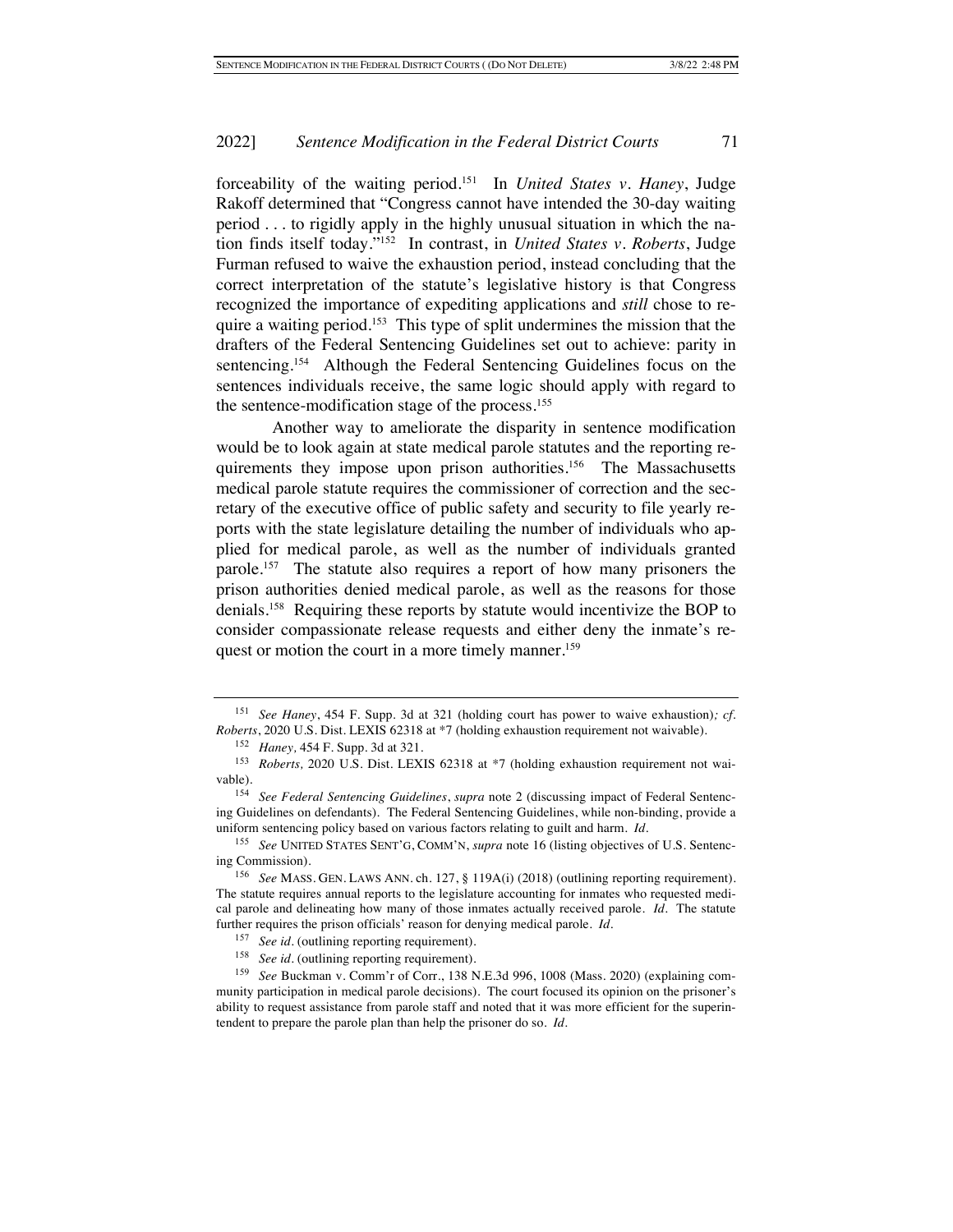forceability of the waiting period.151 In *United States v. Haney*, Judge Rakoff determined that "Congress cannot have intended the 30-day waiting period . . . to rigidly apply in the highly unusual situation in which the nation finds itself today."152 In contrast, in *United States v. Roberts*, Judge Furman refused to waive the exhaustion period, instead concluding that the correct interpretation of the statute's legislative history is that Congress recognized the importance of expediting applications and *still* chose to require a waiting period.<sup>153</sup> This type of split undermines the mission that the drafters of the Federal Sentencing Guidelines set out to achieve: parity in sentencing.154 Although the Federal Sentencing Guidelines focus on the sentences individuals receive, the same logic should apply with regard to the sentence-modification stage of the process.155

Another way to ameliorate the disparity in sentence modification would be to look again at state medical parole statutes and the reporting requirements they impose upon prison authorities.<sup>156</sup> The Massachusetts medical parole statute requires the commissioner of correction and the secretary of the executive office of public safety and security to file yearly reports with the state legislature detailing the number of individuals who applied for medical parole, as well as the number of individuals granted parole.157 The statute also requires a report of how many prisoners the prison authorities denied medical parole, as well as the reasons for those denials.158 Requiring these reports by statute would incentivize the BOP to consider compassionate release requests and either deny the inmate's request or motion the court in a more timely manner.<sup>159</sup>

<sup>151</sup> *See Haney*, 454 F. Supp. 3d at 321 (holding court has power to waive exhaustion)*; cf. Roberts*, 2020 U.S. Dist. LEXIS 62318 at \*7 (holding exhaustion requirement not waivable).

<sup>152</sup> *Haney,* 454 F. Supp. 3d at 321.

<sup>&</sup>lt;sup>153</sup> *Roberts*, 2020 U.S. Dist. LEXIS 62318 at \*7 (holding exhaustion requirement not waivable).

<sup>154</sup> *See Federal Sentencing Guidelines*, *supra* note 2 (discussing impact of Federal Sentencing Guidelines on defendants). The Federal Sentencing Guidelines, while non-binding, provide a uniform sentencing policy based on various factors relating to guilt and harm. *Id.*

<sup>155</sup> *See* UNITED STATES SENT'G, COMM'N, *supra* note 16 (listing objectives of U.S. Sentencing Commission).

<sup>156</sup> *See* MASS. GEN. LAWS ANN. ch. 127, § 119A(i) (2018) (outlining reporting requirement). The statute requires annual reports to the legislature accounting for inmates who requested medical parole and delineating how many of those inmates actually received parole. *Id.* The statute further requires the prison officials' reason for denying medical parole. *Id.*

<sup>157</sup> *See id.* (outlining reporting requirement).

<sup>158</sup> *See id.* (outlining reporting requirement).

<sup>159</sup> *See* Buckman v. Comm'r of Corr., 138 N.E.3d 996, 1008 (Mass. 2020) (explaining community participation in medical parole decisions). The court focused its opinion on the prisoner's ability to request assistance from parole staff and noted that it was more efficient for the superintendent to prepare the parole plan than help the prisoner do so. *Id.*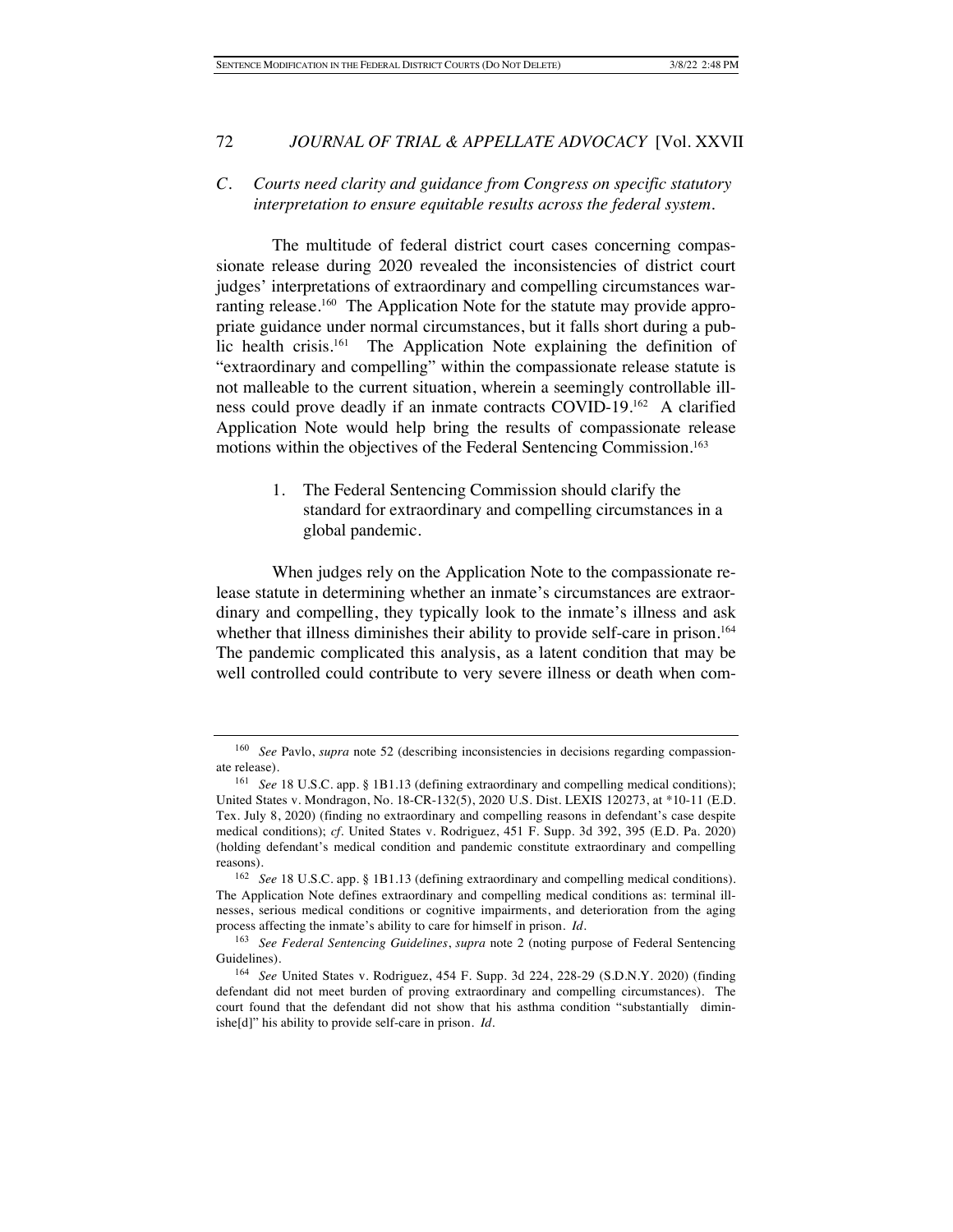# *C. Courts need clarity and guidance from Congress on specific statutory interpretation to ensure equitable results across the federal system.*

The multitude of federal district court cases concerning compassionate release during 2020 revealed the inconsistencies of district court judges' interpretations of extraordinary and compelling circumstances warranting release.<sup>160</sup> The Application Note for the statute may provide appropriate guidance under normal circumstances, but it falls short during a public health crisis.<sup>161</sup> The Application Note explaining the definition of "extraordinary and compelling" within the compassionate release statute is not malleable to the current situation, wherein a seemingly controllable illness could prove deadly if an inmate contracts COVID-19.162 A clarified Application Note would help bring the results of compassionate release motions within the objectives of the Federal Sentencing Commission.<sup>163</sup>

> 1. The Federal Sentencing Commission should clarify the standard for extraordinary and compelling circumstances in a global pandemic.

When judges rely on the Application Note to the compassionate release statute in determining whether an inmate's circumstances are extraordinary and compelling, they typically look to the inmate's illness and ask whether that illness diminishes their ability to provide self-care in prison.<sup>164</sup> The pandemic complicated this analysis, as a latent condition that may be well controlled could contribute to very severe illness or death when com-

<sup>160</sup> *See* Pavlo, *supra* note 52 (describing inconsistencies in decisions regarding compassionate release).

<sup>&</sup>lt;sup>161</sup> *See* 18 U.S.C. app. § 1B1.13 (defining extraordinary and compelling medical conditions); United States v. Mondragon, No. 18-CR-132(5), 2020 U.S. Dist. LEXIS 120273, at \*10-11 (E.D. Tex. July 8, 2020) (finding no extraordinary and compelling reasons in defendant's case despite medical conditions); *cf.* United States v. Rodriguez, 451 F. Supp. 3d 392, 395 (E.D. Pa. 2020) (holding defendant's medical condition and pandemic constitute extraordinary and compelling reasons).

<sup>162</sup> *See* 18 U.S.C. app. § 1B1.13 (defining extraordinary and compelling medical conditions). The Application Note defines extraordinary and compelling medical conditions as: terminal illnesses, serious medical conditions or cognitive impairments, and deterioration from the aging process affecting the inmate's ability to care for himself in prison. *Id.*

<sup>163</sup> *See Federal Sentencing Guidelines*, *supra* note 2 (noting purpose of Federal Sentencing Guidelines).

<sup>164</sup> *See* United States v. Rodriguez, 454 F. Supp. 3d 224, 228-29 (S.D.N.Y. 2020) (finding defendant did not meet burden of proving extraordinary and compelling circumstances). The court found that the defendant did not show that his asthma condition "substantially diminishe[d]" his ability to provide self-care in prison. *Id.*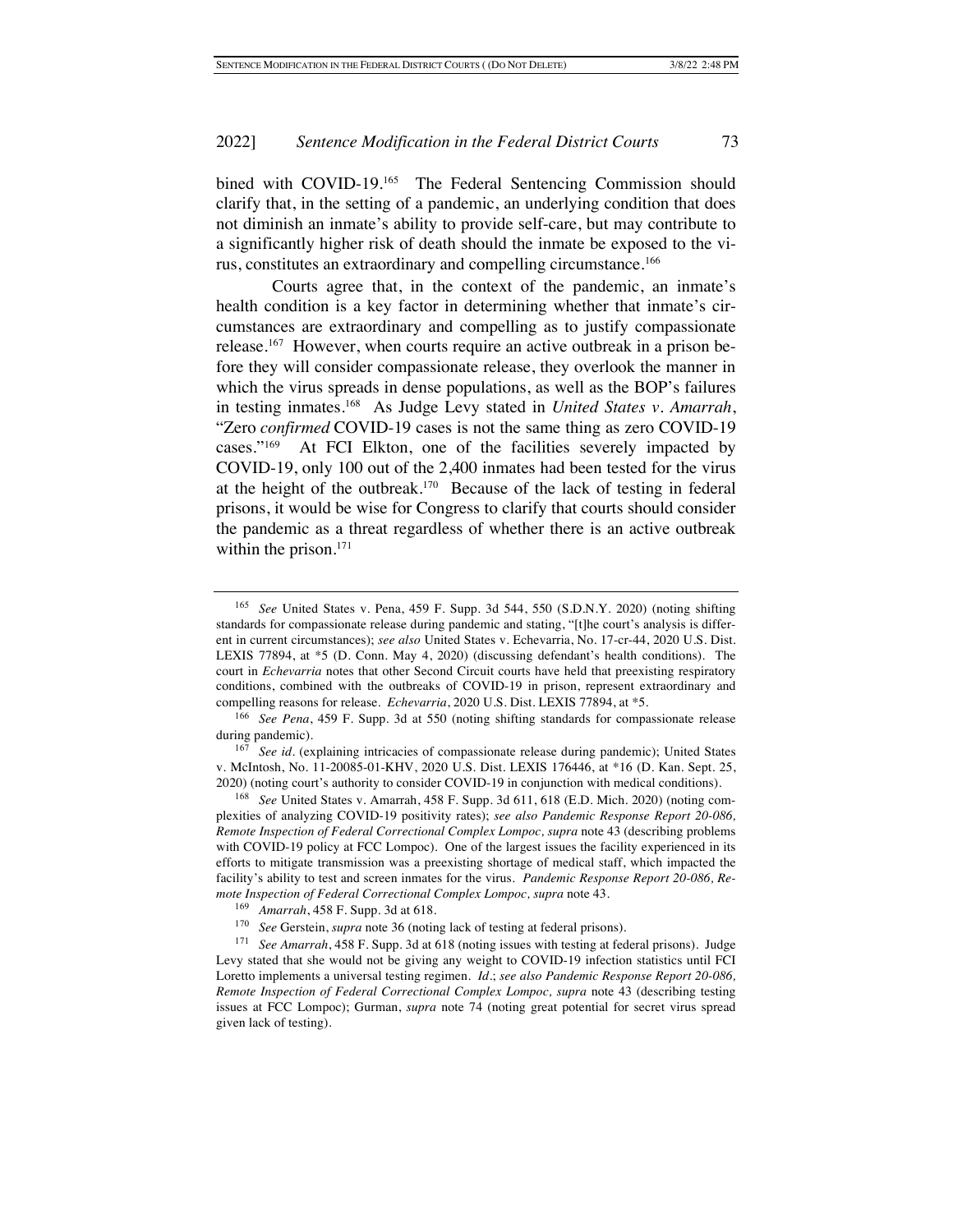bined with COVID-19.<sup>165</sup> The Federal Sentencing Commission should clarify that, in the setting of a pandemic, an underlying condition that does not diminish an inmate's ability to provide self-care, but may contribute to a significantly higher risk of death should the inmate be exposed to the virus, constitutes an extraordinary and compelling circumstance.166

Courts agree that, in the context of the pandemic, an inmate's health condition is a key factor in determining whether that inmate's circumstances are extraordinary and compelling as to justify compassionate release.<sup>167</sup> However, when courts require an active outbreak in a prison before they will consider compassionate release, they overlook the manner in which the virus spreads in dense populations, as well as the BOP's failures in testing inmates.168 As Judge Levy stated in *United States v. Amarrah*, "Zero *confirmed* COVID-19 cases is not the same thing as zero COVID-19 cases."169 At FCI Elkton, one of the facilities severely impacted by COVID-19, only 100 out of the 2,400 inmates had been tested for the virus at the height of the outbreak.170 Because of the lack of testing in federal prisons, it would be wise for Congress to clarify that courts should consider the pandemic as a threat regardless of whether there is an active outbreak within the prison.<sup>171</sup>

<sup>167</sup> See id. (explaining intricacies of compassionate release during pandemic); United States v. McIntosh, No. 11-20085-01-KHV, 2020 U.S. Dist. LEXIS 176446, at \*16 (D. Kan. Sept. 25, 2020) (noting court's authority to consider COVID-19 in conjunction with medical conditions).

<sup>168</sup> *See* United States v. Amarrah, 458 F. Supp. 3d 611, 618 (E.D. Mich. 2020) (noting complexities of analyzing COVID-19 positivity rates); *see also Pandemic Response Report 20-086, Remote Inspection of Federal Correctional Complex Lompoc, supra* note 43 (describing problems with COVID-19 policy at FCC Lompoc). One of the largest issues the facility experienced in its efforts to mitigate transmission was a preexisting shortage of medical staff, which impacted the facility's ability to test and screen inmates for the virus. *Pandemic Response Report 20-086, Remote Inspection of Federal Correctional Complex Lompoc, supra* note 43.

<sup>165</sup> *See* United States v. Pena, 459 F. Supp. 3d 544, 550 (S.D.N.Y. 2020) (noting shifting standards for compassionate release during pandemic and stating, "[t]he court's analysis is different in current circumstances); *see also* United States v. Echevarria, No. 17-cr-44, 2020 U.S. Dist. LEXIS 77894, at \*5 (D. Conn. May 4, 2020) (discussing defendant's health conditions). The court in *Echevarria* notes that other Second Circuit courts have held that preexisting respiratory conditions, combined with the outbreaks of COVID-19 in prison, represent extraordinary and compelling reasons for release. *Echevarria*, 2020 U.S. Dist. LEXIS 77894, at \*5.

<sup>166</sup> *See Pena*, 459 F. Supp. 3d at 550 (noting shifting standards for compassionate release during pandemic).

<sup>169</sup> *Amarrah*, 458 F. Supp. 3d at 618.

<sup>170</sup> *See* Gerstein, *supra* note 36 (noting lack of testing at federal prisons).

<sup>171</sup> *See Amarrah*, 458 F. Supp. 3d at 618 (noting issues with testing at federal prisons). Judge Levy stated that she would not be giving any weight to COVID-19 infection statistics until FCI Loretto implements a universal testing regimen. *Id.*; *see also Pandemic Response Report 20-086, Remote Inspection of Federal Correctional Complex Lompoc, supra* note 43 (describing testing issues at FCC Lompoc); Gurman, *supra* note 74 (noting great potential for secret virus spread given lack of testing).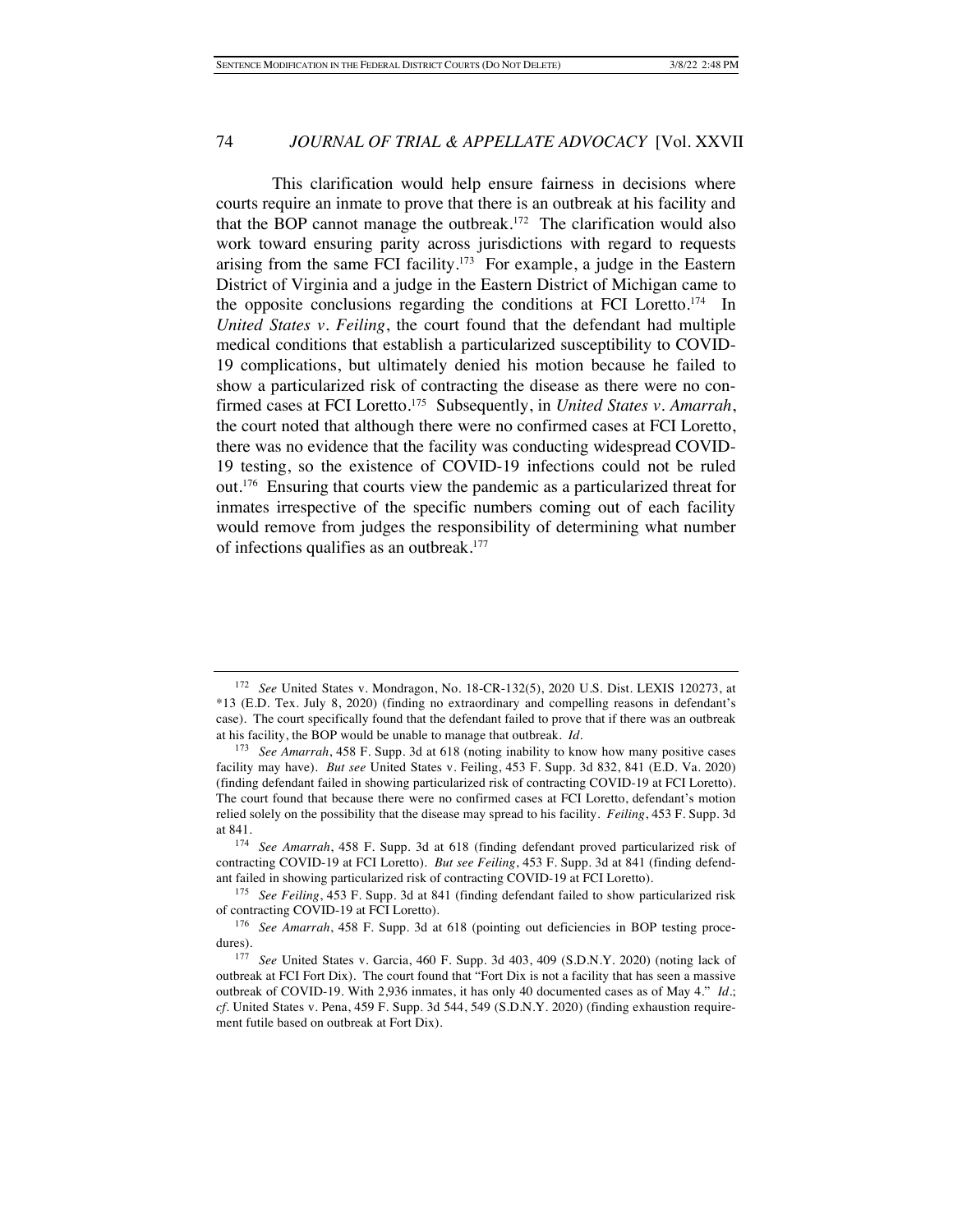This clarification would help ensure fairness in decisions where courts require an inmate to prove that there is an outbreak at his facility and that the BOP cannot manage the outbreak.<sup>172</sup> The clarification would also work toward ensuring parity across jurisdictions with regard to requests arising from the same FCI facility.<sup>173</sup> For example, a judge in the Eastern District of Virginia and a judge in the Eastern District of Michigan came to the opposite conclusions regarding the conditions at FCI Loretto.<sup>174</sup> In *United States v. Feiling*, the court found that the defendant had multiple medical conditions that establish a particularized susceptibility to COVID-19 complications, but ultimately denied his motion because he failed to show a particularized risk of contracting the disease as there were no confirmed cases at FCI Loretto.175 Subsequently, in *United States v. Amarrah*, the court noted that although there were no confirmed cases at FCI Loretto, there was no evidence that the facility was conducting widespread COVID-19 testing, so the existence of COVID-19 infections could not be ruled out. 176 Ensuring that courts view the pandemic as a particularized threat for inmates irrespective of the specific numbers coming out of each facility would remove from judges the responsibility of determining what number of infections qualifies as an outbreak.177

<sup>172</sup> *See* United States v. Mondragon, No. 18-CR-132(5), 2020 U.S. Dist. LEXIS 120273, at \*13 (E.D. Tex. July 8, 2020) (finding no extraordinary and compelling reasons in defendant's case).The court specifically found that the defendant failed to prove that if there was an outbreak at his facility, the BOP would be unable to manage that outbreak. *Id.*

<sup>173</sup> *See Amarrah*, 458 F. Supp. 3d at 618 (noting inability to know how many positive cases facility may have). *But see* United States v. Feiling, 453 F. Supp. 3d 832, 841 (E.D. Va. 2020) (finding defendant failed in showing particularized risk of contracting COVID-19 at FCI Loretto). The court found that because there were no confirmed cases at FCI Loretto, defendant's motion relied solely on the possibility that the disease may spread to his facility. *Feiling*, 453 F. Supp. 3d at 841.

<sup>174</sup> *See Amarrah*, 458 F. Supp. 3d at 618 (finding defendant proved particularized risk of contracting COVID-19 at FCI Loretto). *But see Feiling*, 453 F. Supp. 3d at 841 (finding defendant failed in showing particularized risk of contracting COVID-19 at FCI Loretto).

<sup>175</sup> *See Feiling*, 453 F. Supp. 3d at 841 (finding defendant failed to show particularized risk of contracting COVID-19 at FCI Loretto).

<sup>176</sup> *See Amarrah*, 458 F. Supp. 3d at 618 (pointing out deficiencies in BOP testing procedures).

<sup>177</sup> *See* United States v. Garcia, 460 F. Supp. 3d 403, 409 (S.D.N.Y. 2020) (noting lack of outbreak at FCI Fort Dix). The court found that "Fort Dix is not a facility that has seen a massive outbreak of COVID-19. With 2,936 inmates, it has only 40 documented cases as of May 4." *Id.*; *cf.* United States v. Pena, 459 F. Supp. 3d 544, 549 (S.D.N.Y. 2020) (finding exhaustion requirement futile based on outbreak at Fort Dix).